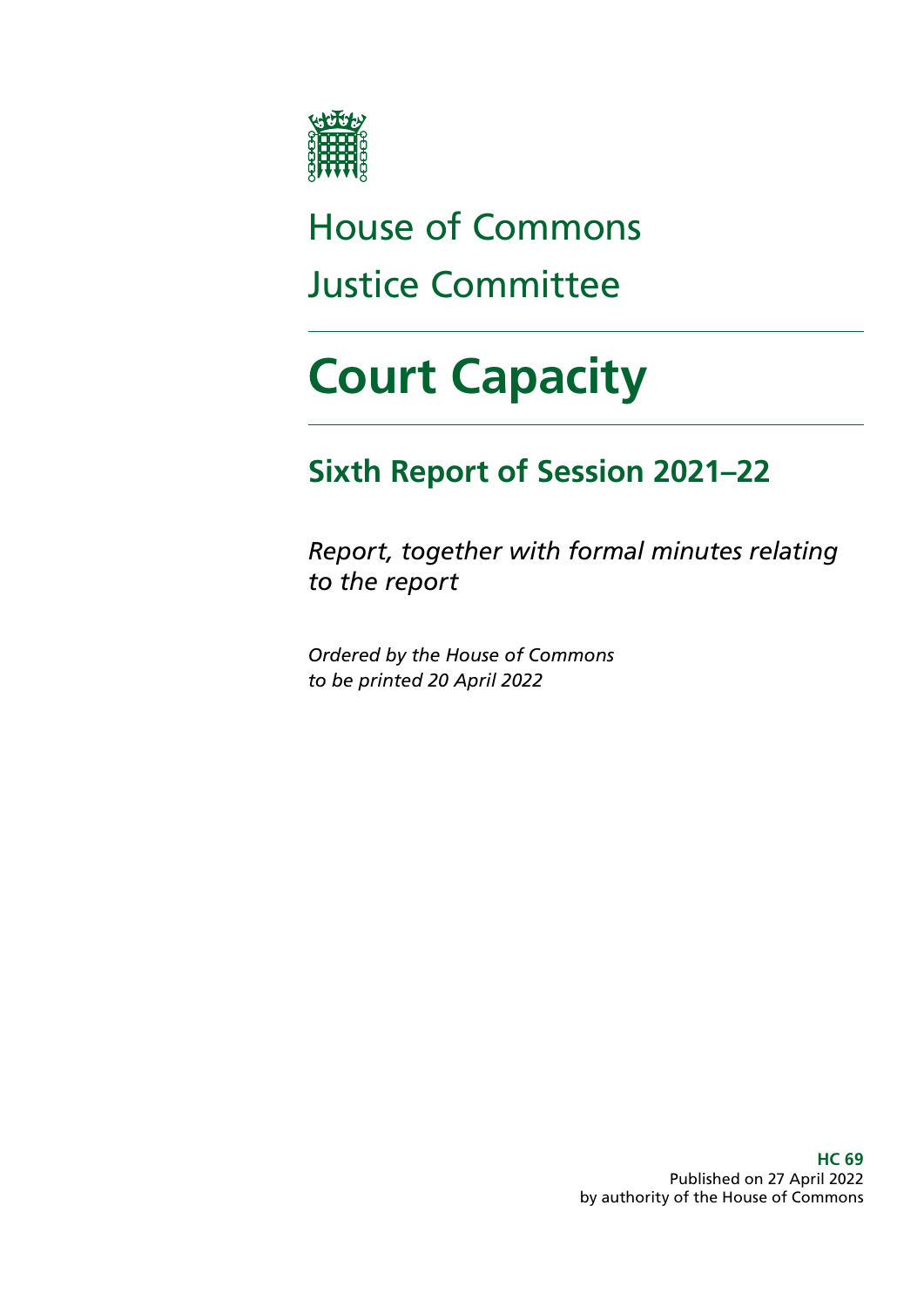

# House of Commons Justice Committee

# **Court Capacity**

# **Sixth Report of Session 2021–22**

*Report, together with formal minutes relating to the report*

*Ordered by the House of Commons to be printed 20 April 2022*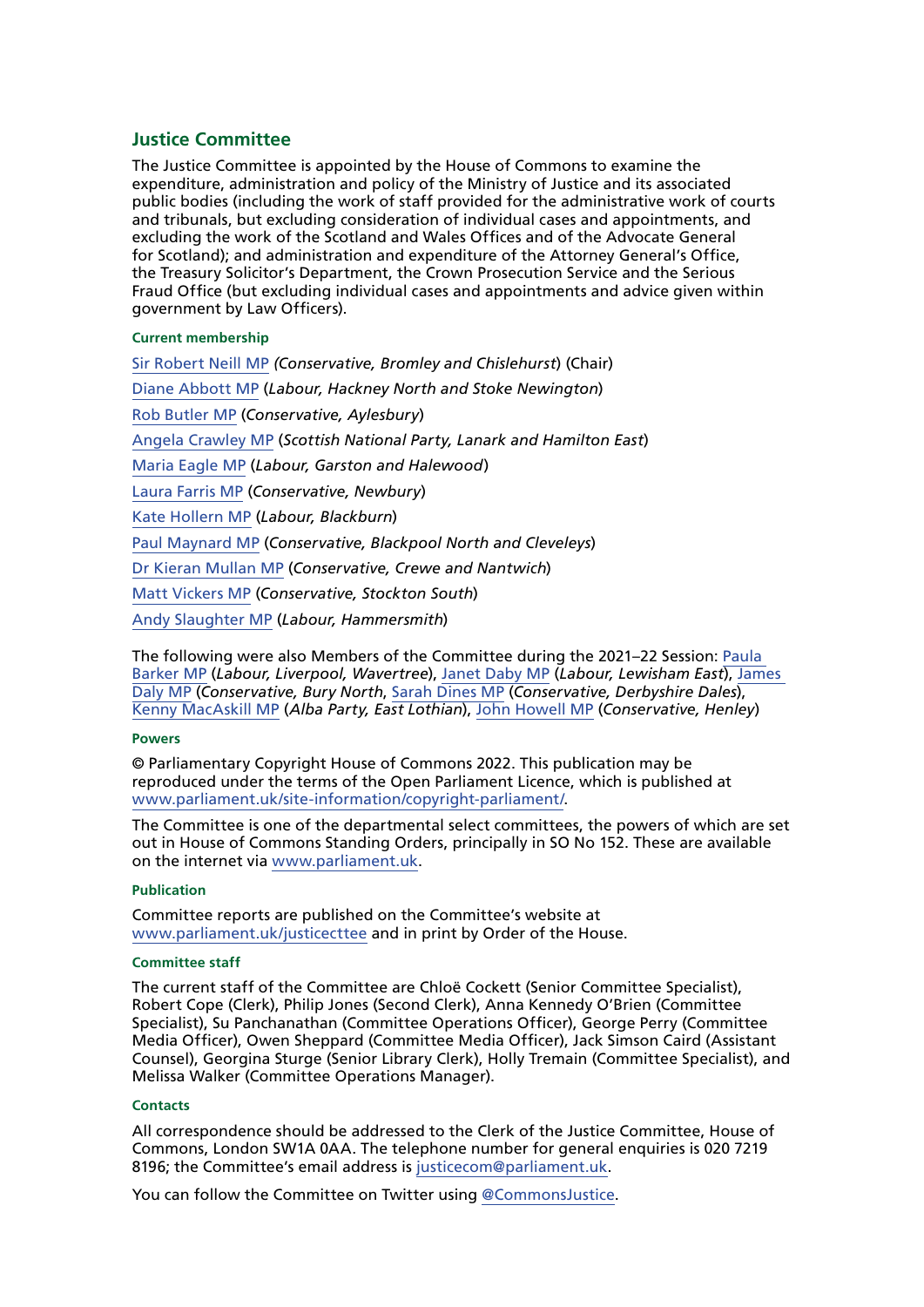#### **Justice Committee**

The Justice Committee is appointed by the House of Commons to examine the expenditure, administration and policy of the Ministry of Justice and its associated public bodies (including the work of staff provided for the administrative work of courts and tribunals, but excluding consideration of individual cases and appointments, and excluding the work of the Scotland and Wales Offices and of the Advocate General for Scotland); and administration and expenditure of the Attorney General's Office, the Treasury Solicitor's Department, the Crown Prosecution Service and the Serious Fraud Office (but excluding individual cases and appointments and advice given within government by Law Officers).

#### **Current membership**

[Sir Robert Neill MP](https://members.parliament.uk/member/1601/contact) *(Conservative, Bromley and Chislehurst*) (Chair) [Diane Abbott MP](https://members.parliament.uk/member/172/contact) (*Labour, Hackney North and Stoke Newington*) [Rob Butler MP](https://members.parliament.uk/member/4745/contact) (*Conservative, Aylesbury*) [Angela Crawley MP](https://members.parliament.uk/member/4469/contact) (*Scottish National Party, Lanark and Hamilton East*) [Maria Eagle MP](https://members.parliament.uk/member/483/contact) (*Labour, Garston and Halewood*) [Laura Farris MP](https://members.parliament.uk/member/4826/contact) (*Conservative, Newbury*) [Kate Hollern MP](https://members.parliament.uk/member/4363/contact) (*Labour, Blackburn*) [Paul Maynard MP](https://members.parliament.uk/member/3926/contact) (*Conservative, Blackpool North and Cleveleys*) [Dr Kieran Mullan MP](https://members.parliament.uk/member/4860/contact) (*Conservative, Crewe and Nantwich*) [Matt Vickers MP](https://members.parliament.uk/member/4844/contact) (*Conservative, Stockton South*) [Andy Slaughter MP](https://www.parliament.uk/biographies/commons/andy-slaughter/1516) (*Labour, Hammersmith*)

The following were also Members of the Committee during the 2021–22 Session: [Paula](https://members.parliament.uk/member/4828/contact)  [Barker MP](https://members.parliament.uk/member/4828/contact) (*Labour, Liverpool, Wavertree*), [Janet Daby MP](https://members.parliament.uk/member/4698/contact) (*Labour, Lewisham East*), [James](https://members.parliament.uk/member/4854/contact)  [Daly MP](https://members.parliament.uk/member/4854/contact) (*Conservative, Bury North*, [Sarah Dines MP](https://members.parliament.uk/member/4816/contact) (*Conservative, Derbyshire Dales*), [Kenny MacAskill MP](https://members.parliament.uk/member/4772/contact) (*Alba Party, East Lothian*), [John Howell MP](https://www.parliament.uk/biographies/commons/john-howell/1606) (*Conservative, Henley*)

#### **Powers**

© Parliamentary Copyright House of Commons 2022. This publication may be reproduced under the terms of the Open Parliament Licence, which is published at [www.parliament.uk/site-information/copyright-parliament/](https://www.parliament.uk/site-information/copyright-parliament/).

The Committee is one of the departmental select committees, the powers of which are set out in House of Commons Standing Orders, principally in SO No 152. These are available on the internet via [www.parliament.uk.](http://www.parliament.uk)

#### **Publication**

Committee reports are published on the Committee's website at [www.parliament.uk/justicecttee](https://committees.parliament.uk/committee/102/justice-committee) and in print by Order of the House.

#### **Committee staff**

The current staff of the Committee are Chloë Cockett (Senior Committee Specialist), Robert Cope (Clerk), Philip Jones (Second Clerk), Anna Kennedy O'Brien (Committee Specialist), Su Panchanathan (Committee Operations Officer), George Perry (Committee Media Officer), Owen Sheppard (Committee Media Officer), Jack Simson Caird (Assistant Counsel), Georgina Sturge (Senior Library Clerk), Holly Tremain (Committee Specialist), and Melissa Walker (Committee Operations Manager).

#### **Contacts**

All correspondence should be addressed to the Clerk of the Justice Committee, House of Commons, London SW1A 0AA. The telephone number for general enquiries is 020 7219 8196; the Committee's email address is [justicecom@parliament.uk.](mailto:justicecom%40parliament.uk?subject=)

You can follow the Committee on Twitter using [@CommonsJustice](https://twitter.com/CommonsJustice).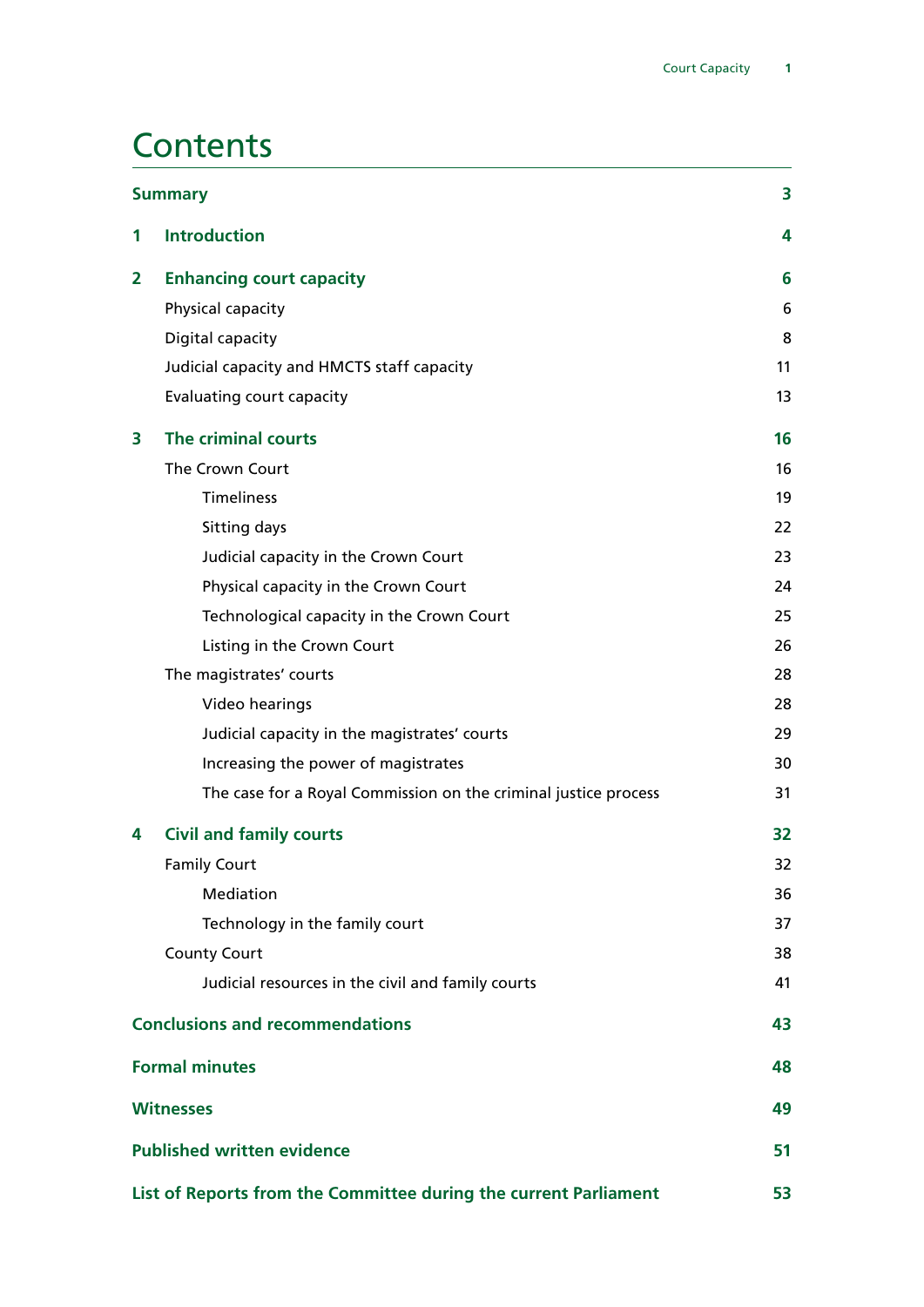## **Contents**

| <b>Summary</b> |                                                                  | 3  |
|----------------|------------------------------------------------------------------|----|
| 1              | <b>Introduction</b>                                              | 4  |
| 2              | <b>Enhancing court capacity</b>                                  | 6  |
|                | Physical capacity                                                | 6  |
|                | Digital capacity                                                 | 8  |
|                | Judicial capacity and HMCTS staff capacity                       | 11 |
|                | <b>Evaluating court capacity</b>                                 | 13 |
| 3              | The criminal courts                                              | 16 |
|                | The Crown Court                                                  | 16 |
|                | <b>Timeliness</b>                                                | 19 |
|                | Sitting days                                                     | 22 |
|                | Judicial capacity in the Crown Court                             | 23 |
|                | Physical capacity in the Crown Court                             | 24 |
|                | Technological capacity in the Crown Court                        | 25 |
|                | Listing in the Crown Court                                       | 26 |
|                | The magistrates' courts                                          | 28 |
|                | Video hearings                                                   | 28 |
|                | Judicial capacity in the magistrates' courts                     | 29 |
|                | Increasing the power of magistrates                              | 30 |
|                | The case for a Royal Commission on the criminal justice process  | 31 |
| 4              | <b>Civil and family courts</b>                                   | 32 |
|                | <b>Family Court</b>                                              | 32 |
|                | Mediation                                                        | 36 |
|                | Technology in the family court                                   | 37 |
|                | <b>County Court</b>                                              | 38 |
|                | Judicial resources in the civil and family courts                | 41 |
|                | <b>Conclusions and recommendations</b>                           | 43 |
|                | <b>Formal minutes</b>                                            | 48 |
|                | <b>Witnesses</b>                                                 | 49 |
|                | <b>Published written evidence</b>                                | 51 |
|                | List of Reports from the Committee during the current Parliament | 53 |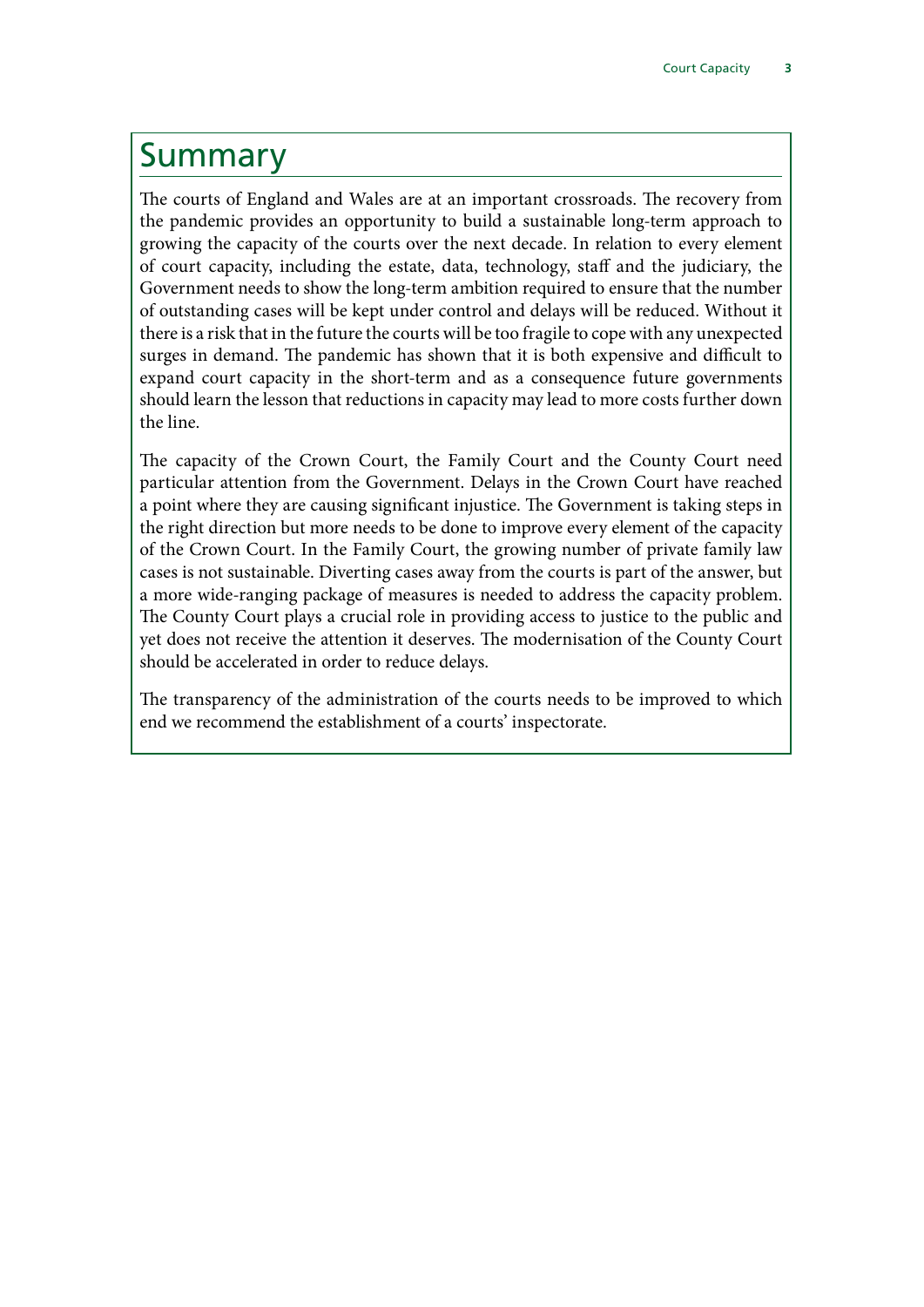## <span id="page-4-0"></span>Summary

The courts of England and Wales are at an important crossroads. The recovery from the pandemic provides an opportunity to build a sustainable long-term approach to growing the capacity of the courts over the next decade. In relation to every element of court capacity, including the estate, data, technology, staff and the judiciary, the Government needs to show the long-term ambition required to ensure that the number of outstanding cases will be kept under control and delays will be reduced. Without it there is a risk that in the future the courts will be too fragile to cope with any unexpected surges in demand. The pandemic has shown that it is both expensive and difficult to expand court capacity in the short-term and as a consequence future governments should learn the lesson that reductions in capacity may lead to more costs further down the line.

The capacity of the Crown Court, the Family Court and the County Court need particular attention from the Government. Delays in the Crown Court have reached a point where they are causing significant injustice. The Government is taking steps in the right direction but more needs to be done to improve every element of the capacity of the Crown Court. In the Family Court, the growing number of private family law cases is not sustainable. Diverting cases away from the courts is part of the answer, but a more wide-ranging package of measures is needed to address the capacity problem. The County Court plays a crucial role in providing access to justice to the public and yet does not receive the attention it deserves. The modernisation of the County Court should be accelerated in order to reduce delays.

The transparency of the administration of the courts needs to be improved to which end we recommend the establishment of a courts' inspectorate.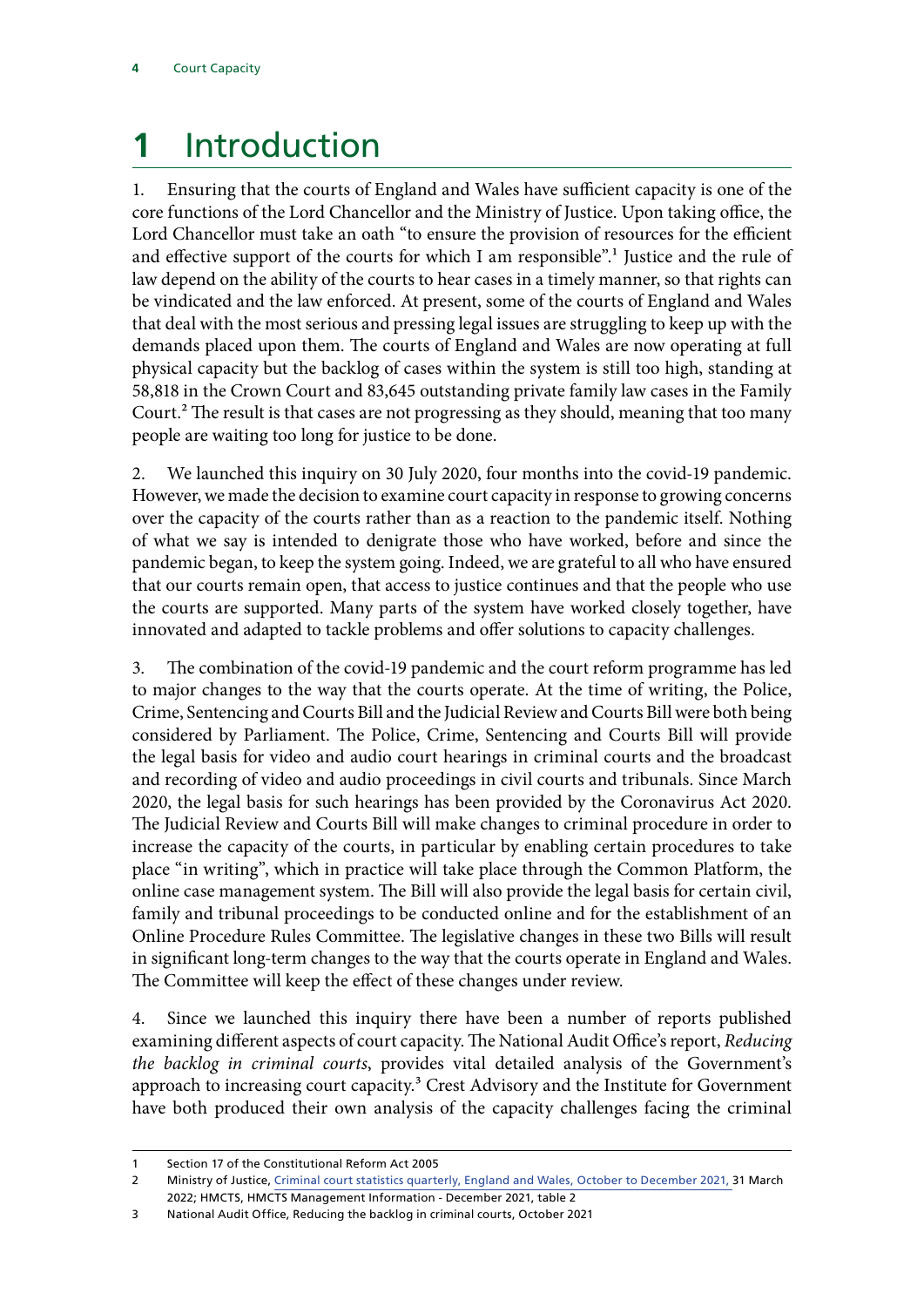# <span id="page-5-0"></span>**1** Introduction

1. Ensuring that the courts of England and Wales have sufficient capacity is one of the core functions of the Lord Chancellor and the Ministry of Justice. Upon taking office, the Lord Chancellor must take an oath "to ensure the provision of resources for the efficient and effective support of the courts for which I am responsible".<sup>1</sup> Justice and the rule of law depend on the ability of the courts to hear cases in a timely manner, so that rights can be vindicated and the law enforced. At present, some of the courts of England and Wales that deal with the most serious and pressing legal issues are struggling to keep up with the demands placed upon them. The courts of England and Wales are now operating at full physical capacity but the backlog of cases within the system is still too high, standing at 58,818 in the Crown Court and 83,645 outstanding private family law cases in the Family Court.<sup>2</sup> The result is that cases are not progressing as they should, meaning that too many people are waiting too long for justice to be done.

2. We launched this inquiry on 30 July 2020, four months into the covid-19 pandemic. However, we made the decision to examine court capacity in response to growing concerns over the capacity of the courts rather than as a reaction to the pandemic itself. Nothing of what we say is intended to denigrate those who have worked, before and since the pandemic began, to keep the system going. Indeed, we are grateful to all who have ensured that our courts remain open, that access to justice continues and that the people who use the courts are supported. Many parts of the system have worked closely together, have innovated and adapted to tackle problems and offer solutions to capacity challenges.

3. The combination of the covid-19 pandemic and the court reform programme has led to major changes to the way that the courts operate. At the time of writing, the Police, Crime, Sentencing and Courts Bill and the Judicial Review and Courts Bill were both being considered by Parliament. The Police, Crime, Sentencing and Courts Bill will provide the legal basis for video and audio court hearings in criminal courts and the broadcast and recording of video and audio proceedings in civil courts and tribunals. Since March 2020, the legal basis for such hearings has been provided by the Coronavirus Act 2020. The Judicial Review and Courts Bill will make changes to criminal procedure in order to increase the capacity of the courts, in particular by enabling certain procedures to take place "in writing", which in practice will take place through the Common Platform, the online case management system. The Bill will also provide the legal basis for certain civil, family and tribunal proceedings to be conducted online and for the establishment of an Online Procedure Rules Committee. The legislative changes in these two Bills will result in significant long-term changes to the way that the courts operate in England and Wales. The Committee will keep the effect of these changes under review.

4. Since we launched this inquiry there have been a number of reports published examining different aspects of court capacity. The National Audit Office's report, *Reducing the backlog in criminal courts*, provides vital detailed analysis of the Government's approach to increasing court capacity.<sup>3</sup> Crest Advisory and the Institute for Government have both produced their own analysis of the capacity challenges facing the criminal

<sup>1</sup> Section 17 of the Constitutional Reform Act 2005

<sup>2</sup> Ministry of Justice, [Criminal court statistics quarterly, England and Wales, October to December 2021,](https://www.gov.uk/government/collections/criminal-court-statistics) 31 March 2022; HMCTS, HMCTS Management Information - December 2021, table 2

<sup>3</sup> National Audit Office, Reducing the backlog in criminal courts, October 2021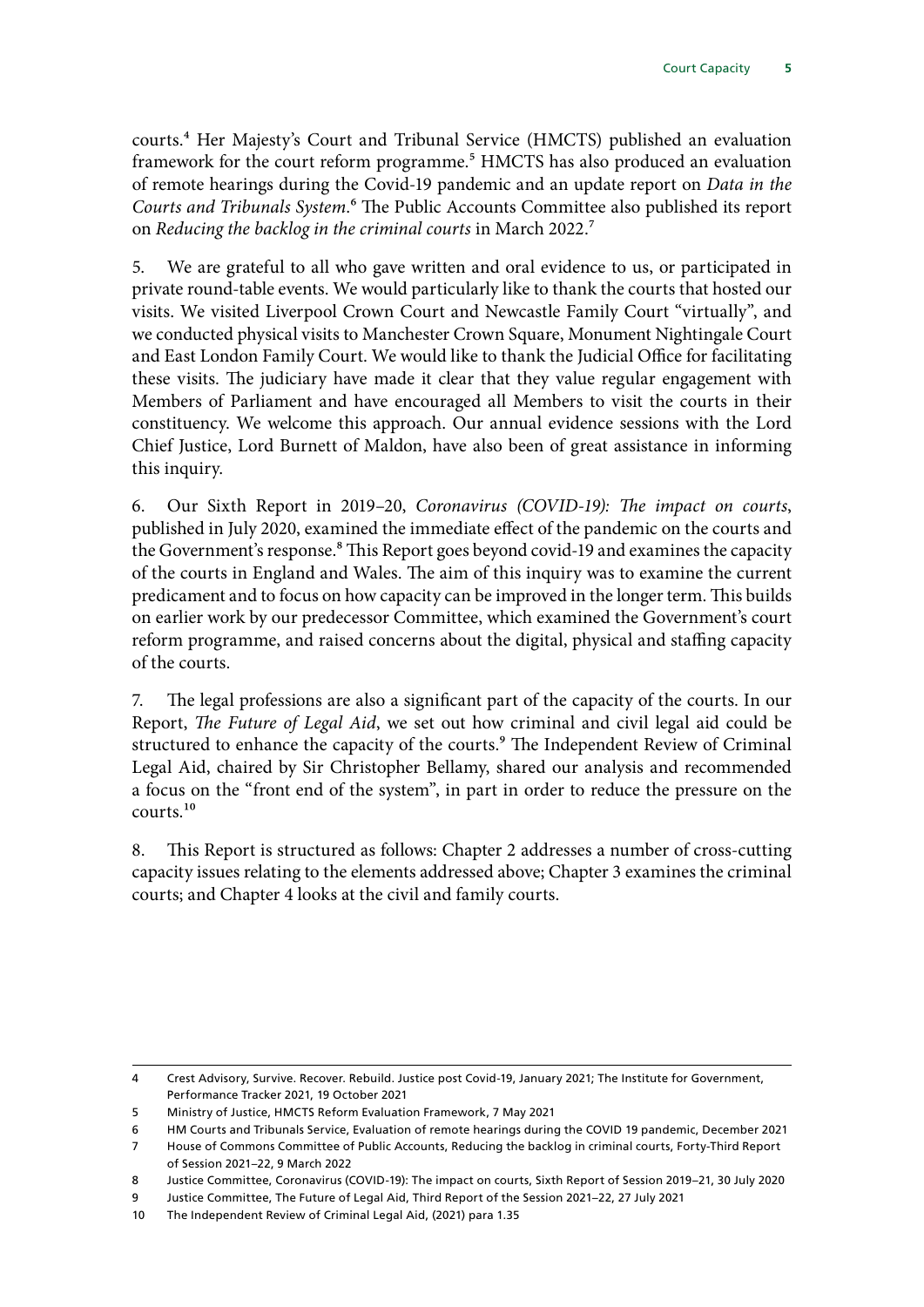courts.4 Her Majesty's Court and Tribunal Service (HMCTS) published an evaluation framework for the court reform programme.<sup>5</sup> HMCTS has also produced an evaluation of remote hearings during the Covid-19 pandemic and an update report on *Data in the Courts and Tribunals System*.6 The Public Accounts Committee also published its report on *Reducing the backlog in the criminal courts* in March 2022.7

5. We are grateful to all who gave written and oral evidence to us, or participated in private round-table events. We would particularly like to thank the courts that hosted our visits. We visited Liverpool Crown Court and Newcastle Family Court "virtually", and we conducted physical visits to Manchester Crown Square, Monument Nightingale Court and East London Family Court. We would like to thank the Judicial Office for facilitating these visits. The judiciary have made it clear that they value regular engagement with Members of Parliament and have encouraged all Members to visit the courts in their constituency. We welcome this approach. Our annual evidence sessions with the Lord Chief Justice, Lord Burnett of Maldon, have also been of great assistance in informing this inquiry.

6. Our Sixth Report in 2019–20, *Coronavirus (COVID-19): The impact on courts*, published in July 2020, examined the immediate effect of the pandemic on the courts and the Government's response.<sup>8</sup> This Report goes beyond covid-19 and examines the capacity of the courts in England and Wales. The aim of this inquiry was to examine the current predicament and to focus on how capacity can be improved in the longer term. This builds on earlier work by our predecessor Committee, which examined the Government's court reform programme, and raised concerns about the digital, physical and staffing capacity of the courts.

7. The legal professions are also a significant part of the capacity of the courts. In our Report, *The Future of Legal Aid*, we set out how criminal and civil legal aid could be structured to enhance the capacity of the courts.<sup>9</sup> The Independent Review of Criminal Legal Aid, chaired by Sir Christopher Bellamy, shared our analysis and recommended a focus on the "front end of the system", in part in order to reduce the pressure on the courts.10

8. This Report is structured as follows: Chapter 2 addresses a number of cross-cutting capacity issues relating to the elements addressed above; Chapter 3 examines the criminal courts; and Chapter 4 looks at the civil and family courts.

<sup>4</sup> Crest Advisory, Survive. Recover. Rebuild. Justice post Covid-19, January 2021; The Institute for Government, Performance Tracker 2021, 19 October 2021

<sup>5</sup> Ministry of Justice, HMCTS Reform Evaluation Framework, 7 May 2021

<sup>6</sup> HM Courts and Tribunals Service, Evaluation of remote hearings during the COVID 19 pandemic, December 2021

<sup>7</sup> House of Commons Committee of Public Accounts, Reducing the backlog in criminal courts, Forty-Third Report of Session 2021–22, 9 March 2022

<sup>8</sup> Justice Committee, Coronavirus (COVID-19): The impact on courts, Sixth Report of Session 2019–21, 30 July 2020

<sup>9</sup> Justice Committee, The Future of Legal Aid, Third Report of the Session 2021–22, 27 July 2021

<sup>10</sup> The Independent Review of Criminal Legal Aid, (2021) para 1.35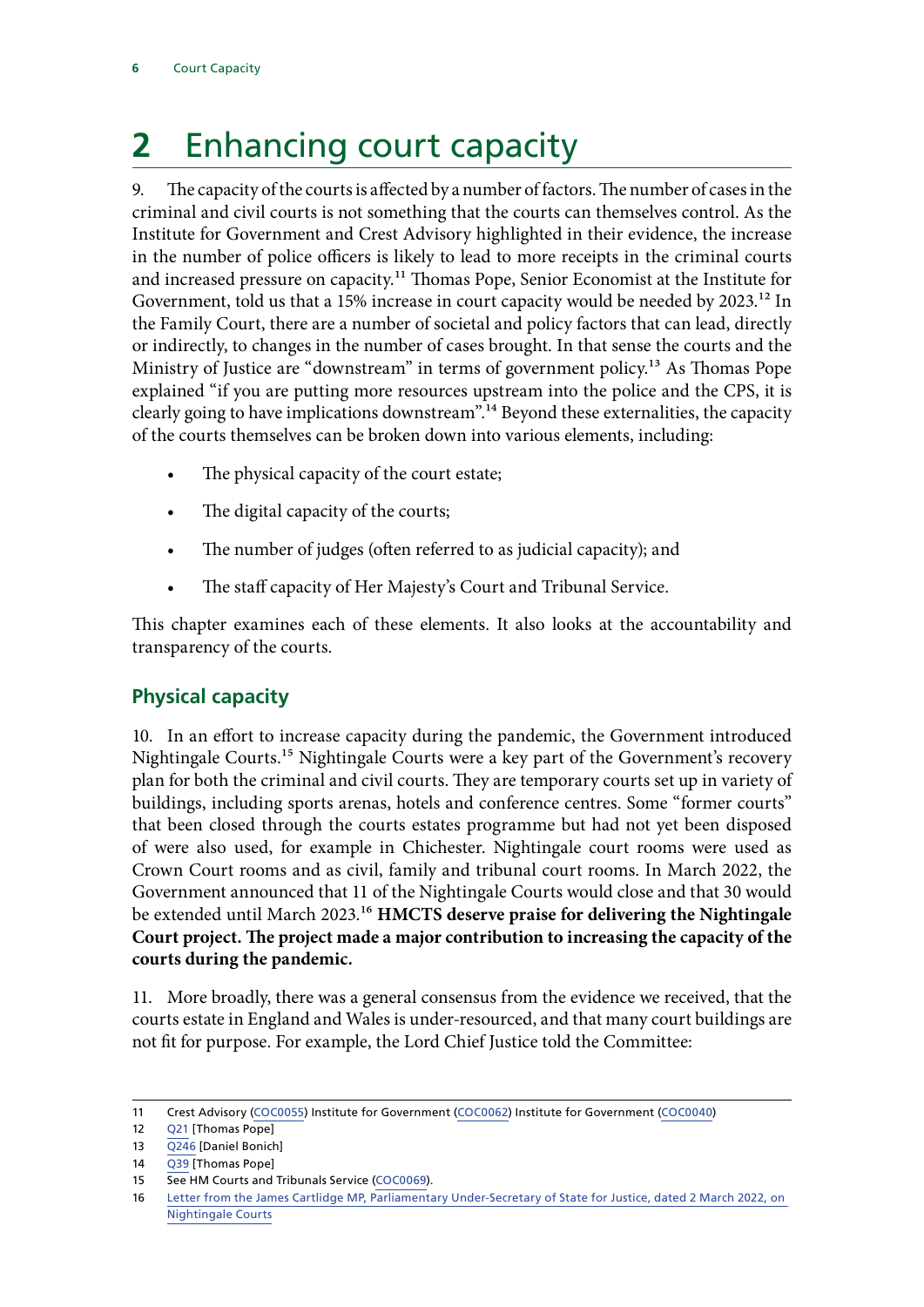# <span id="page-7-0"></span>**2** Enhancing court capacity

9. The capacity of the courts is affected by a number of factors. The number of cases in the criminal and civil courts is not something that the courts can themselves control. As the Institute for Government and Crest Advisory highlighted in their evidence, the increase in the number of police officers is likely to lead to more receipts in the criminal courts and increased pressure on capacity.<sup>11</sup> Thomas Pope, Senior Economist at the Institute for Government, told us that a 15% increase in court capacity would be needed by 2023.<sup>12</sup> In the Family Court, there are a number of societal and policy factors that can lead, directly or indirectly, to changes in the number of cases brought. In that sense the courts and the Ministry of Justice are "downstream" in terms of government policy.<sup>13</sup> As Thomas Pope explained "if you are putting more resources upstream into the police and the CPS, it is clearly going to have implications downstream".<sup>14</sup> Beyond these externalities, the capacity of the courts themselves can be broken down into various elements, including:

- The physical capacity of the court estate;
- The digital capacity of the courts;
- The number of judges (often referred to as judicial capacity); and
- The staff capacity of Her Majesty's Court and Tribunal Service.

This chapter examines each of these elements. It also looks at the accountability and transparency of the courts.

## **Physical capacity**

10. In an effort to increase capacity during the pandemic, the Government introduced Nightingale Courts.15 Nightingale Courts were a key part of the Government's recovery plan for both the criminal and civil courts. They are temporary courts set up in variety of buildings, including sports arenas, hotels and conference centres. Some "former courts" that been closed through the courts estates programme but had not yet been disposed of were also used, for example in Chichester. Nightingale court rooms were used as Crown Court rooms and as civil, family and tribunal court rooms. In March 2022, the Government announced that 11 of the Nightingale Courts would close and that 30 would be extended until March 2023.16 **HMCTS deserve praise for delivering the Nightingale Court project. The project made a major contribution to increasing the capacity of the courts during the pandemic.**

11. More broadly, there was a general consensus from the evidence we received, that the courts estate in England and Wales is under-resourced, and that many court buildings are not fit for purpose. For example, the Lord Chief Justice told the Committee:

<sup>11</sup> Crest Advisory ([COC0055](https://committees.parliament.uk/writtenevidence/12861/html/)) Institute for Government ([COC0062\)](https://committees.parliament.uk/writtenevidence/22362/html/) Institute for Government [\(COC0040](https://committees.parliament.uk/writtenevidence/12698/html/))

<sup>12</sup> [Q21](https://committees.parliament.uk/oralevidence/1518/html/) [Thomas Pope]

<sup>13</sup> [Q246](https://committees.parliament.uk/oralevidence/1718/html/) [Daniel Bonich]

<sup>14</sup> [Q39](https://committees.parliament.uk/oralevidence/1518/html/) [Thomas Pope]

<sup>15</sup> See HM Courts and Tribunals Service [\(COC0069\)](https://committees.parliament.uk/writtenevidence/26097/html/).

<sup>16</sup> [Letter from the James Cartlidge MP, Parliamentary Under-Secretary of State for Justice, dated 2 March 2022, on](https://committees.parliament.uk/publications/9216/documents/159849/default/)  [Nightingale Courts](https://committees.parliament.uk/publications/9216/documents/159849/default/)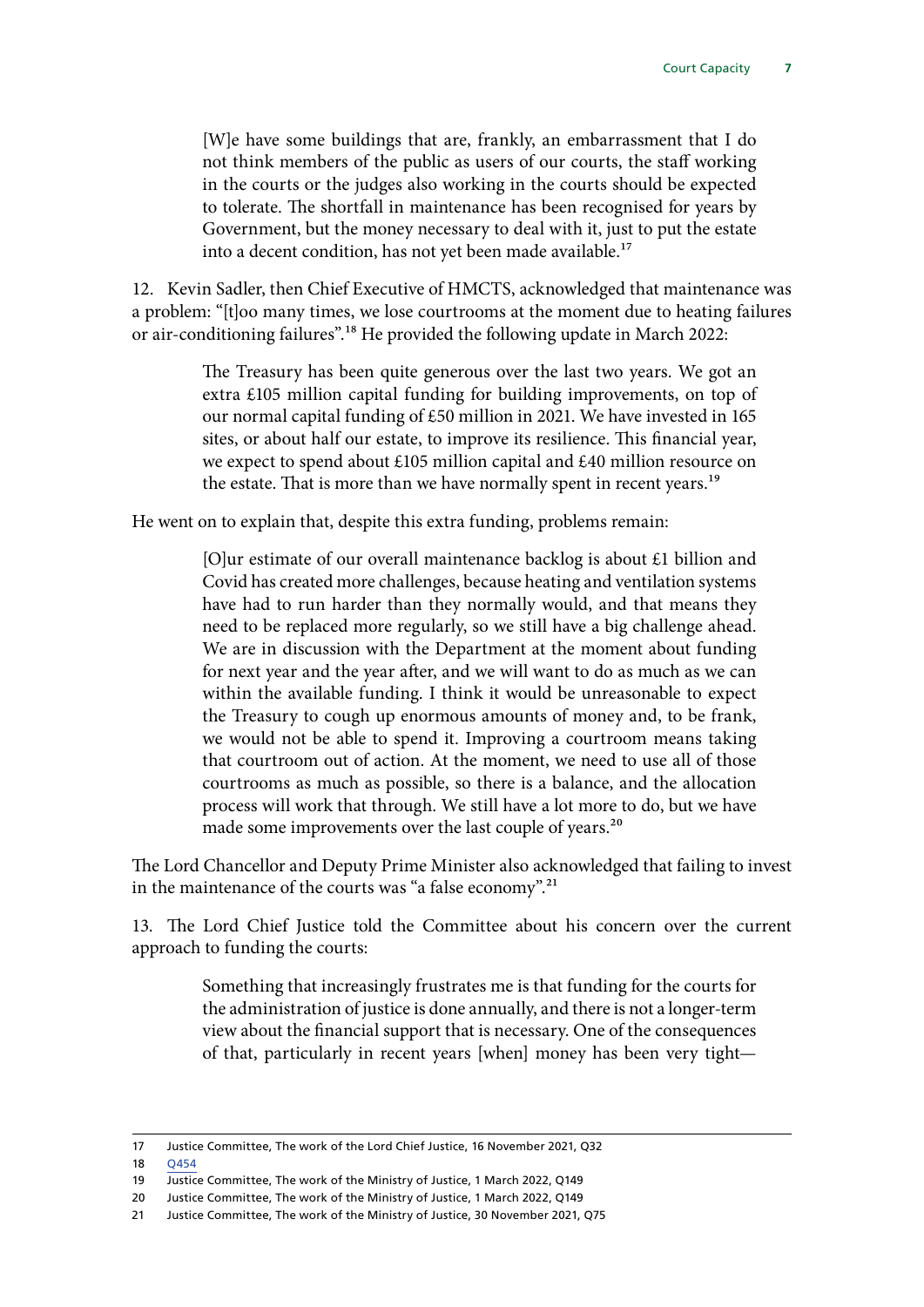[W]e have some buildings that are, frankly, an embarrassment that I do not think members of the public as users of our courts, the staff working in the courts or the judges also working in the courts should be expected to tolerate. The shortfall in maintenance has been recognised for years by Government, but the money necessary to deal with it, just to put the estate into a decent condition, has not yet been made available.<sup>17</sup>

12. Kevin Sadler, then Chief Executive of HMCTS, acknowledged that maintenance was a problem: "[t]oo many times, we lose courtrooms at the moment due to heating failures or air-conditioning failures".18 He provided the following update in March 2022:

> The Treasury has been quite generous over the last two years. We got an extra £105 million capital funding for building improvements, on top of our normal capital funding of £50 million in 2021. We have invested in 165 sites, or about half our estate, to improve its resilience. This financial year, we expect to spend about £105 million capital and £40 million resource on the estate. That is more than we have normally spent in recent years.<sup>19</sup>

He went on to explain that, despite this extra funding, problems remain:

[O]ur estimate of our overall maintenance backlog is about £1 billion and Covid has created more challenges, because heating and ventilation systems have had to run harder than they normally would, and that means they need to be replaced more regularly, so we still have a big challenge ahead. We are in discussion with the Department at the moment about funding for next year and the year after, and we will want to do as much as we can within the available funding. I think it would be unreasonable to expect the Treasury to cough up enormous amounts of money and, to be frank, we would not be able to spend it. Improving a courtroom means taking that courtroom out of action. At the moment, we need to use all of those courtrooms as much as possible, so there is a balance, and the allocation process will work that through. We still have a lot more to do, but we have made some improvements over the last couple of years.<sup>20</sup>

The Lord Chancellor and Deputy Prime Minister also acknowledged that failing to invest in the maintenance of the courts was "a false economy".<sup>21</sup>

13. The Lord Chief Justice told the Committee about his concern over the current approach to funding the courts:

> Something that increasingly frustrates me is that funding for the courts for the administration of justice is done annually, and there is not a longer-term view about the financial support that is necessary. One of the consequences of that, particularly in recent years [when] money has been very tight—

<sup>17</sup> Justice Committee, The work of the Lord Chief Justice, 16 November 2021, Q32

<sup>18</sup> [Q454](https://committees.parliament.uk/oralevidence/1967/html/)

<sup>19</sup> Justice Committee, The work of the Ministry of Justice, 1 March 2022, Q149

<sup>20</sup> Justice Committee, The work of the Ministry of Justice, 1 March 2022, Q149

<sup>21</sup> Justice Committee, The work of the Ministry of Justice, 30 November 2021, Q75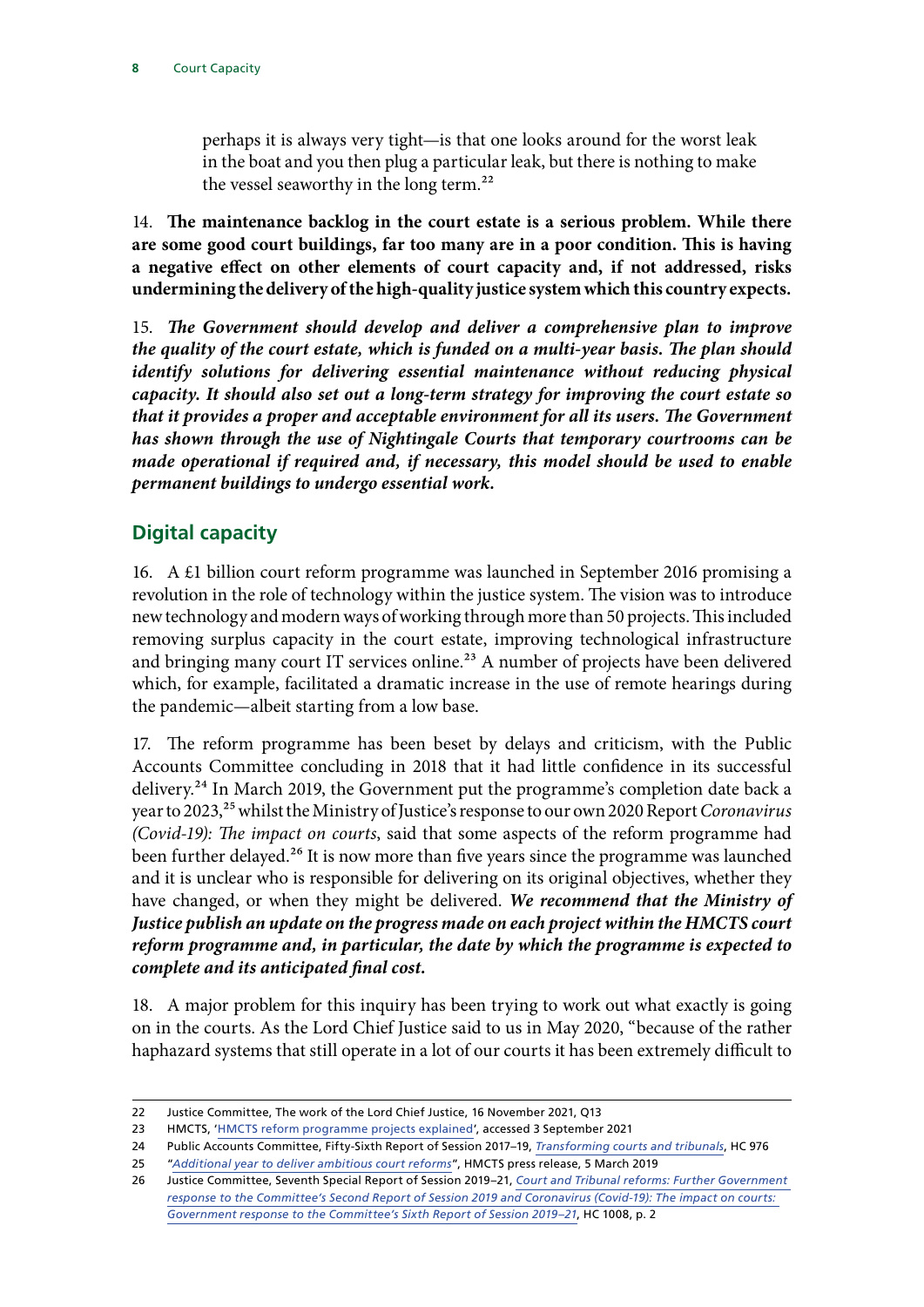<span id="page-9-0"></span>perhaps it is always very tight—is that one looks around for the worst leak in the boat and you then plug a particular leak, but there is nothing to make the vessel seaworthy in the long term.<sup>22</sup>

14. **The maintenance backlog in the court estate is a serious problem. While there are some good court buildings, far too many are in a poor condition. This is having a negative effect on other elements of court capacity and, if not addressed, risks undermining the delivery of the high-quality justice system which this country expects***.*

15. *The Government should develop and deliver a comprehensive plan to improve the quality of the court estate, which is funded on a multi-year basis. The plan should identify solutions for delivering essential maintenance without reducing physical capacity. It should also set out a long-term strategy for improving the court estate so that it provides a proper and acceptable environment for all its users. The Government has shown through the use of Nightingale Courts that temporary courtrooms can be made operational if required and, if necessary, this model should be used to enable permanent buildings to undergo essential work.*

## **Digital capacity**

16. A £1 billion court reform programme was launched in September 2016 promising a revolution in the role of technology within the justice system. The vision was to introduce new technology and modern ways of working through more than 50 projects. This included removing surplus capacity in the court estate, improving technological infrastructure and bringing many court IT services online.<sup>23</sup> A number of projects have been delivered which, for example, facilitated a dramatic increase in the use of remote hearings during the pandemic—albeit starting from a low base.

17. The reform programme has been beset by delays and criticism, with the Public Accounts Committee concluding in 2018 that it had little confidence in its successful delivery.24 In March 2019, the Government put the programme's completion date back a year to 2023,<sup>25</sup> whilst the Ministry of Justice's response to our own 2020 Report *Coronavirus (Covid-19): The impact on courts*, said that some aspects of the reform programme had been further delayed.<sup>26</sup> It is now more than five years since the programme was launched and it is unclear who is responsible for delivering on its original objectives, whether they have changed, or when they might be delivered. *We recommend that the Ministry of Justice publish an update on the progress made on each project within the HMCTS court reform programme and, in particular, the date by which the programme is expected to complete and its anticipated final cost.*

18. A major problem for this inquiry has been trying to work out what exactly is going on in the courts. As the Lord Chief Justice said to us in May 2020, "because of the rather haphazard systems that still operate in a lot of our courts it has been extremely difficult to

<sup>22</sup> Justice Committee, The work of the Lord Chief Justice, 16 November 2021, Q13

<sup>23</sup> HMCTS, ['HMCTS reform programme projects explained](https://www.gov.uk/guidance/hmcts-reform-programme-projects-explained)', accessed 3 September 2021

<sup>24</sup> Public Accounts Committee, Fifty-Sixth Report of Session 2017–19, *[Transforming courts and tribunals](https://publications.parliament.uk/pa/cm201719/cmselect/cmpubacc/976/976.pdf)*, HC 976

<sup>25</sup> "*[Additional year to deliver ambitious court reforms](https://www.gov.uk/government/news/additional-year-to-deliver-ambitious-court-reforms)*", HMCTS press release, 5 March 2019

<sup>26</sup> Justice Committee, Seventh Special Report of Session 2019–21, *[Court and Tribunal reforms: Further Government](https://committees.parliament.uk/publications/3590/documents/34677/default/)  [response to the Committee's Second Report of Session 2019 and Coronavirus \(Covid-19\): The impact on courts:](https://committees.parliament.uk/publications/3590/documents/34677/default/)  [Government response to the Committee's Sixth Report of Session 2019–21](https://committees.parliament.uk/publications/3590/documents/34677/default/)*, HC 1008, p. 2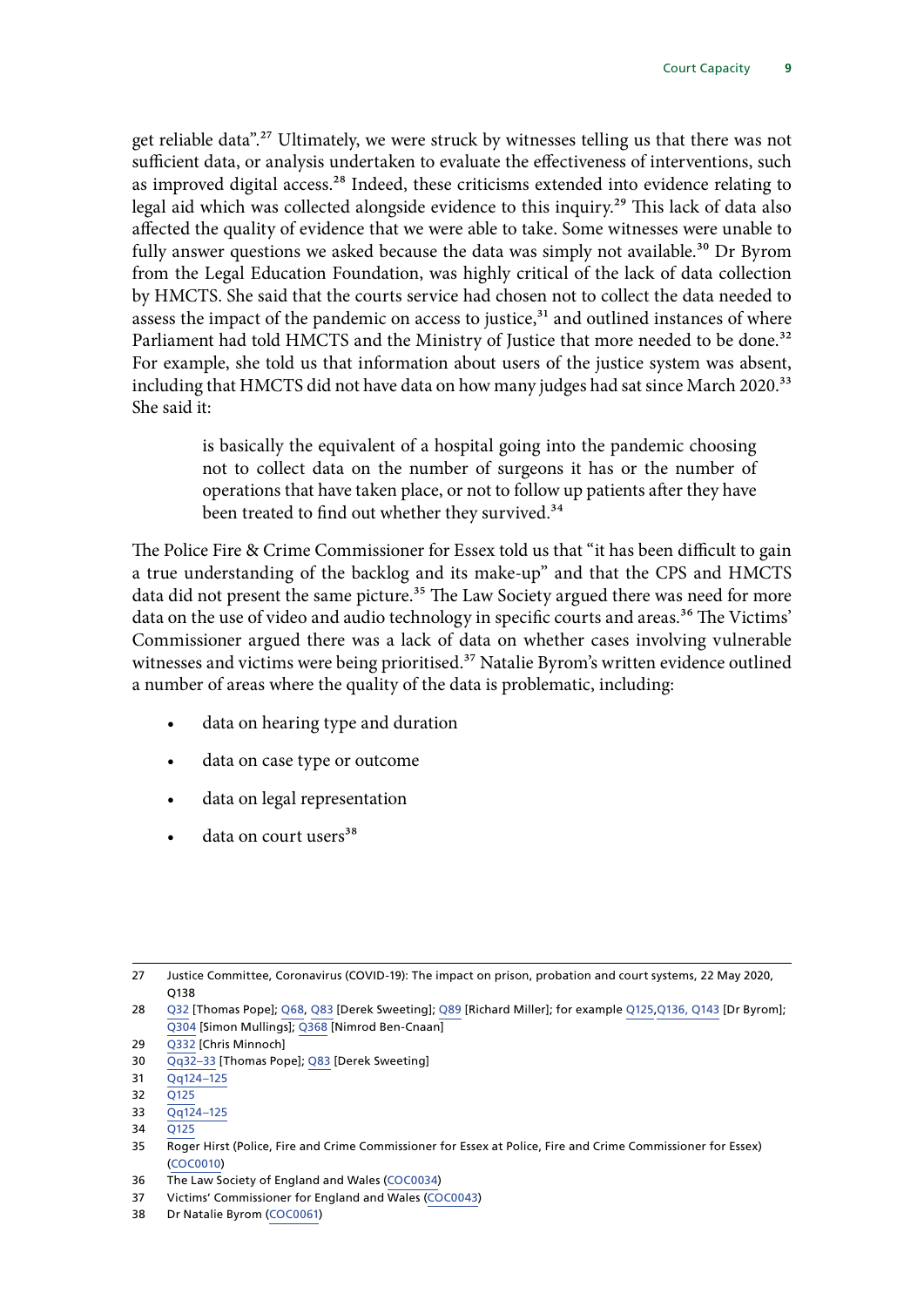get reliable data".27 Ultimately, we were struck by witnesses telling us that there was not sufficient data, or analysis undertaken to evaluate the effectiveness of interventions, such as improved digital access.<sup>28</sup> Indeed, these criticisms extended into evidence relating to legal aid which was collected alongside evidence to this inquiry.29 This lack of data also affected the quality of evidence that we were able to take. Some witnesses were unable to fully answer questions we asked because the data was simply not available.<sup>30</sup> Dr Byrom from the Legal Education Foundation, was highly critical of the lack of data collection by HMCTS. She said that the courts service had chosen not to collect the data needed to assess the impact of the pandemic on access to justice, $31$  and outlined instances of where Parliament had told HMCTS and the Ministry of Justice that more needed to be done.<sup>32</sup> For example, she told us that information about users of the justice system was absent, including that HMCTS did not have data on how many judges had sat since March 2020.<sup>33</sup> She said it:

> is basically the equivalent of a hospital going into the pandemic choosing not to collect data on the number of surgeons it has or the number of operations that have taken place, or not to follow up patients after they have been treated to find out whether they survived.<sup>34</sup>

The Police Fire & Crime Commissioner for Essex told us that "it has been difficult to gain a true understanding of the backlog and its make-up" and that the CPS and HMCTS data did not present the same picture.<sup>35</sup> The Law Society argued there was need for more data on the use of video and audio technology in specific courts and areas.<sup>36</sup> The Victims' Commissioner argued there was a lack of data on whether cases involving vulnerable witnesses and victims were being prioritised.<sup>37</sup> Natalie Byrom's written evidence outlined a number of areas where the quality of the data is problematic, including:

- data on hearing type and duration
- data on case type or outcome
- data on legal representation
- data on court users<sup>38</sup>

31 [Qq124–125](https://committees.parliament.uk/oralevidence/1595/html/)

33 [Qq124–125](https://committees.parliament.uk/oralevidence/1595/html/)

<sup>27</sup> Justice Committee, Coronavirus (COVID-19): The impact on prison, probation and court systems, 22 May 2020, Q138

<sup>28</sup> [Q32](https://committees.parliament.uk/oralevidence/1518/html/) [Thomas Pope]; [Q68](https://committees.parliament.uk/oralevidence/1518/html/), [Q83](https://committees.parliament.uk/oralevidence/1518/html/) [Derek Sweeting]; [Q89](https://committees.parliament.uk/oralevidence/1518/html/) [Richard Miller]; for example [Q125,Q136,](https://committees.parliament.uk/oralevidence/1595/html/) [Q143](https://committees.parliament.uk/oralevidence/1595/html/) [Dr Byrom]; [Q304](https://committees.parliament.uk/oralevidence/1734/html/) [Simon Mullings]; [Q368](https://committees.parliament.uk/oralevidence/1774/html/) [Nimrod Ben-Cnaan]

<sup>29</sup> [Q332](https://committees.parliament.uk/oralevidence/1734/html/) [Chris Minnoch]

<sup>30</sup> [Qq32–33](https://committees.parliament.uk/oralevidence/1518/html/) [Thomas Pope]; [Q83](https://committees.parliament.uk/oralevidence/1518/html/) [Derek Sweeting]

<sup>32</sup> [Q125](https://committees.parliament.uk/oralevidence/1595/html/)

<sup>34</sup> [Q125](https://committees.parliament.uk/oralevidence/1595/html/)

<sup>35</sup> Roger Hirst (Police, Fire and Crime Commissioner for Essex at Police, Fire and Crime Commissioner for Essex) [\(COC0010](https://committees.parliament.uk/writtenevidence/11093/html/))

<sup>36</sup> The Law Society of England and Wales ([COC0034](https://committees.parliament.uk/writtenevidence/12192/html/))

<sup>37</sup> Victims' Commissioner for England and Wales [\(COC0043](https://committees.parliament.uk/writtenevidence/12771/html/))

<sup>38</sup> Dr Natalie Byrom [\(COC0061](https://committees.parliament.uk/writtenevidence/22357/html/))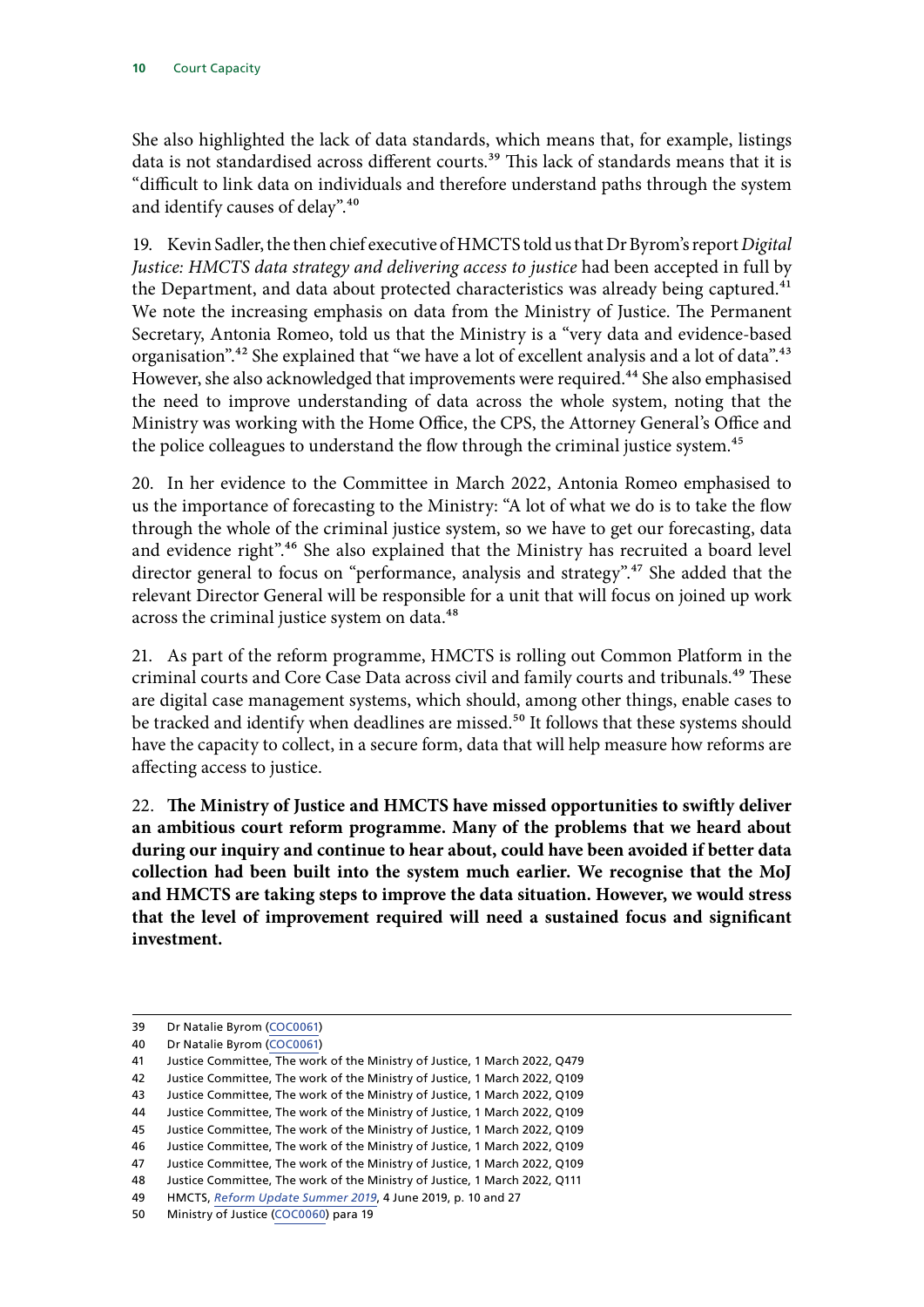She also highlighted the lack of data standards, which means that, for example, listings data is not standardised across different courts.<sup>39</sup> This lack of standards means that it is "difficult to link data on individuals and therefore understand paths through the system and identify causes of delay".40

19. Kevin Sadler, the then chief executive of HMCTS told us that Dr Byrom's report *Digital Justice: HMCTS data strategy and delivering access to justice* had been accepted in full by the Department, and data about protected characteristics was already being captured.<sup>41</sup> We note the increasing emphasis on data from the Ministry of Justice. The Permanent Secretary, Antonia Romeo, told us that the Ministry is a "very data and evidence-based organisation".<sup>42</sup> She explained that "we have a lot of excellent analysis and a lot of data".<sup>43</sup> However, she also acknowledged that improvements were required.<sup>44</sup> She also emphasised the need to improve understanding of data across the whole system, noting that the Ministry was working with the Home Office, the CPS, the Attorney General's Office and the police colleagues to understand the flow through the criminal justice system.<sup>45</sup>

20. In her evidence to the Committee in March 2022, Antonia Romeo emphasised to us the importance of forecasting to the Ministry: "A lot of what we do is to take the flow through the whole of the criminal justice system, so we have to get our forecasting, data and evidence right".<sup>46</sup> She also explained that the Ministry has recruited a board level director general to focus on "performance, analysis and strategy".<sup>47</sup> She added that the relevant Director General will be responsible for a unit that will focus on joined up work across the criminal justice system on data.<sup>48</sup>

21. As part of the reform programme, HMCTS is rolling out Common Platform in the criminal courts and Core Case Data across civil and family courts and tribunals.<sup>49</sup> These are digital case management systems, which should, among other things, enable cases to be tracked and identify when deadlines are missed.<sup>50</sup> It follows that these systems should have the capacity to collect, in a secure form, data that will help measure how reforms are affecting access to justice.

22. **The Ministry of Justice and HMCTS have missed opportunities to swiftly deliver an ambitious court reform programme. Many of the problems that we heard about during our inquiry and continue to hear about, could have been avoided if better data collection had been built into the system much earlier. We recognise that the MoJ and HMCTS are taking steps to improve the data situation. However, we would stress that the level of improvement required will need a sustained focus and significant investment.**

<sup>39</sup> Dr Natalie Byrom [\(COC0061](https://committees.parliament.uk/writtenevidence/22357/html/))

<sup>40</sup> Dr Natalie Byrom [\(COC0061](https://committees.parliament.uk/writtenevidence/22357/html/))

<sup>41</sup> Justice Committee, The work of the Ministry of Justice, 1 March 2022, Q479

<sup>42</sup> Justice Committee, The work of the Ministry of Justice, 1 March 2022, Q109

<sup>43</sup> Justice Committee, The work of the Ministry of Justice, 1 March 2022, Q109

<sup>44</sup> Justice Committee, The work of the Ministry of Justice, 1 March 2022, Q109

<sup>45</sup> Justice Committee, The work of the Ministry of Justice, 1 March 2022, Q109

<sup>46</sup> Justice Committee, The work of the Ministry of Justice, 1 March 2022, Q109

<sup>47</sup> Justice Committee, The work of the Ministry of Justice, 1 March 2022, Q109

<sup>48</sup> Justice Committee, The work of the Ministry of Justice, 1 March 2022, Q111

<sup>49</sup> HMCTS, *[Reform Update Summer 2019](https://assets.publishing.service.gov.uk/government/uploads/system/uploads/attachment_data/file/806959/HMCTS_Reform_Update_Summer_19.pdf)*, 4 June 2019, p. 10 and 27

<sup>50</sup> Ministry of Justice [\(COC0060\)](https://committees.parliament.uk/writtenevidence/19449/html/) para 19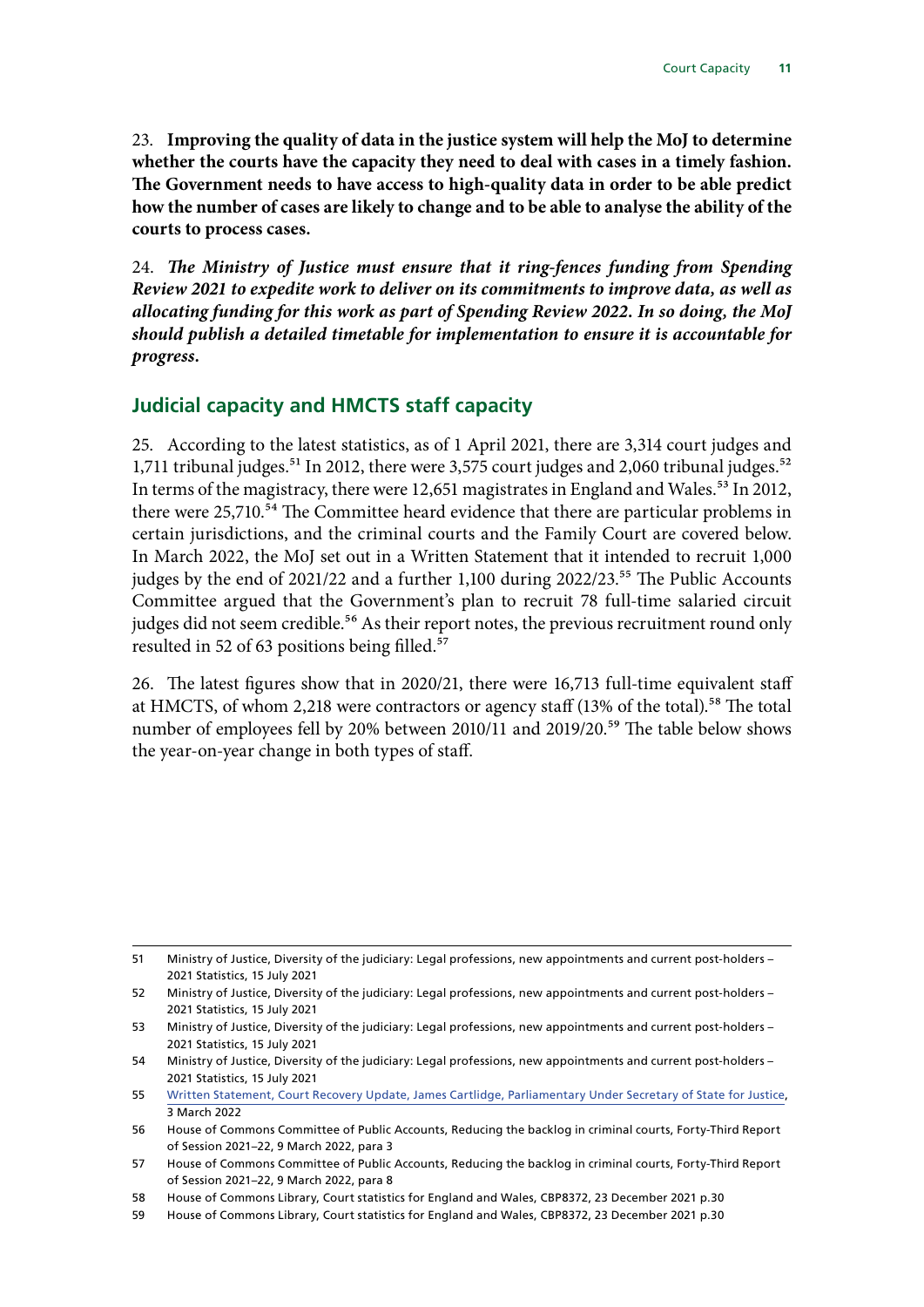<span id="page-12-0"></span>23. **Improving the quality of data in the justice system will help the MoJ to determine whether the courts have the capacity they need to deal with cases in a timely fashion. The Government needs to have access to high-quality data in order to be able predict how the number of cases are likely to change and to be able to analyse the ability of the courts to process cases.**

24. *The Ministry of Justice must ensure that it ring-fences funding from Spending Review 2021 to expedite work to deliver on its commitments to improve data, as well as allocating funding for this work as part of Spending Review 2022. In so doing, the MoJ should publish a detailed timetable for implementation to ensure it is accountable for progress.*

## **Judicial capacity and HMCTS staff capacity**

25. According to the latest statistics, as of 1 April 2021, there are 3,314 court judges and 1,711 tribunal judges.<sup>51</sup> In 2012, there were 3,575 court judges and 2,060 tribunal judges.<sup>52</sup> In terms of the magistracy, there were 12,651 magistrates in England and Wales.<sup>53</sup> In 2012, there were 25,710.<sup>54</sup> The Committee heard evidence that there are particular problems in certain jurisdictions, and the criminal courts and the Family Court are covered below. In March 2022, the MoJ set out in a Written Statement that it intended to recruit 1,000 judges by the end of 2021/22 and a further 1,100 during 2022/23.<sup>55</sup> The Public Accounts Committee argued that the Government's plan to recruit 78 full-time salaried circuit judges did not seem credible.<sup>56</sup> As their report notes, the previous recruitment round only resulted in 52 of 63 positions being filled.<sup>57</sup>

26. The latest figures show that in 2020/21, there were 16,713 full-time equivalent staff at HMCTS, of whom 2,218 were contractors or agency staff (13% of the total).<sup>58</sup> The total number of employees fell by 20% between 2010/11 and 2019/20.<sup>59</sup> The table below shows the year-on-year change in both types of staff.

<sup>51</sup> Ministry of Justice, Diversity of the judiciary: Legal professions, new appointments and current post-holders – 2021 Statistics, 15 July 2021

<sup>52</sup> Ministry of Justice, Diversity of the judiciary: Legal professions, new appointments and current post-holders – 2021 Statistics, 15 July 2021

<sup>53</sup> Ministry of Justice, Diversity of the judiciary: Legal professions, new appointments and current post-holders – 2021 Statistics, 15 July 2021

<sup>54</sup> Ministry of Justice, Diversity of the judiciary: Legal professions, new appointments and current post-holders – 2021 Statistics, 15 July 2021

<sup>55</sup> [Written Statement, Court Recovery Update, James Cartlidge, Parliamentary Under Secretary of State for Justice,](https://questions-statements.parliament.uk/written-statements/detail/2022-03-03/hcws657) 3 March 2022

<sup>56</sup> House of Commons Committee of Public Accounts, Reducing the backlog in criminal courts, Forty-Third Report of Session 2021–22, 9 March 2022, para 3

<sup>57</sup> House of Commons Committee of Public Accounts, Reducing the backlog in criminal courts, Forty-Third Report of Session 2021–22, 9 March 2022, para 8

<sup>58</sup> House of Commons Library, Court statistics for England and Wales, CBP8372, 23 December 2021 p.30

<sup>59</sup> House of Commons Library, Court statistics for England and Wales, CBP8372, 23 December 2021 p.30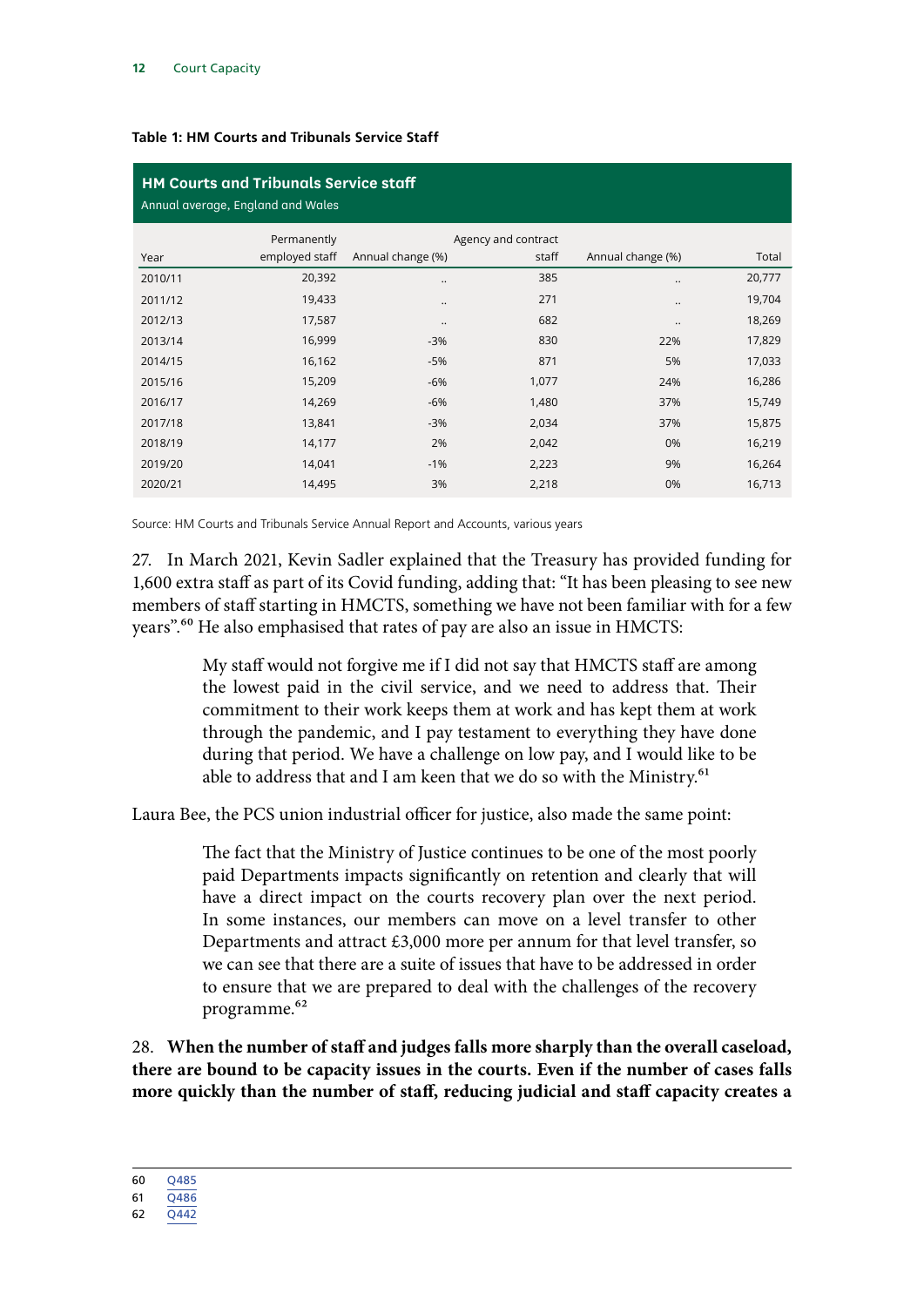| <b>HM Courts and Tribunals Service staff</b><br>Annual average, England and Wales |                |                   |                     |                   |        |
|-----------------------------------------------------------------------------------|----------------|-------------------|---------------------|-------------------|--------|
|                                                                                   | Permanently    |                   | Agency and contract |                   |        |
| Year                                                                              | employed staff | Annual change (%) | staff               | Annual change (%) | Total  |
| 2010/11                                                                           | 20,392         |                   | 385                 |                   | 20,777 |
| 2011/12                                                                           | 19,433         |                   | 271                 |                   | 19,704 |
| 2012/13                                                                           | 17,587         | $\cdot$ .         | 682                 | $\cdot$ .         | 18,269 |
| 2013/14                                                                           | 16,999         | $-3%$             | 830                 | 22%               | 17,829 |
| 2014/15                                                                           | 16,162         | -5%               | 871                 | 5%                | 17,033 |
| 2015/16                                                                           | 15,209         | $-6%$             | 1,077               | 24%               | 16,286 |
| 2016/17                                                                           | 14,269         | $-6%$             | 1,480               | 37%               | 15,749 |
| 2017/18                                                                           | 13,841         | $-3%$             | 2,034               | 37%               | 15,875 |
| 2018/19                                                                           | 14,177         | 2%                | 2,042               | 0%                | 16,219 |
| 2019/20                                                                           | 14,041         | $-1%$             | 2,223               | 9%                | 16,264 |
| 2020/21                                                                           | 14,495         | 3%                | 2,218               | 0%                | 16,713 |

#### **Table 1: HM Courts and Tribunals Service Staff**

Source: HM Courts and Tribunals Service Annual Report and Accounts, various years

27. In March 2021, Kevin Sadler explained that the Treasury has provided funding for 1,600 extra staff as part of its Covid funding, adding that: "It has been pleasing to see new members of staff starting in HMCTS, something we have not been familiar with for a few years".<sup>60</sup> He also emphasised that rates of pay are also an issue in HMCTS:

> My staff would not forgive me if I did not say that HMCTS staff are among the lowest paid in the civil service, and we need to address that. Their commitment to their work keeps them at work and has kept them at work through the pandemic, and I pay testament to everything they have done during that period. We have a challenge on low pay, and I would like to be able to address that and I am keen that we do so with the Ministry.<sup>61</sup>

Laura Bee, the PCS union industrial officer for justice, also made the same point:

The fact that the Ministry of Justice continues to be one of the most poorly paid Departments impacts significantly on retention and clearly that will have a direct impact on the courts recovery plan over the next period. In some instances, our members can move on a level transfer to other Departments and attract £3,000 more per annum for that level transfer, so we can see that there are a suite of issues that have to be addressed in order to ensure that we are prepared to deal with the challenges of the recovery programme.62

28. **When the number of staff and judges falls more sharply than the overall caseload, there are bound to be capacity issues in the courts. Even if the number of cases falls more quickly than the number of staff, reducing judicial and staff capacity creates a** 

<sup>60</sup> [Q485](https://committees.parliament.uk/oralevidence/1967/html/)

<sup>61</sup> [Q486](https://committees.parliament.uk/oralevidence/1967/html/)

<sup>62</sup> [Q442](https://committees.parliament.uk/oralevidence/1878/html/)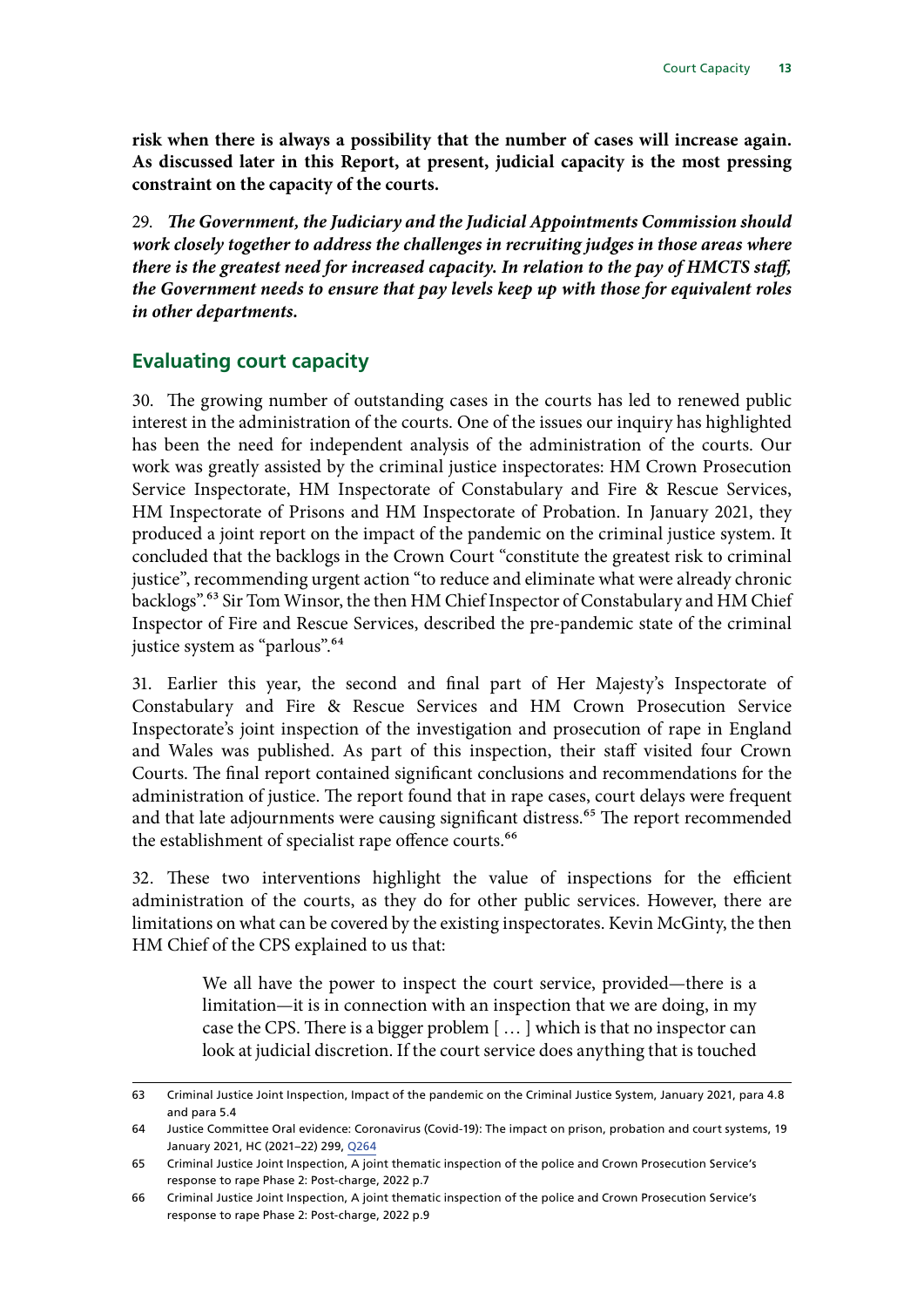<span id="page-14-0"></span>**risk when there is always a possibility that the number of cases will increase again. As discussed later in this Report, at present, judicial capacity is the most pressing constraint on the capacity of the courts.**

29. *The Government, the Judiciary and the Judicial Appointments Commission should work closely together to address the challenges in recruiting judges in those areas where there is the greatest need for increased capacity. In relation to the pay of HMCTS staff, the Government needs to ensure that pay levels keep up with those for equivalent roles in other departments.*

#### **Evaluating court capacity**

30. The growing number of outstanding cases in the courts has led to renewed public interest in the administration of the courts. One of the issues our inquiry has highlighted has been the need for independent analysis of the administration of the courts. Our work was greatly assisted by the criminal justice inspectorates: HM Crown Prosecution Service Inspectorate, HM Inspectorate of Constabulary and Fire & Rescue Services, HM Inspectorate of Prisons and HM Inspectorate of Probation. In January 2021, they produced a joint report on the impact of the pandemic on the criminal justice system. It concluded that the backlogs in the Crown Court "constitute the greatest risk to criminal justice", recommending urgent action "to reduce and eliminate what were already chronic backlogs".63 Sir Tom Winsor, the then HM Chief Inspector of Constabulary and HM Chief Inspector of Fire and Rescue Services, described the pre-pandemic state of the criminal justice system as "parlous".<sup>64</sup>

31. Earlier this year, the second and final part of Her Majesty's Inspectorate of Constabulary and Fire & Rescue Services and HM Crown Prosecution Service Inspectorate's joint inspection of the investigation and prosecution of rape in England and Wales was published. As part of this inspection, their staff visited four Crown Courts. The final report contained significant conclusions and recommendations for the administration of justice. The report found that in rape cases, court delays were frequent and that late adjournments were causing significant distress.<sup>65</sup> The report recommended the establishment of specialist rape offence courts.<sup>66</sup>

32. These two interventions highlight the value of inspections for the efficient administration of the courts, as they do for other public services. However, there are limitations on what can be covered by the existing inspectorates. Kevin McGinty, the then HM Chief of the CPS explained to us that:

> We all have the power to inspect the court service, provided—there is a limitation—it is in connection with an inspection that we are doing, in my case the CPS. There is a bigger problem [ … ] which is that no inspector can look at judicial discretion. If the court service does anything that is touched

<sup>63</sup> Criminal Justice Joint Inspection, Impact of the pandemic on the Criminal Justice System, January 2021, para 4.8 and para 5.4

<sup>64</sup> Justice Committee Oral evidence: Coronavirus (Covid-19): The impact on prison, probation and court systems, 19 January 2021, HC (2021–22) 299, [Q264](https://committees.parliament.uk/oralevidence/1547/pdf/)

<sup>65</sup> Criminal Justice Joint Inspection, A joint thematic inspection of the police and Crown Prosecution Service's response to rape Phase 2: Post-charge, 2022 p.7

<sup>66</sup> Criminal Justice Joint Inspection, A joint thematic inspection of the police and Crown Prosecution Service's response to rape Phase 2: Post-charge, 2022 p.9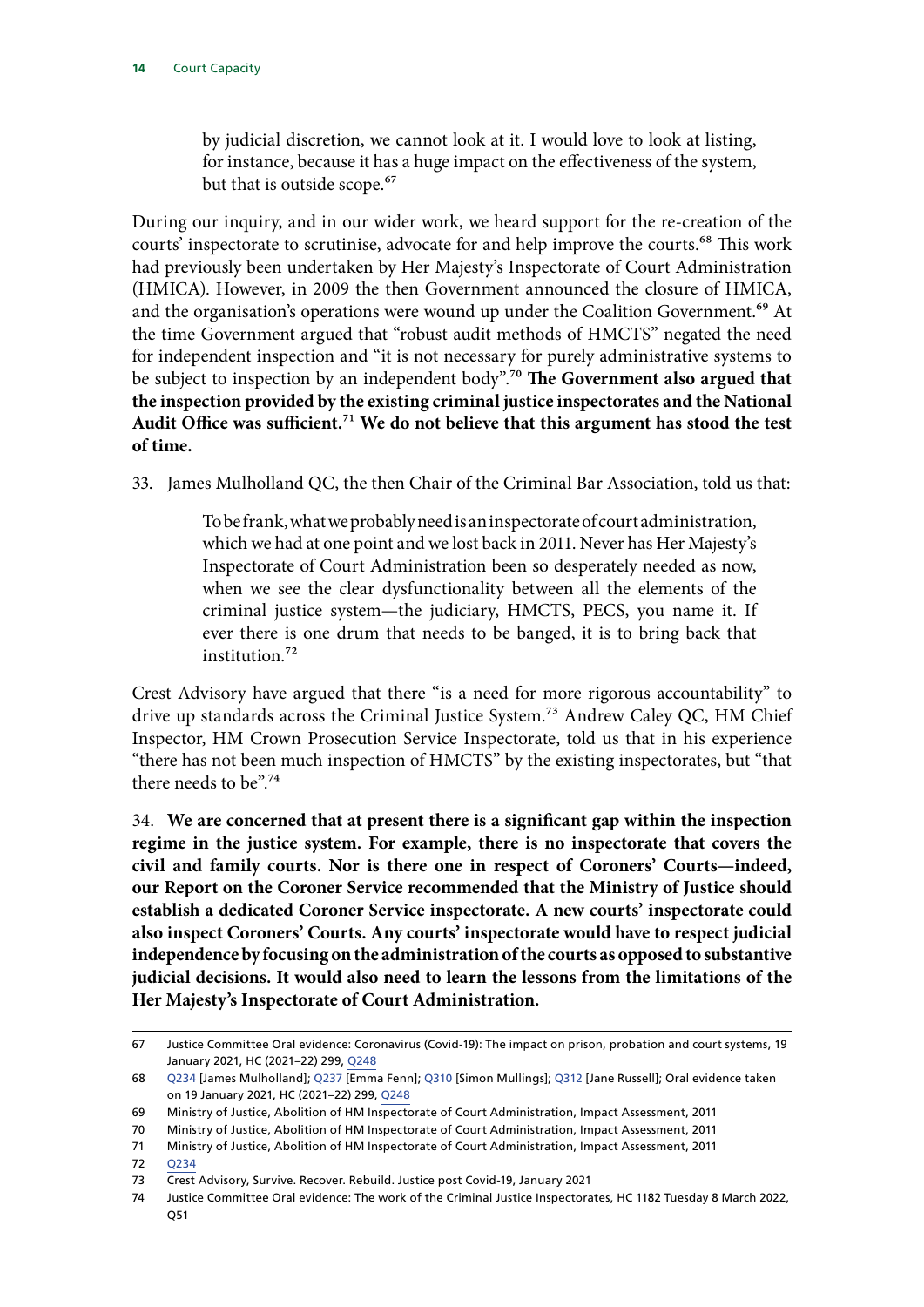by judicial discretion, we cannot look at it. I would love to look at listing, for instance, because it has a huge impact on the effectiveness of the system, but that is outside scope.<sup>67</sup>

During our inquiry, and in our wider work, we heard support for the re-creation of the courts' inspectorate to scrutinise, advocate for and help improve the courts.<sup>68</sup> This work had previously been undertaken by Her Majesty's Inspectorate of Court Administration (HMICA). However, in 2009 the then Government announced the closure of HMICA, and the organisation's operations were wound up under the Coalition Government.<sup>69</sup> At the time Government argued that "robust audit methods of HMCTS" negated the need for independent inspection and "it is not necessary for purely administrative systems to be subject to inspection by an independent body".<sup>70</sup> The Government also argued that **the inspection provided by the existing criminal justice inspectorates and the National Audit Office was sufficient.**71 **We do not believe that this argument has stood the test of time.**

33. James Mulholland QC, the then Chair of the Criminal Bar Association, told us that:

To be frank, what we probably need is an inspectorate of court administration, which we had at one point and we lost back in 2011. Never has Her Majesty's Inspectorate of Court Administration been so desperately needed as now, when we see the clear dysfunctionality between all the elements of the criminal justice system—the judiciary, HMCTS, PECS, you name it. If ever there is one drum that needs to be banged, it is to bring back that institution.72

Crest Advisory have argued that there "is a need for more rigorous accountability" to drive up standards across the Criminal Justice System.<sup>73</sup> Andrew Caley QC, HM Chief Inspector, HM Crown Prosecution Service Inspectorate, told us that in his experience "there has not been much inspection of HMCTS" by the existing inspectorates, but "that there needs to be".74

34. **We are concerned that at present there is a significant gap within the inspection regime in the justice system. For example, there is no inspectorate that covers the civil and family courts. Nor is there one in respect of Coroners' Courts—indeed, our Report on the Coroner Service recommended that the Ministry of Justice should establish a dedicated Coroner Service inspectorate. A new courts' inspectorate could also inspect Coroners' Courts. Any courts' inspectorate would have to respect judicial independence by focusing on the administration of the courts as opposed to substantive judicial decisions. It would also need to learn the lessons from the limitations of the Her Majesty's Inspectorate of Court Administration.**

<sup>67</sup> Justice Committee Oral evidence: Coronavirus (Covid-19): The impact on prison, probation and court systems, 19 January 2021, HC (2021–22) 299, [Q248](https://committees.parliament.uk/oralevidence/1547/pdf/)

<sup>68</sup> [Q234](https://committees.parliament.uk/oralevidence/1718/html/) [James Mulholland]; [Q237](https://committees.parliament.uk/oralevidence/1718/html/) [Emma Fenn]; [Q310](https://committees.parliament.uk/oralevidence/1734/html/) [Simon Mullings]; [Q312](https://committees.parliament.uk/oralevidence/1734/html/) [Jane Russell]; Oral evidence taken on 19 January 2021, HC (2021–22) 299, [Q248](https://committees.parliament.uk/oralevidence/1547/pdf/)

<sup>69</sup> Ministry of Justice, Abolition of HM Inspectorate of Court Administration, Impact Assessment, 2011

<sup>70</sup> Ministry of Justice, Abolition of HM Inspectorate of Court Administration, Impact Assessment, 2011

<sup>71</sup> Ministry of Justice, Abolition of HM Inspectorate of Court Administration, Impact Assessment, 2011

<sup>72</sup> [Q234](https://committees.parliament.uk/oralevidence/1718/html/)

<sup>73</sup> Crest Advisory, Survive. Recover. Rebuild. Justice post Covid-19, January 2021

<sup>74</sup> Justice Committee Oral evidence: The work of the Criminal Justice Inspectorates, HC 1182 Tuesday 8 March 2022, Q51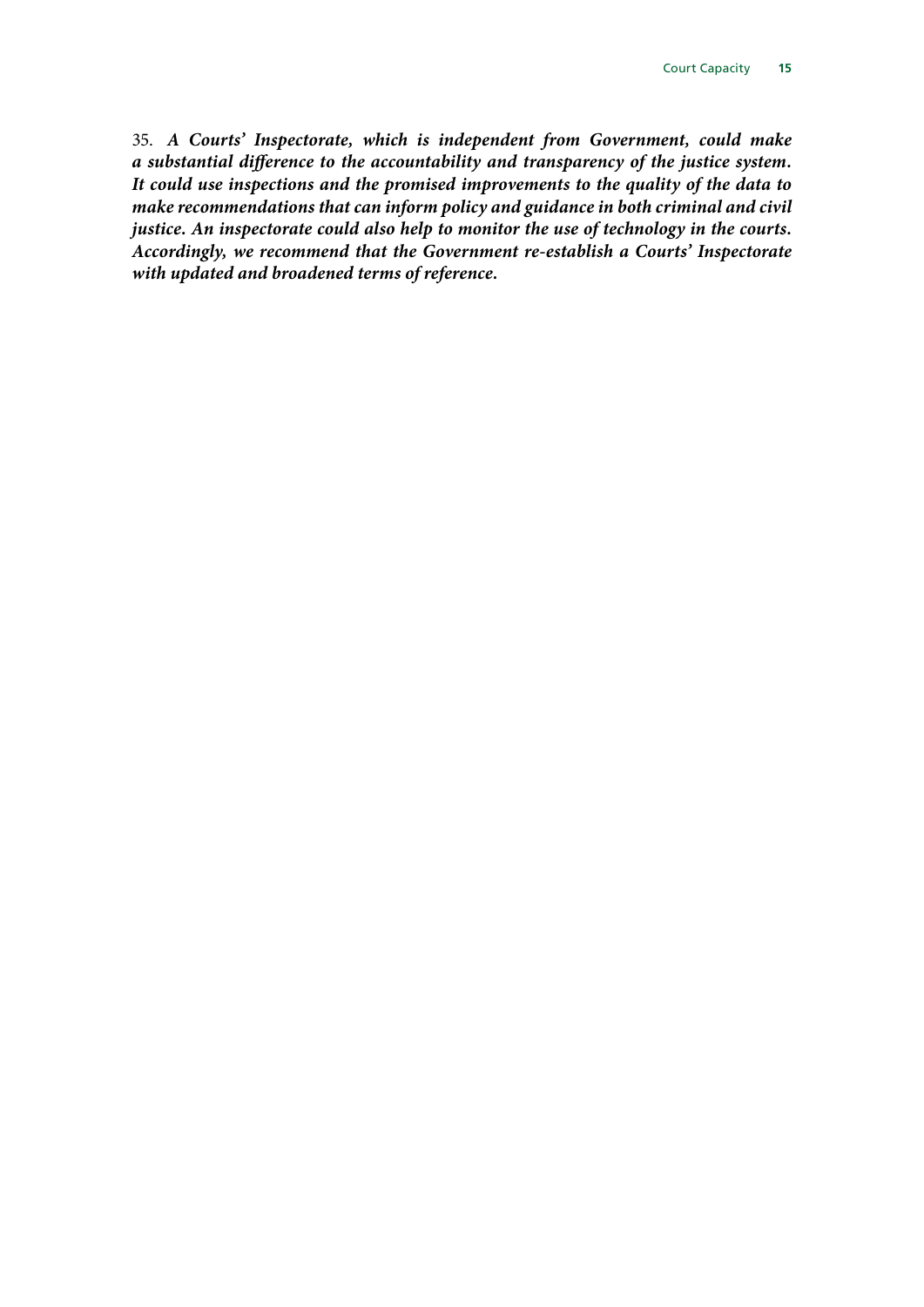35. *A Courts' Inspectorate, which is independent from Government, could make a substantial difference to the accountability and transparency of the justice system. It could use inspections and the promised improvements to the quality of the data to make recommendations that can inform policy and guidance in both criminal and civil justice. An inspectorate could also help to monitor the use of technology in the courts. Accordingly, we recommend that the Government re-establish a Courts' Inspectorate with updated and broadened terms of reference.*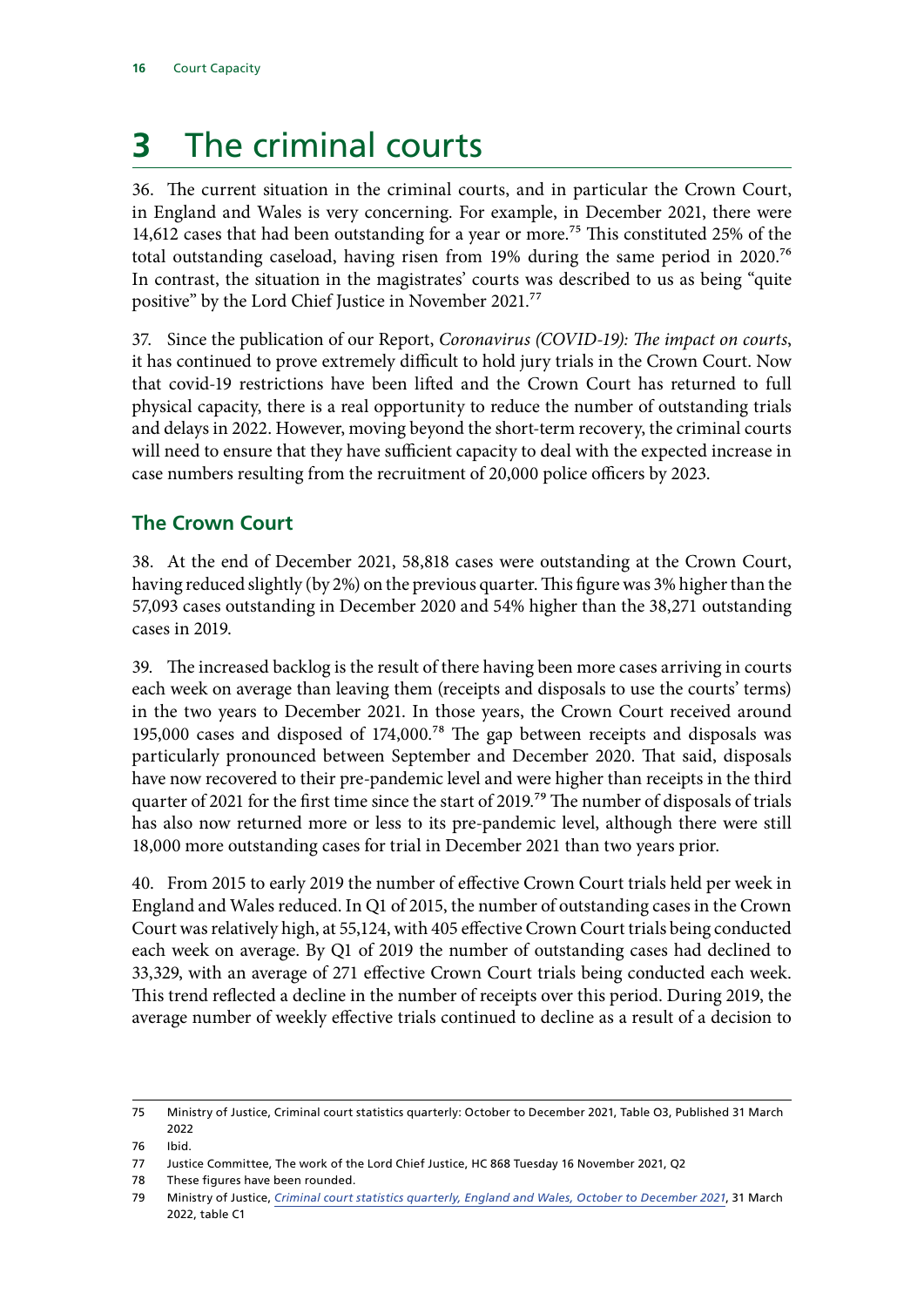# <span id="page-17-0"></span>**3** The criminal courts

36. The current situation in the criminal courts, and in particular the Crown Court, in England and Wales is very concerning. For example, in December 2021, there were 14,612 cases that had been outstanding for a year or more.<sup>75</sup> This constituted 25% of the total outstanding caseload, having risen from 19% during the same period in 2020.76 In contrast, the situation in the magistrates' courts was described to us as being "quite positive" by the Lord Chief Justice in November 2021.77

37. Since the publication of our Report, *Coronavirus (COVID-19): The impact on courts*, it has continued to prove extremely difficult to hold jury trials in the Crown Court. Now that covid-19 restrictions have been lifted and the Crown Court has returned to full physical capacity, there is a real opportunity to reduce the number of outstanding trials and delays in 2022. However, moving beyond the short-term recovery, the criminal courts will need to ensure that they have sufficient capacity to deal with the expected increase in case numbers resulting from the recruitment of 20,000 police officers by 2023.

## **The Crown Court**

38. At the end of December 2021, 58,818 cases were outstanding at the Crown Court, having reduced slightly (by 2%) on the previous quarter. This figure was 3% higher than the 57,093 cases outstanding in December 2020 and 54% higher than the 38,271 outstanding cases in 2019.

39. The increased backlog is the result of there having been more cases arriving in courts each week on average than leaving them (receipts and disposals to use the courts' terms) in the two years to December 2021. In those years, the Crown Court received around 195,000 cases and disposed of 174,000.78 The gap between receipts and disposals was particularly pronounced between September and December 2020. That said, disposals have now recovered to their pre-pandemic level and were higher than receipts in the third quarter of 2021 for the first time since the start of 2019.<sup>79</sup> The number of disposals of trials has also now returned more or less to its pre-pandemic level, although there were still 18,000 more outstanding cases for trial in December 2021 than two years prior.

40. From 2015 to early 2019 the number of effective Crown Court trials held per week in England and Wales reduced. In Q1 of 2015, the number of outstanding cases in the Crown Court was relatively high, at 55,124, with 405 effective Crown Court trials being conducted each week on average. By Q1 of 2019 the number of outstanding cases had declined to 33,329, with an average of 271 effective Crown Court trials being conducted each week. This trend reflected a decline in the number of receipts over this period. During 2019, the average number of weekly effective trials continued to decline as a result of a decision to

<sup>75</sup> Ministry of Justice, Criminal court statistics quarterly: October to December 2021, Table O3, Published 31 March 2022

<sup>76</sup> Ibid.

<sup>77</sup> Justice Committee, The work of the Lord Chief Justice, HC 868 Tuesday 16 November 2021, Q2

<sup>78</sup> These figures have been rounded.

<sup>79</sup> Ministry of Justice, *[Criminal court statistics quarterly, England and Wales, October to December 2021](https://www.gov.uk/government/collections/criminal-court-statistics)*, 31 March 2022, table C1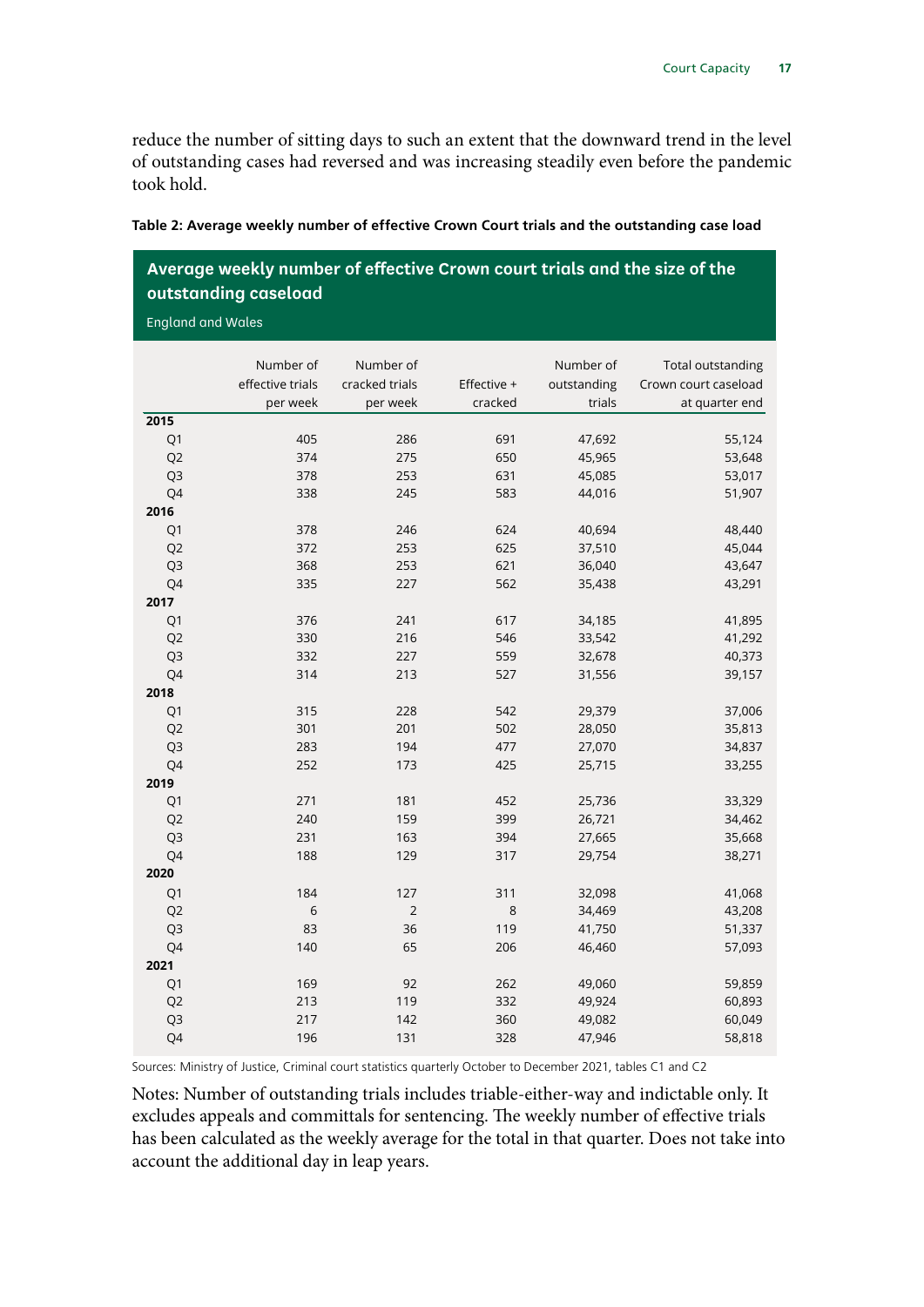reduce the number of sitting days to such an extent that the downward trend in the level of outstanding cases had reversed and was increasing steadily even before the pandemic took hold.

| Average weekly number of effective Crown court trials and the size of the<br>outstanding caseload |                                           |                                         |                        |                                    |                                                             |  |
|---------------------------------------------------------------------------------------------------|-------------------------------------------|-----------------------------------------|------------------------|------------------------------------|-------------------------------------------------------------|--|
| <b>England and Wales</b>                                                                          |                                           |                                         |                        |                                    |                                                             |  |
|                                                                                                   | Number of<br>effective trials<br>per week | Number of<br>cracked trials<br>per week | Effective +<br>cracked | Number of<br>outstanding<br>trials | Total outstanding<br>Crown court caseload<br>at quarter end |  |
| 2015                                                                                              |                                           |                                         |                        |                                    |                                                             |  |
| Q1                                                                                                | 405                                       | 286                                     | 691                    | 47,692                             | 55,124                                                      |  |
| Q <sub>2</sub>                                                                                    | 374                                       | 275                                     | 650                    | 45,965                             | 53,648                                                      |  |
| Q3                                                                                                | 378                                       | 253                                     | 631                    | 45,085                             | 53,017                                                      |  |
| Q4                                                                                                | 338                                       | 245                                     | 583                    | 44,016                             | 51,907                                                      |  |
| 2016                                                                                              |                                           |                                         |                        |                                    |                                                             |  |
| Q1                                                                                                | 378                                       | 246                                     | 624                    | 40,694                             | 48,440                                                      |  |
| Q <sub>2</sub>                                                                                    | 372                                       | 253                                     | 625                    | 37,510                             | 45,044                                                      |  |
| Q3                                                                                                | 368                                       | 253                                     | 621                    | 36,040                             | 43,647                                                      |  |
| Q4                                                                                                | 335                                       | 227                                     | 562                    | 35,438                             | 43,291                                                      |  |
| 2017                                                                                              |                                           |                                         |                        |                                    |                                                             |  |
| Q <sub>1</sub>                                                                                    | 376                                       | 241<br>216                              | 617<br>546             | 34,185                             | 41,895                                                      |  |
| Q <sub>2</sub>                                                                                    | 330<br>332                                | 227                                     | 559                    | 33,542<br>32,678                   | 41,292                                                      |  |
| Q3<br>Q4                                                                                          | 314                                       | 213                                     | 527                    | 31,556                             | 40,373<br>39,157                                            |  |
| 2018                                                                                              |                                           |                                         |                        |                                    |                                                             |  |
| Q <sub>1</sub>                                                                                    | 315                                       | 228                                     | 542                    | 29,379                             | 37,006                                                      |  |
| Q <sub>2</sub>                                                                                    | 301                                       | 201                                     | 502                    | 28,050                             | 35,813                                                      |  |
| Q3                                                                                                | 283                                       | 194                                     | 477                    | 27,070                             | 34,837                                                      |  |
| Q4                                                                                                | 252                                       | 173                                     | 425                    | 25,715                             | 33,255                                                      |  |
| 2019                                                                                              |                                           |                                         |                        |                                    |                                                             |  |
| Q1                                                                                                | 271                                       | 181                                     | 452                    | 25,736                             | 33,329                                                      |  |
| Q <sub>2</sub>                                                                                    | 240                                       | 159                                     | 399                    | 26,721                             | 34,462                                                      |  |
| Q <sub>3</sub>                                                                                    | 231                                       | 163                                     | 394                    | 27,665                             | 35,668                                                      |  |
| Q4                                                                                                | 188                                       | 129                                     | 317                    | 29,754                             | 38,271                                                      |  |
| 2020                                                                                              |                                           |                                         |                        |                                    |                                                             |  |
| Q1                                                                                                | 184                                       | 127                                     | 311                    | 32,098                             | 41,068                                                      |  |
| Q <sub>2</sub>                                                                                    | 6                                         | $\overline{2}$                          | 8                      | 34,469                             | 43,208                                                      |  |
| Q3                                                                                                | 83                                        | 36                                      | 119                    | 41,750                             | 51,337                                                      |  |
| Q4                                                                                                | 140                                       | 65                                      | 206                    | 46,460                             | 57,093                                                      |  |
| 2021                                                                                              |                                           |                                         |                        |                                    |                                                             |  |
| Q1                                                                                                | 169                                       | 92                                      | 262                    | 49,060                             | 59,859                                                      |  |
| Q <sub>2</sub>                                                                                    | 213                                       | 119                                     | 332                    | 49,924                             | 60,893                                                      |  |
| Q3                                                                                                | 217                                       | 142                                     | 360                    | 49,082                             | 60,049                                                      |  |
| Q4                                                                                                | 196                                       | 131                                     | 328                    | 47,946                             | 58,818                                                      |  |

|  |  |  | Table 2: Average weekly number of effective Crown Court trials and the outstanding case load |  |
|--|--|--|----------------------------------------------------------------------------------------------|--|
|  |  |  |                                                                                              |  |

Sources: Ministry of Justice, Criminal court statistics quarterly October to December 2021, tables C1 and C2

Notes: Number of outstanding trials includes triable-either-way and indictable only. It excludes appeals and committals for sentencing. The weekly number of effective trials has been calculated as the weekly average for the total in that quarter. Does not take into account the additional day in leap years.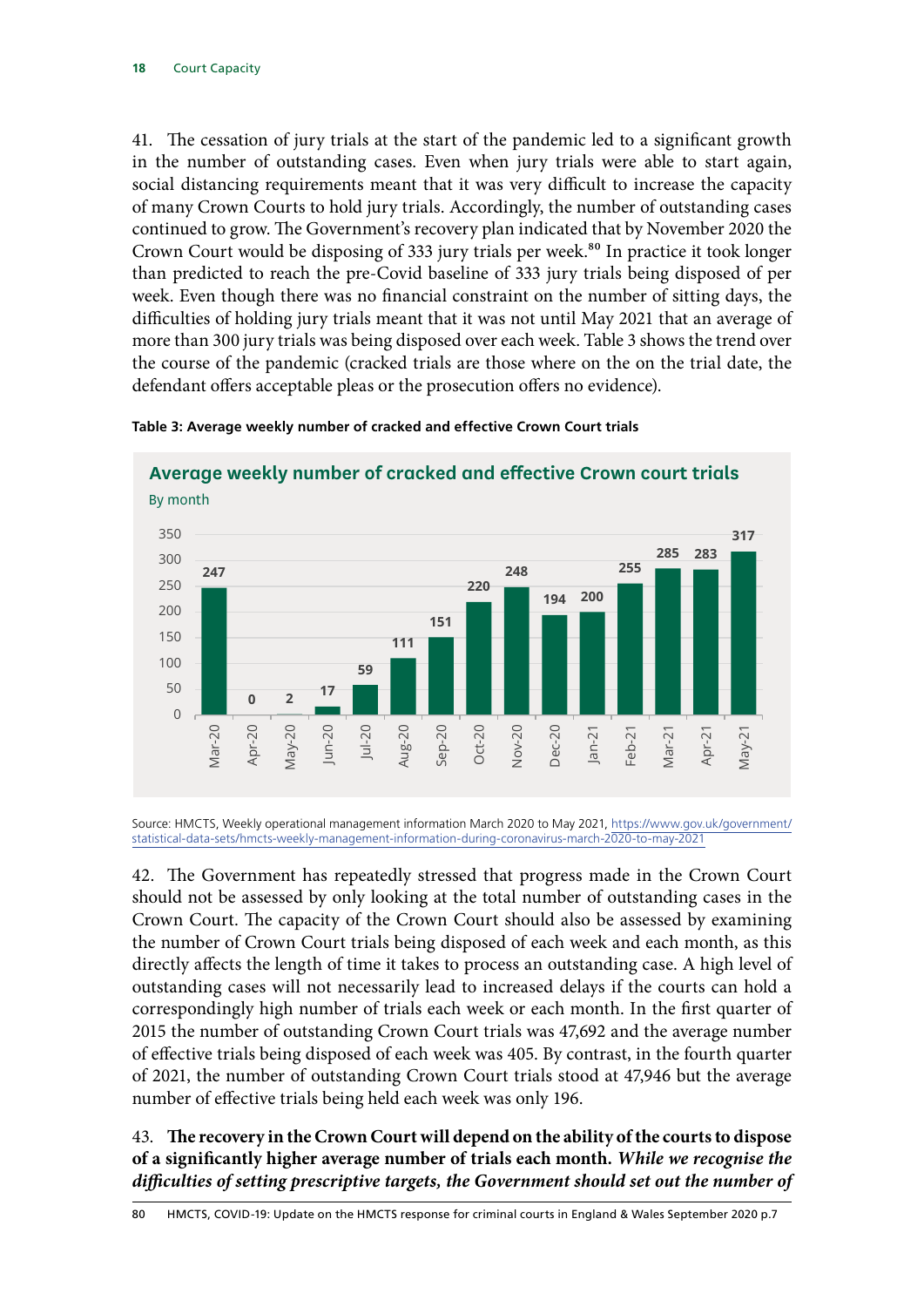41. The cessation of jury trials at the start of the pandemic led to a significant growth in the number of outstanding cases. Even when jury trials were able to start again, social distancing requirements meant that it was very difficult to increase the capacity of many Crown Courts to hold jury trials. Accordingly, the number of outstanding cases continued to grow. The Government's recovery plan indicated that by November 2020 the Crown Court would be disposing of 333 jury trials per week.<sup>80</sup> In practice it took longer than predicted to reach the pre-Covid baseline of 333 jury trials being disposed of per week. Even though there was no financial constraint on the number of sitting days, the difficulties of holding jury trials meant that it was not until May 2021 that an average of more than 300 jury trials was being disposed over each week. Table 3 shows the trend over the course of the pandemic (cracked trials are those where on the on the trial date, the defendant offers acceptable pleas or the prosecution offers no evidence).



#### **Table 3: Average weekly number of cracked and effective Crown Court trials**

Source: HMCTS, Weekly operational management information March 2020 to May 2021, [https://www.gov.uk/government/](https://www.gov.uk/government/statistical-data-sets/hmcts-weekly-management-information-during-coronavirus-march-2020-to-may-2021 ) [statistical-data-sets/hmcts-weekly-management-information-during-coronavirus-march-2020-to-may-2021](https://www.gov.uk/government/statistical-data-sets/hmcts-weekly-management-information-during-coronavirus-march-2020-to-may-2021 )

42. The Government has repeatedly stressed that progress made in the Crown Court should not be assessed by only looking at the total number of outstanding cases in the Crown Court. The capacity of the Crown Court should also be assessed by examining the number of Crown Court trials being disposed of each week and each month, as this directly affects the length of time it takes to process an outstanding case. A high level of outstanding cases will not necessarily lead to increased delays if the courts can hold a correspondingly high number of trials each week or each month. In the first quarter of 2015 the number of outstanding Crown Court trials was 47,692 and the average number of effective trials being disposed of each week was 405. By contrast, in the fourth quarter of 2021, the number of outstanding Crown Court trials stood at 47,946 but the average number of effective trials being held each week was only 196.

43. **The recovery in the Crown Court will depend on the ability of the courts to dispose of a significantly higher average number of trials each month.** *While we recognise the difficulties of setting prescriptive targets, the Government should set out the number of*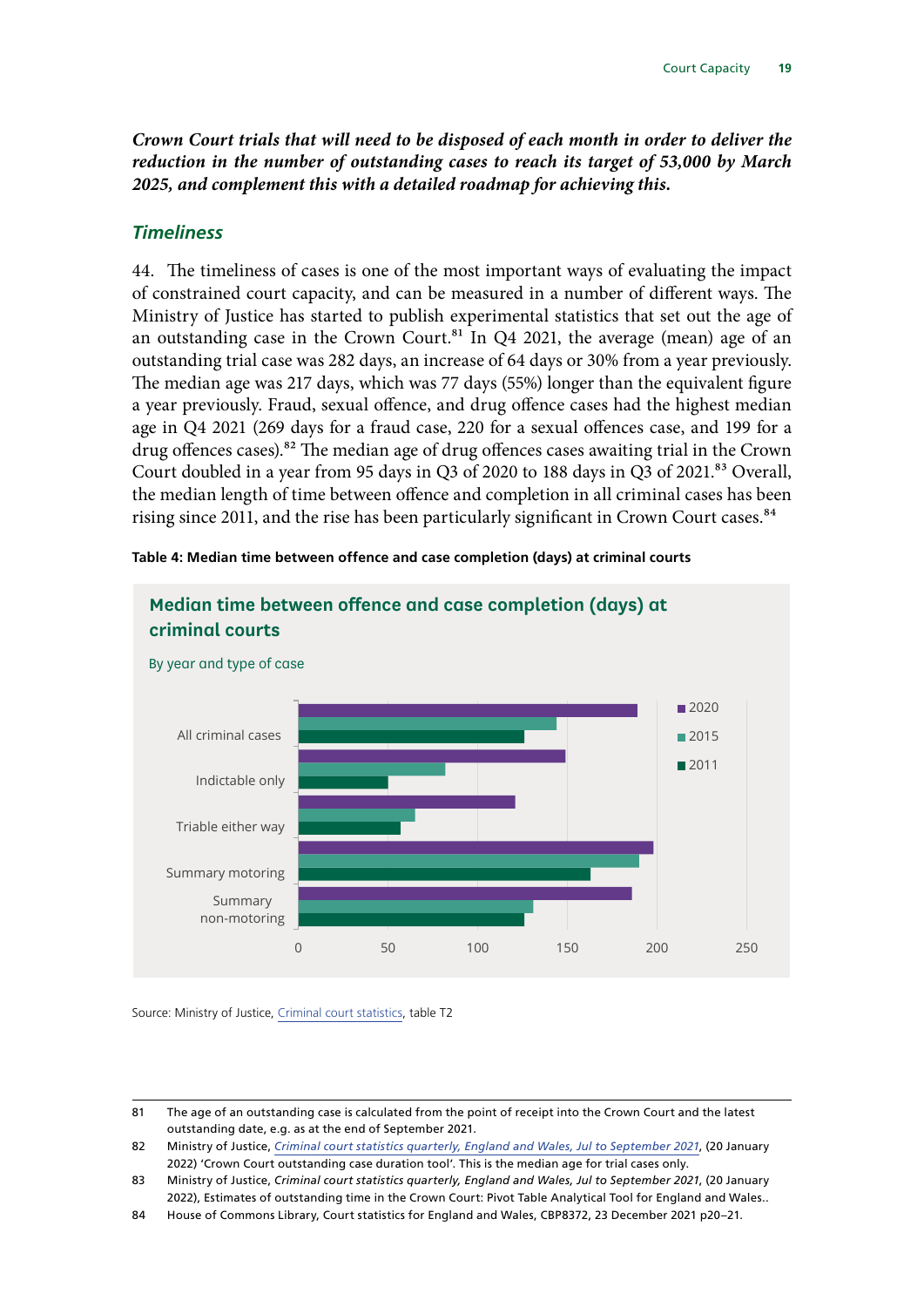<span id="page-20-0"></span>*Crown Court trials that will need to be disposed of each month in order to deliver the reduction in the number of outstanding cases to reach its target of 53,000 by March 2025, and complement this with a detailed roadmap for achieving this.*

#### *Timeliness*

44. The timeliness of cases is one of the most important ways of evaluating the impact of constrained court capacity, and can be measured in a number of different ways. The Ministry of Justice has started to publish experimental statistics that set out the age of an outstanding case in the Crown Court.<sup>81</sup> In Q4 2021, the average (mean) age of an outstanding trial case was 282 days, an increase of 64 days or 30% from a year previously. The median age was 217 days, which was 77 days (55%) longer than the equivalent figure a year previously. Fraud, sexual offence, and drug offence cases had the highest median age in Q4 2021 (269 days for a fraud case, 220 for a sexual offences case, and 199 for a drug offences cases).<sup>82</sup> The median age of drug offences cases awaiting trial in the Crown Court doubled in a year from 95 days in Q3 of 2020 to 188 days in Q3 of 2021.<sup>83</sup> Overall, the median length of time between offence and completion in all criminal cases has been rising since 2011, and the rise has been particularly significant in Crown Court cases.<sup>84</sup>



**Table 4: Median time between offence and case completion (days) at criminal courts**

Source: Ministry of Justice, [Criminal court statistics](https://www.gov.uk/government/collections/criminal-court-statistics), table T2

<sup>81</sup> The age of an outstanding case is calculated from the point of receipt into the Crown Court and the latest outstanding date, e.g. as at the end of September 2021.

<sup>82</sup> Ministry of Justice, *[Criminal court statistics quarterly, England and Wales, Jul to September 2021](https://www.gov.uk/government/collections/criminal-court-statistics)*, (20 January 2022) 'Crown Court outstanding case duration tool'. This is the median age for trial cases only.

<sup>83</sup> Ministry of Justice, *[Criminal court statistics quarterly, England and Wales, Jul to September 2021](https://www.gov.uk/government/collections/criminal-court-statistics)*, (20 January 2022), Estimates of outstanding time in the Crown Court: Pivot Table Analytical Tool for England and Wales..

<sup>84</sup> House of Commons Library, Court statistics for England and Wales, CBP8372, 23 December 2021 p20–21.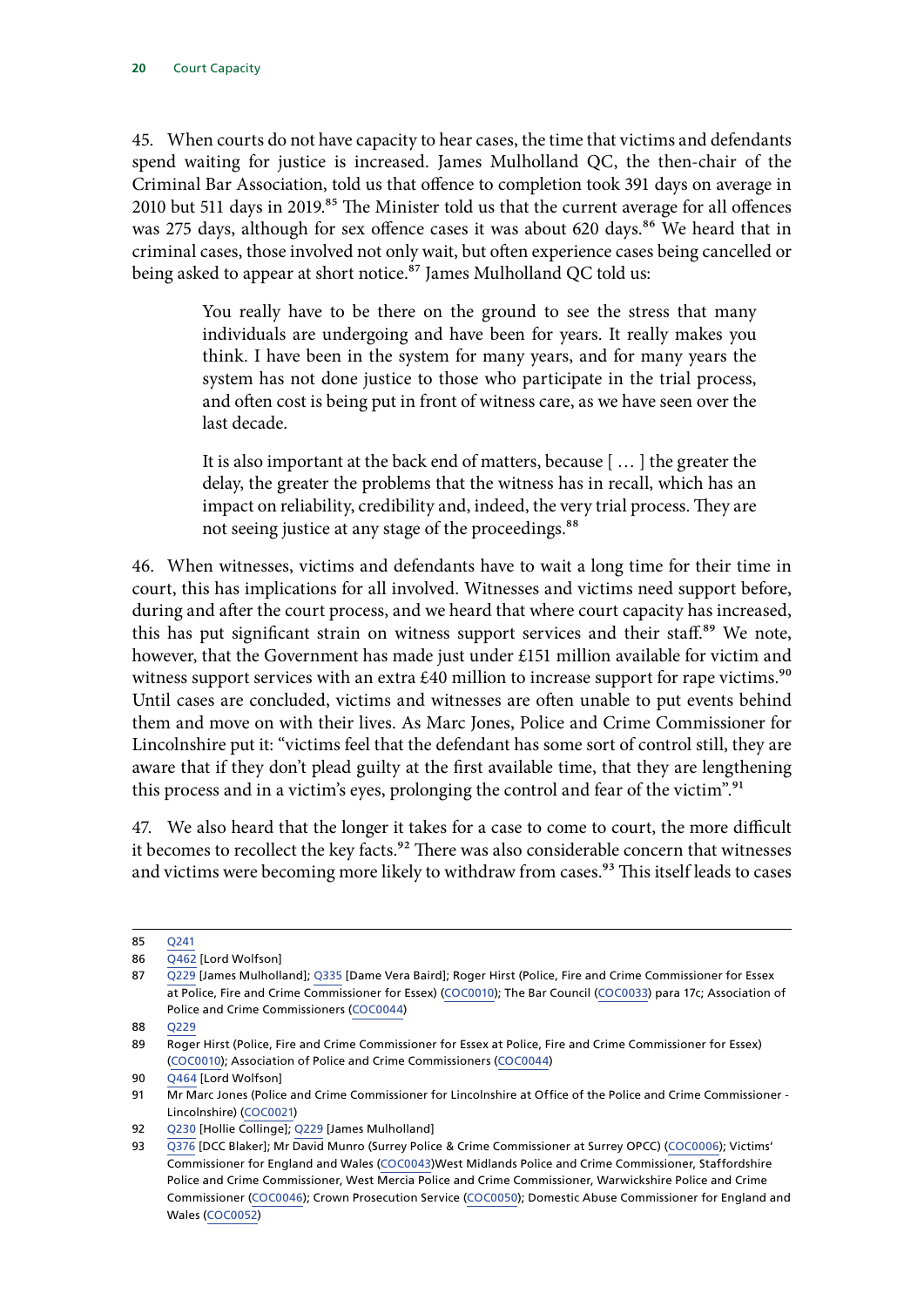45. When courts do not have capacity to hear cases, the time that victims and defendants spend waiting for justice is increased. James Mulholland QC, the then-chair of the Criminal Bar Association, told us that offence to completion took 391 days on average in 2010 but 511 days in 2019.<sup>85</sup> The Minister told us that the current average for all offences was 275 days, although for sex offence cases it was about 620 days.<sup>86</sup> We heard that in criminal cases, those involved not only wait, but often experience cases being cancelled or being asked to appear at short notice.<sup>87</sup> James Mulholland QC told us:

> You really have to be there on the ground to see the stress that many individuals are undergoing and have been for years. It really makes you think. I have been in the system for many years, and for many years the system has not done justice to those who participate in the trial process, and often cost is being put in front of witness care, as we have seen over the last decade.

> It is also important at the back end of matters, because [ … ] the greater the delay, the greater the problems that the witness has in recall, which has an impact on reliability, credibility and, indeed, the very trial process. They are not seeing justice at any stage of the proceedings.<sup>88</sup>

46. When witnesses, victims and defendants have to wait a long time for their time in court, this has implications for all involved. Witnesses and victims need support before, during and after the court process, and we heard that where court capacity has increased, this has put significant strain on witness support services and their staff.<sup>89</sup> We note, however, that the Government has made just under £151 million available for victim and witness support services with an extra  $£40$  million to increase support for rape victims.<sup>90</sup> Until cases are concluded, victims and witnesses are often unable to put events behind them and move on with their lives. As Marc Jones, Police and Crime Commissioner for Lincolnshire put it: "victims feel that the defendant has some sort of control still, they are aware that if they don't plead guilty at the first available time, that they are lengthening this process and in a victim's eyes, prolonging the control and fear of the victim".<sup>91</sup>

47. We also heard that the longer it takes for a case to come to court, the more difficult it becomes to recollect the key facts.<sup>92</sup> There was also considerable concern that witnesses and victims were becoming more likely to withdraw from cases.<sup>93</sup> This itself leads to cases

<sup>85</sup> [Q241](https://committees.parliament.uk/oralevidence/1718/html/)

<sup>86</sup> [Q462](https://committees.parliament.uk/oralevidence/1967/html/) [Lord Wolfson]

<sup>87</sup> [Q229](https://committees.parliament.uk/oralevidence/1718/html/) [James Mulholland]; [Q335](https://committees.parliament.uk/oralevidence/1774/html/) [Dame Vera Baird]; Roger Hirst (Police, Fire and Crime Commissioner for Essex at Police, Fire and Crime Commissioner for Essex) [\(COC0010\)](https://committees.parliament.uk/writtenevidence/11093/html/); The Bar Council [\(COC0033\)](https://committees.parliament.uk/writtenevidence/12126/html/) para 17c; Association of Police and Crime Commissioners ([COC0044\)](https://committees.parliament.uk/writtenevidence/12777/html/)

<sup>88</sup> [Q229](https://committees.parliament.uk/oralevidence/1718/html/)

<sup>89</sup> Roger Hirst (Police, Fire and Crime Commissioner for Essex at Police, Fire and Crime Commissioner for Essex) [\(COC0010](https://committees.parliament.uk/writtenevidence/11093/html/)); Association of Police and Crime Commissioners ([COC0044\)](https://committees.parliament.uk/writtenevidence/12777/html/)

<sup>90</sup> [Q464](https://committees.parliament.uk/oralevidence/1967/html/) [Lord Wolfson]

<sup>91</sup> Mr Marc Jones (Police and Crime Commissioner for Lincolnshire at Office of the Police and Crime Commissioner - Lincolnshire) [\(COC0021](https://committees.parliament.uk/writtenevidence/11447/html/))

<sup>92</sup> [Q230](https://committees.parliament.uk/oralevidence/1718/html/) [Hollie Collinge]; [Q229](https://committees.parliament.uk/oralevidence/1718/html/) [James Mulholland]

<sup>93</sup> [Q376](https://committees.parliament.uk/oralevidence/1878/html/) [DCC Blaker]; Mr David Munro (Surrey Police & Crime Commissioner at Surrey OPCC) ([COC0006\)](https://committees.parliament.uk/writtenevidence/10720/html/); Victims' Commissioner for England and Wales [\(COC0043\)](https://committees.parliament.uk/writtenevidence/12771/html/)West Midlands Police and Crime Commissioner, Staffordshire Police and Crime Commissioner, West Mercia Police and Crime Commissioner, Warwickshire Police and Crime Commissioner [\(COC0046](https://committees.parliament.uk/writtenevidence/12783/html/)); Crown Prosecution Service [\(COC0050\)](https://committees.parliament.uk/writtenevidence/12797/html/); Domestic Abuse Commissioner for England and Wales [\(COC0052\)](https://committees.parliament.uk/writtenevidence/12799/html/)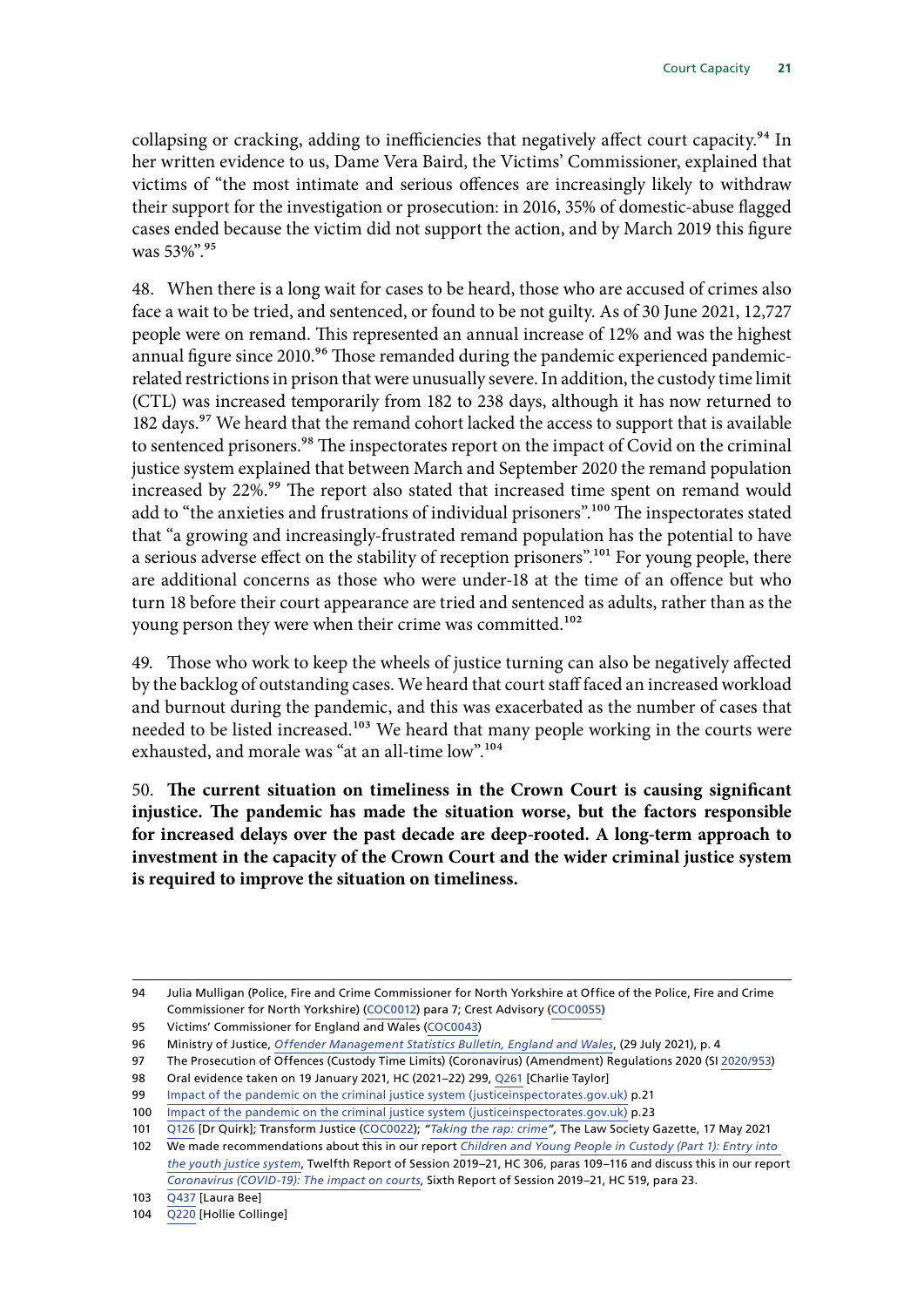collapsing or cracking, adding to inefficiencies that negatively affect court capacity.<sup>94</sup> In her written evidence to us, Dame Vera Baird, the Victims' Commissioner, explained that victims of "the most intimate and serious offences are increasingly likely to withdraw their support for the investigation or prosecution: in 2016, 35% of domestic-abuse flagged cases ended because the victim did not support the action, and by March 2019 this figure was 53%".<sup>95</sup>

48. When there is a long wait for cases to be heard, those who are accused of crimes also face a wait to be tried, and sentenced, or found to be not guilty. As of 30 June 2021, 12,727 people were on remand. This represented an annual increase of 12% and was the highest annual figure since 2010.<sup>96</sup> Those remanded during the pandemic experienced pandemicrelated restrictions in prison that were unusually severe. In addition, the custody time limit (CTL) was increased temporarily from 182 to 238 days, although it has now returned to 182 days.<sup>97</sup> We heard that the remand cohort lacked the access to support that is available to sentenced prisoners.<sup>98</sup> The inspectorates report on the impact of Covid on the criminal justice system explained that between March and September 2020 the remand population increased by 22%.<sup>99</sup> The report also stated that increased time spent on remand would add to "the anxieties and frustrations of individual prisoners".<sup>100</sup> The inspectorates stated that "a growing and increasingly-frustrated remand population has the potential to have a serious adverse effect on the stability of reception prisoners".<sup>101</sup> For young people, there are additional concerns as those who were under-18 at the time of an offence but who turn 18 before their court appearance are tried and sentenced as adults, rather than as the young person they were when their crime was committed.<sup>102</sup>

49. Those who work to keep the wheels of justice turning can also be negatively affected by the backlog of outstanding cases. We heard that court staff faced an increased workload and burnout during the pandemic, and this was exacerbated as the number of cases that needed to be listed increased.<sup>103</sup> We heard that many people working in the courts were exhausted, and morale was "at an all-time low".<sup>104</sup>

50. **The current situation on timeliness in the Crown Court is causing significant injustice. The pandemic has made the situation worse, but the factors responsible for increased delays over the past decade are deep-rooted. A long-term approach to investment in the capacity of the Crown Court and the wider criminal justice system is required to improve the situation on timeliness.**

<sup>94</sup> Julia Mulligan (Police, Fire and Crime Commissioner for North Yorkshire at Office of the Police, Fire and Crime Commissioner for North Yorkshire) [\(COC0012](https://committees.parliament.uk/writtenevidence/11155/html/)) para 7; Crest Advisory [\(COC0055\)](https://committees.parliament.uk/writtenevidence/12861/html/)

<sup>95</sup> Victims' Commissioner for England and Wales [\(COC0043](https://committees.parliament.uk/writtenevidence/12771/html/))

<sup>96</sup> Ministry of Justice, *[Offender Management Statistics Bulletin, England and Wales](https://assets.publishing.service.gov.uk/government/uploads/system/uploads/attachment_data/file/1006733/OMSQ_Q1_2021_Bulletin_v1_for_upload.pdf)*, (29 July 2021), p. 4

<sup>97</sup> The Prosecution of Offences (Custody Time Limits) (Coronavirus) (Amendment) Regulations 2020 (SI [2020/953](https://www.legislation.gov.uk/uksi/2020/953/pdfs/uksi_20200953_en.pdf))

<sup>98</sup> Oral evidence taken on 19 January 2021, HC (2021–22) 299, [Q261](https://committees.parliament.uk/oralevidence/1547/pdf/) [Charlie Taylor]

<sup>99</sup> [Impact of the pandemic on the criminal justice system \(justiceinspectorates.gov.uk\)](https://www.justiceinspectorates.gov.uk/cjji/wp-content/uploads/sites/2/2021/01/2021-01-13-State-of-nation.pdf) p.21

<sup>100</sup> [Impact of the pandemic on the criminal justice system \(justiceinspectorates.gov.uk\)](https://www.justiceinspectorates.gov.uk/cjji/wp-content/uploads/sites/2/2021/01/2021-01-13-State-of-nation.pdf) p.23

<sup>101</sup> [Q126](https://committees.parliament.uk/oralevidence/1595/html/) [Dr Quirk]; Transform Justice [\(COC0022](https://committees.parliament.uk/writtenevidence/11544/html/)); *["Taking the rap: crime"](https://www.lawgazette.co.uk/features/taking-the-rap-crime/5108480.article),* The Law Society Gazette, 17 May 2021

<sup>102</sup> We made recommendations about this in our report *[Children and Young People in Custody \(Part 1\): Entry into](https://committees.parliament.uk/publications/3399/documents/32490/default/)  [the youth justice system](https://committees.parliament.uk/publications/3399/documents/32490/default/)*, Twelfth Report of Session 2019–21, HC 306, paras 109–116 and discuss this in our report *[Coronavirus \(COVID-19\): The impact on courts](https://committees.parliament.uk/publications/2188/documents/20351/default/)*, Sixth Report of Session 2019–21, HC 519, para 23.

<sup>103</sup> [Q437](https://committees.parliament.uk/oralevidence/1878/html/) [Laura Bee]

<sup>104</sup> [Q220](https://committees.parliament.uk/oralevidence/1718/html/) [Hollie Collinge]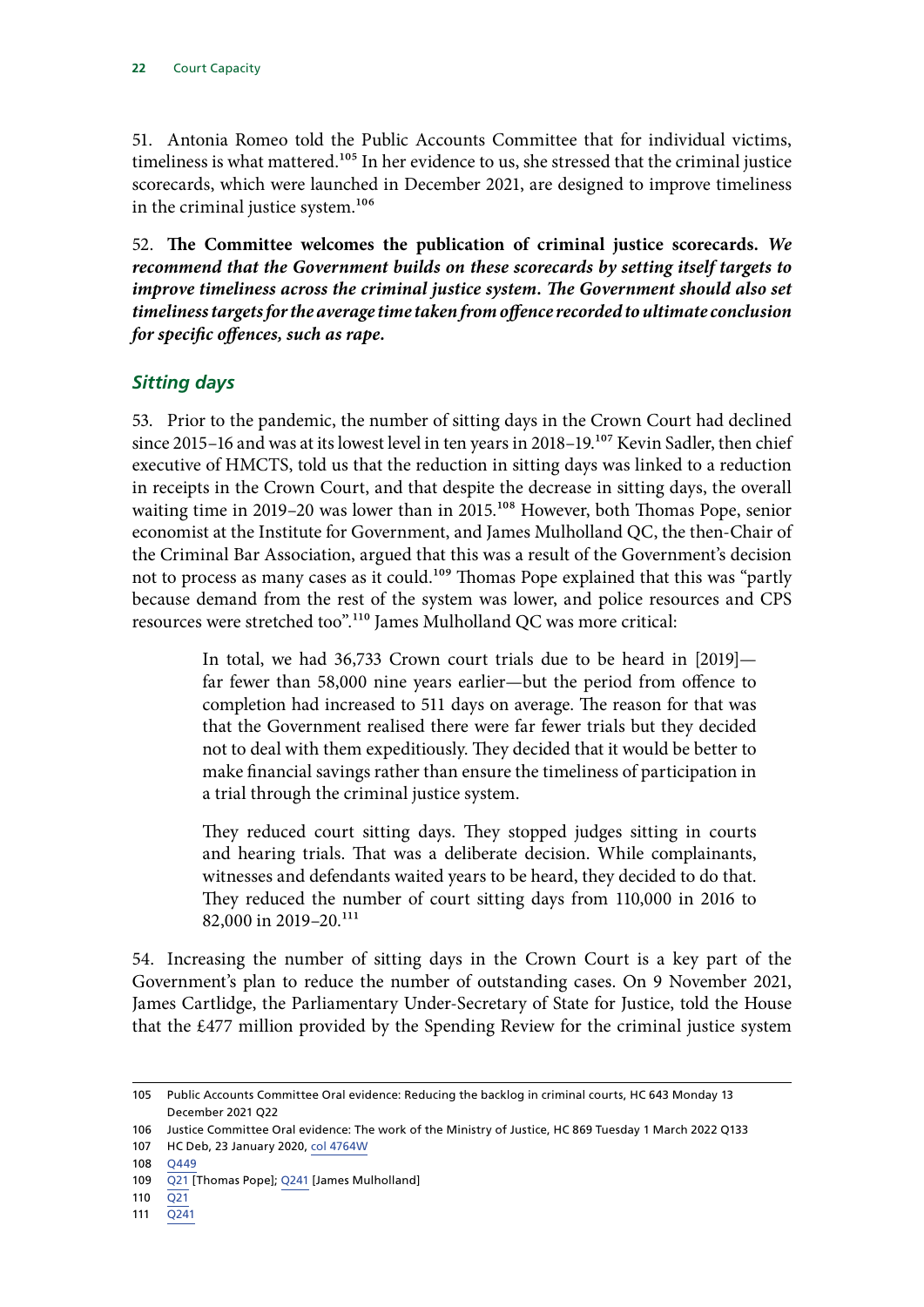<span id="page-23-0"></span>51. Antonia Romeo told the Public Accounts Committee that for individual victims, timeliness is what mattered.<sup>105</sup> In her evidence to us, she stressed that the criminal justice scorecards, which were launched in December 2021, are designed to improve timeliness in the criminal justice system.<sup>106</sup>

52. **The Committee welcomes the publication of criminal justice scorecards.** *We recommend that the Government builds on these scorecards by setting itself targets to improve timeliness across the criminal justice system. The Government should also set timeliness targets for the average time taken from offence recorded to ultimate conclusion for specific offences, such as rape.*

#### *Sitting days*

53. Prior to the pandemic, the number of sitting days in the Crown Court had declined since 2015–16 and was at its lowest level in ten years in 2018–19.<sup>107</sup> Kevin Sadler, then chief executive of HMCTS, told us that the reduction in sitting days was linked to a reduction in receipts in the Crown Court, and that despite the decrease in sitting days, the overall waiting time in 2019–20 was lower than in 2015.<sup>108</sup> However, both Thomas Pope, senior economist at the Institute for Government, and James Mulholland QC, the then-Chair of the Criminal Bar Association, argued that this was a result of the Government's decision not to process as many cases as it could.<sup>109</sup> Thomas Pope explained that this was "partly because demand from the rest of the system was lower, and police resources and CPS resources were stretched too".110 James Mulholland QC was more critical:

> In total, we had 36,733 Crown court trials due to be heard in [2019] far fewer than 58,000 nine years earlier—but the period from offence to completion had increased to 511 days on average. The reason for that was that the Government realised there were far fewer trials but they decided not to deal with them expeditiously. They decided that it would be better to make financial savings rather than ensure the timeliness of participation in a trial through the criminal justice system.

> They reduced court sitting days. They stopped judges sitting in courts and hearing trials. That was a deliberate decision. While complainants, witnesses and defendants waited years to be heard, they decided to do that. They reduced the number of court sitting days from 110,000 in 2016 to 82,000 in 2019–20.<sup>111</sup>

54. Increasing the number of sitting days in the Crown Court is a key part of the Government's plan to reduce the number of outstanding cases. On 9 November 2021, James Cartlidge, the Parliamentary Under-Secretary of State for Justice, told the House that the £477 million provided by the Spending Review for the criminal justice system

111 [Q241](https://committees.parliament.uk/oralevidence/1718/html/)

<sup>105</sup> Public Accounts Committee Oral evidence: Reducing the backlog in criminal courts, HC 643 Monday 13 December 2021 Q22

<sup>106</sup> Justice Committee Oral evidence: The work of the Ministry of Justice, HC 869 Tuesday 1 March 2022 Q133

<sup>107</sup> HC Deb, 23 January 2020, [col 4764W](https://questions-statements.parliament.uk/written-questions/detail/2020-01-17/4764)

<sup>108</sup> [Q449](https://committees.parliament.uk/oralevidence/1967/html/)

<sup>109</sup> [Q21](https://committees.parliament.uk/oralevidence/1518/html/) [Thomas Pope]; [Q241](https://committees.parliament.uk/oralevidence/1718/html/) [James Mulholland]

<sup>110</sup> [Q21](https://committees.parliament.uk/oralevidence/1518/html/)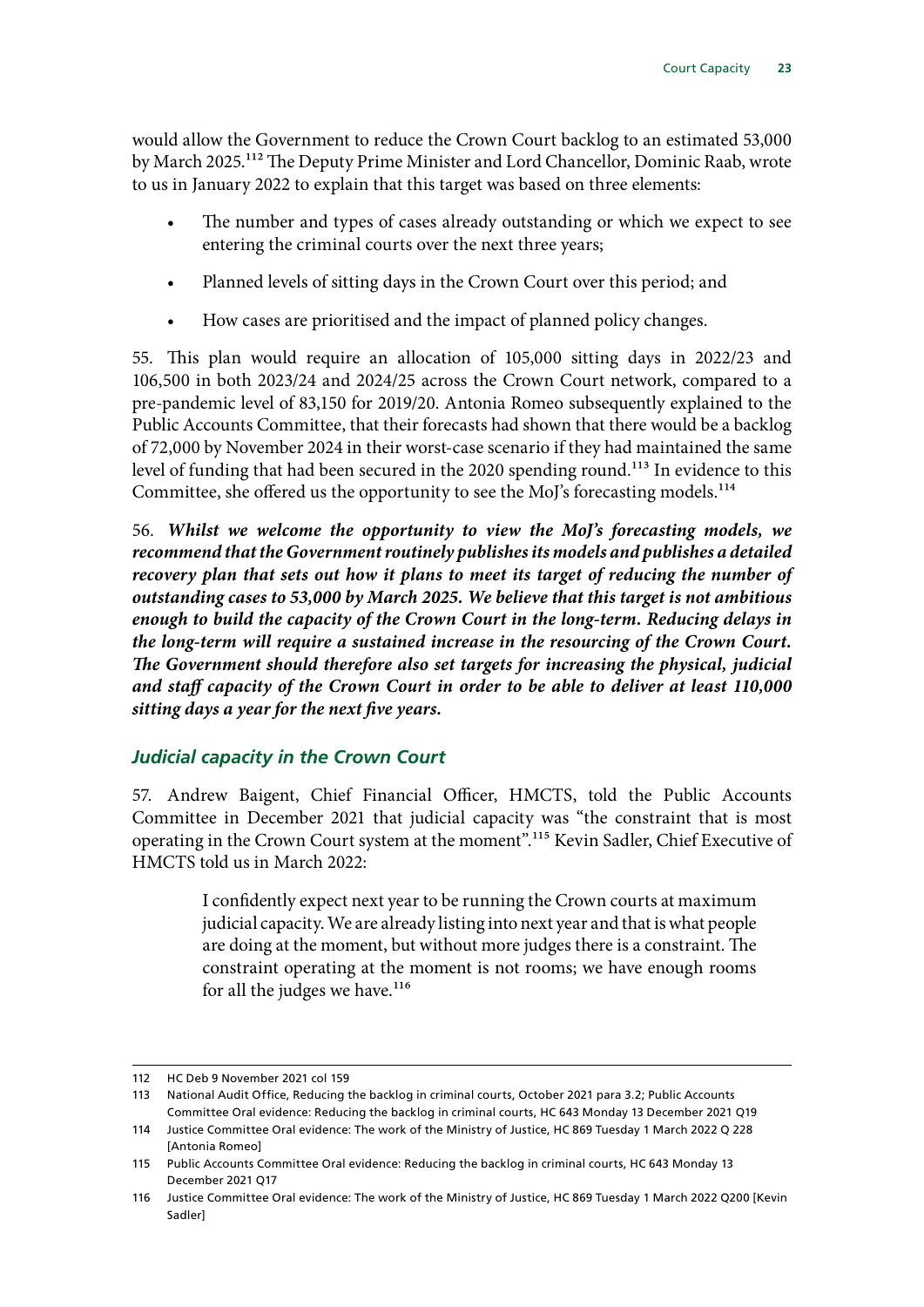<span id="page-24-0"></span>would allow the Government to reduce the Crown Court backlog to an estimated 53,000 by March 2025.112 The Deputy Prime Minister and Lord Chancellor, Dominic Raab, wrote to us in January 2022 to explain that this target was based on three elements:

- The number and types of cases already outstanding or which we expect to see entering the criminal courts over the next three years;
- Planned levels of sitting days in the Crown Court over this period; and
- How cases are prioritised and the impact of planned policy changes.

55. This plan would require an allocation of 105,000 sitting days in 2022/23 and 106,500 in both 2023/24 and 2024/25 across the Crown Court network, compared to a pre-pandemic level of 83,150 for 2019/20. Antonia Romeo subsequently explained to the Public Accounts Committee, that their forecasts had shown that there would be a backlog of 72,000 by November 2024 in their worst-case scenario if they had maintained the same level of funding that had been secured in the 2020 spending round.<sup>113</sup> In evidence to this Committee, she offered us the opportunity to see the MoJ's forecasting models.<sup>114</sup>

56. *Whilst we welcome the opportunity to view the MoJ's forecasting models, we recommend that the Government routinely publishes its models and publishes a detailed recovery plan that sets out how it plans to meet its target of reducing the number of outstanding cases to 53,000 by March 2025. We believe that this target is not ambitious enough to build the capacity of the Crown Court in the long-term. Reducing delays in the long-term will require a sustained increase in the resourcing of the Crown Court. The Government should therefore also set targets for increasing the physical, judicial and staff capacity of the Crown Court in order to be able to deliver at least 110,000 sitting days a year for the next five years.*

## *Judicial capacity in the Crown Court*

57. Andrew Baigent, Chief Financial Officer, HMCTS, told the Public Accounts Committee in December 2021 that judicial capacity was "the constraint that is most operating in the Crown Court system at the moment".115 Kevin Sadler, Chief Executive of HMCTS told us in March 2022:

> I confidently expect next year to be running the Crown courts at maximum judicial capacity. We are already listing into next year and that is what people are doing at the moment, but without more judges there is a constraint. The constraint operating at the moment is not rooms; we have enough rooms for all the judges we have. $116$

<sup>112</sup> HC Deb 9 November 2021 col 159

<sup>113</sup> National Audit Office, Reducing the backlog in criminal courts, October 2021 para 3.2; Public Accounts Committee Oral evidence: Reducing the backlog in criminal courts, HC 643 Monday 13 December 2021 Q19

<sup>114</sup> Justice Committee Oral evidence: The work of the Ministry of Justice, HC 869 Tuesday 1 March 2022 Q 228 [Antonia Romeo]

<sup>115</sup> Public Accounts Committee Oral evidence: Reducing the backlog in criminal courts, HC 643 Monday 13 December 2021 Q17

<sup>116</sup> Justice Committee Oral evidence: The work of the Ministry of Justice, HC 869 Tuesday 1 March 2022 Q200 [Kevin Sadler]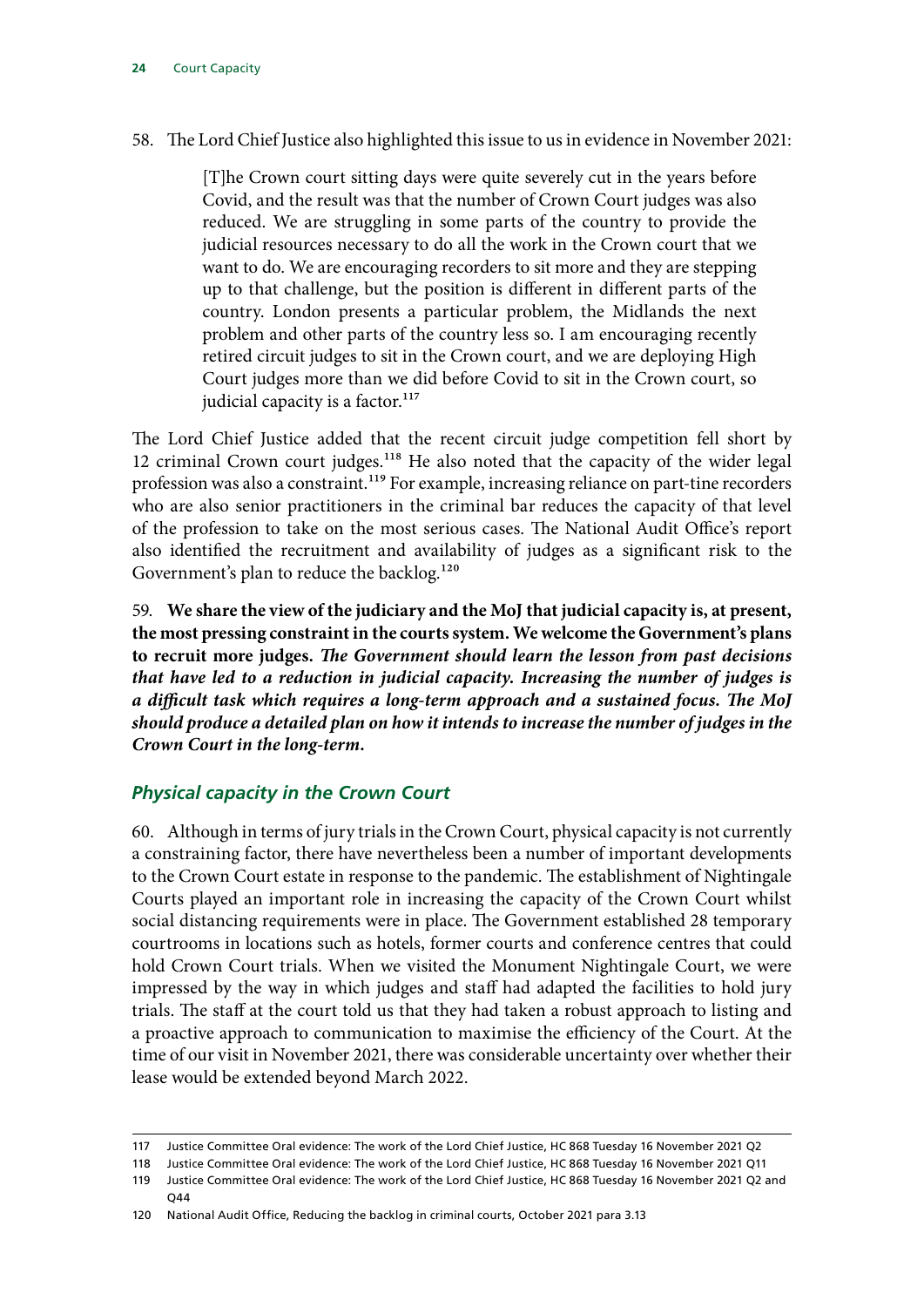#### <span id="page-25-0"></span>58. The Lord Chief Justice also highlighted this issue to us in evidence in November 2021:

[T]he Crown court sitting days were quite severely cut in the years before Covid, and the result was that the number of Crown Court judges was also reduced. We are struggling in some parts of the country to provide the judicial resources necessary to do all the work in the Crown court that we want to do. We are encouraging recorders to sit more and they are stepping up to that challenge, but the position is different in different parts of the country. London presents a particular problem, the Midlands the next problem and other parts of the country less so. I am encouraging recently retired circuit judges to sit in the Crown court, and we are deploying High Court judges more than we did before Covid to sit in the Crown court, so judicial capacity is a factor. $117$ 

The Lord Chief Justice added that the recent circuit judge competition fell short by 12 criminal Crown court judges.<sup>118</sup> He also noted that the capacity of the wider legal profession was also a constraint.<sup>119</sup> For example, increasing reliance on part-tine recorders who are also senior practitioners in the criminal bar reduces the capacity of that level of the profession to take on the most serious cases. The National Audit Office's report also identified the recruitment and availability of judges as a significant risk to the Government's plan to reduce the backlog.<sup>120</sup>

59. **We share the view of the judiciary and the MoJ that judicial capacity is, at present, the most pressing constraint in the courts system. We welcome the Government's plans to recruit more judges.** *The Government should learn the lesson from past decisions that have led to a reduction in judicial capacity. Increasing the number of judges is a difficult task which requires a long-term approach and a sustained focus. The MoJ should produce a detailed plan on how it intends to increase the number of judges in the Crown Court in the long-term.*

#### *Physical capacity in the Crown Court*

60. Although in terms of jury trials in the Crown Court, physical capacity is not currently a constraining factor, there have nevertheless been a number of important developments to the Crown Court estate in response to the pandemic. The establishment of Nightingale Courts played an important role in increasing the capacity of the Crown Court whilst social distancing requirements were in place. The Government established 28 temporary courtrooms in locations such as hotels, former courts and conference centres that could hold Crown Court trials. When we visited the Monument Nightingale Court, we were impressed by the way in which judges and staff had adapted the facilities to hold jury trials. The staff at the court told us that they had taken a robust approach to listing and a proactive approach to communication to maximise the efficiency of the Court. At the time of our visit in November 2021, there was considerable uncertainty over whether their lease would be extended beyond March 2022.

<sup>117</sup> Justice Committee Oral evidence: The work of the Lord Chief Justice, HC 868 Tuesday 16 November 2021 Q2

<sup>118</sup> Justice Committee Oral evidence: The work of the Lord Chief Justice, HC 868 Tuesday 16 November 2021 Q11

<sup>119</sup> Justice Committee Oral evidence: The work of the Lord Chief Justice, HC 868 Tuesday 16 November 2021 Q2 and Q44

<sup>120</sup> National Audit Office, Reducing the backlog in criminal courts, October 2021 para 3.13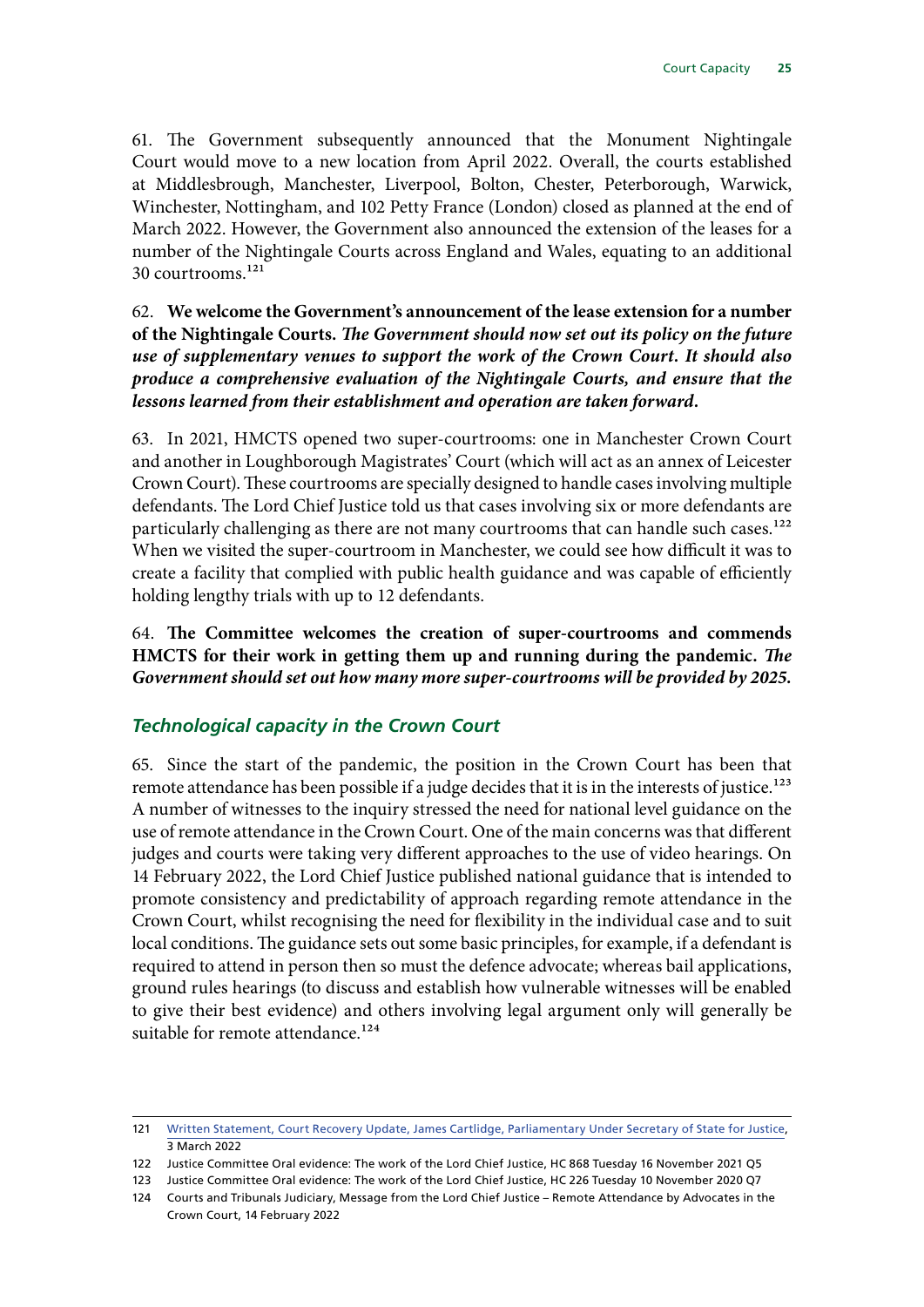<span id="page-26-0"></span>61. The Government subsequently announced that the Monument Nightingale Court would move to a new location from April 2022. Overall, the courts established at Middlesbrough, Manchester, Liverpool, Bolton, Chester, Peterborough, Warwick, Winchester, Nottingham, and 102 Petty France (London) closed as planned at the end of March 2022. However, the Government also announced the extension of the leases for a number of the Nightingale Courts across England and Wales, equating to an additional 30 courtrooms.121

62. **We welcome the Government's announcement of the lease extension for a number of the Nightingale Courts.** *The Government should now set out its policy on the future use of supplementary venues to support the work of the Crown Court. It should also produce a comprehensive evaluation of the Nightingale Courts, and ensure that the lessons learned from their establishment and operation are taken forward.*

63. In 2021, HMCTS opened two super-courtrooms: one in Manchester Crown Court and another in Loughborough Magistrates' Court (which will act as an annex of Leicester Crown Court). These courtrooms are specially designed to handle cases involving multiple defendants. The Lord Chief Justice told us that cases involving six or more defendants are particularly challenging as there are not many courtrooms that can handle such cases.<sup>122</sup> When we visited the super-courtroom in Manchester, we could see how difficult it was to create a facility that complied with public health guidance and was capable of efficiently holding lengthy trials with up to 12 defendants.

64. **The Committee welcomes the creation of super-courtrooms and commends HMCTS for their work in getting them up and running during the pandemic.** *The Government should set out how many more super-courtrooms will be provided by 2025.*

## *Technological capacity in the Crown Court*

65. Since the start of the pandemic, the position in the Crown Court has been that remote attendance has been possible if a judge decides that it is in the interests of justice.<sup>123</sup> A number of witnesses to the inquiry stressed the need for national level guidance on the use of remote attendance in the Crown Court. One of the main concerns was that different judges and courts were taking very different approaches to the use of video hearings. On 14 February 2022, the Lord Chief Justice published national guidance that is intended to promote consistency and predictability of approach regarding remote attendance in the Crown Court, whilst recognising the need for flexibility in the individual case and to suit local conditions. The guidance sets out some basic principles, for example, if a defendant is required to attend in person then so must the defence advocate; whereas bail applications, ground rules hearings (to discuss and establish how vulnerable witnesses will be enabled to give their best evidence) and others involving legal argument only will generally be suitable for remote attendance.<sup>124</sup>

<sup>121</sup> [Written Statement, Court Recovery Update, James Cartlidge, Parliamentary Under Secretary of State for Justice,](https://questions-statements.parliament.uk/written-statements/detail/2022-03-03/hcws657) 3 March 2022

<sup>122</sup> Justice Committee Oral evidence: The work of the Lord Chief Justice, HC 868 Tuesday 16 November 2021 Q5

<sup>123</sup> Justice Committee Oral evidence: The work of the Lord Chief Justice, HC 226 Tuesday 10 November 2020 Q7

<sup>124</sup> Courts and Tribunals Judiciary, Message from the Lord Chief Justice – Remote Attendance by Advocates in the Crown Court, 14 February 2022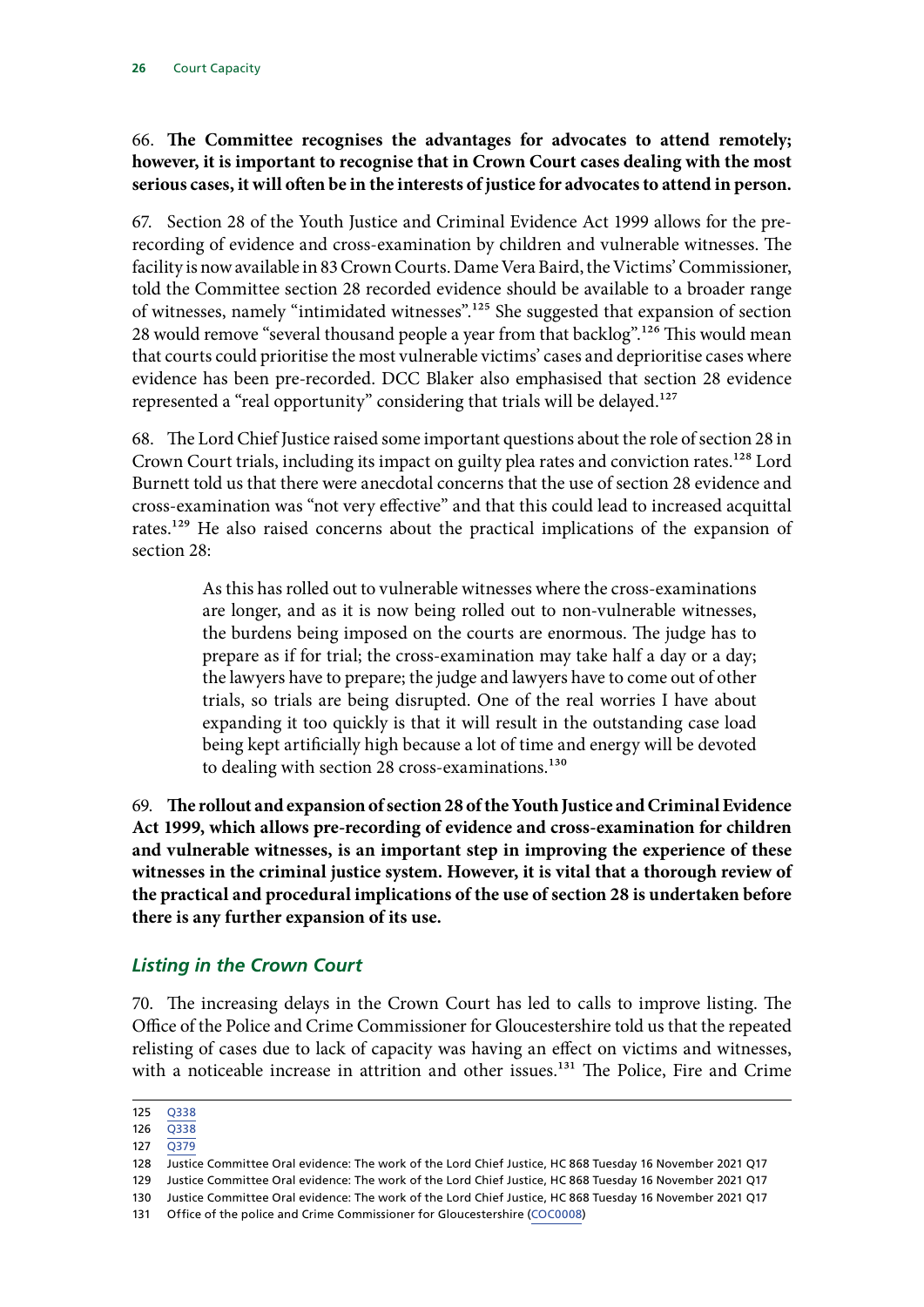#### <span id="page-27-0"></span>66. **The Committee recognises the advantages for advocates to attend remotely; however, it is important to recognise that in Crown Court cases dealing with the most serious cases, it will often be in the interests of justice for advocates to attend in person.**

67. Section 28 of the Youth Justice and Criminal Evidence Act 1999 allows for the prerecording of evidence and cross-examination by children and vulnerable witnesses. The facility is now available in 83 Crown Courts. Dame Vera Baird, the Victims' Commissioner, told the Committee section 28 recorded evidence should be available to a broader range of witnesses, namely "intimidated witnesses".125 She suggested that expansion of section 28 would remove "several thousand people a year from that backlog".<sup>126</sup> This would mean that courts could prioritise the most vulnerable victims' cases and deprioritise cases where evidence has been pre-recorded. DCC Blaker also emphasised that section 28 evidence represented a "real opportunity" considering that trials will be delayed.<sup>127</sup>

68. The Lord Chief Justice raised some important questions about the role of section 28 in Crown Court trials, including its impact on guilty plea rates and conviction rates.<sup>128</sup> Lord Burnett told us that there were anecdotal concerns that the use of section 28 evidence and cross-examination was "not very effective" and that this could lead to increased acquittal rates.129 He also raised concerns about the practical implications of the expansion of section 28:

> As this has rolled out to vulnerable witnesses where the cross-examinations are longer, and as it is now being rolled out to non-vulnerable witnesses, the burdens being imposed on the courts are enormous. The judge has to prepare as if for trial; the cross-examination may take half a day or a day; the lawyers have to prepare; the judge and lawyers have to come out of other trials, so trials are being disrupted. One of the real worries I have about expanding it too quickly is that it will result in the outstanding case load being kept artificially high because a lot of time and energy will be devoted to dealing with section 28 cross-examinations.<sup>130</sup>

69. **The rollout and expansion of section 28 of the Youth Justice and Criminal Evidence Act 1999, which allows pre-recording of evidence and cross-examination for children and vulnerable witnesses, is an important step in improving the experience of these witnesses in the criminal justice system. However, it is vital that a thorough review of the practical and procedural implications of the use of section 28 is undertaken before there is any further expansion of its use.**

## *Listing in the Crown Court*

70. The increasing delays in the Crown Court has led to calls to improve listing. The Office of the Police and Crime Commissioner for Gloucestershire told us that the repeated relisting of cases due to lack of capacity was having an effect on victims and witnesses, with a noticeable increase in attrition and other issues.<sup>131</sup> The Police, Fire and Crime

<sup>125</sup> [Q338](https://committees.parliament.uk/oralevidence/1774/html/)

<sup>126</sup> [Q338](https://committees.parliament.uk/oralevidence/1774/html/)

<sup>127</sup> [Q379](https://committees.parliament.uk/oralevidence/1878/html/)

<sup>128</sup> Justice Committee Oral evidence: The work of the Lord Chief Justice, HC 868 Tuesday 16 November 2021 Q17

<sup>129</sup> Justice Committee Oral evidence: The work of the Lord Chief Justice, HC 868 Tuesday 16 November 2021 Q17

<sup>130</sup> Justice Committee Oral evidence: The work of the Lord Chief Justice, HC 868 Tuesday 16 November 2021 Q17

<sup>131</sup> Office of the police and Crime Commissioner for Gloucestershire [\(COC0008](https://committees.parliament.uk/writtenevidence/11031/html/))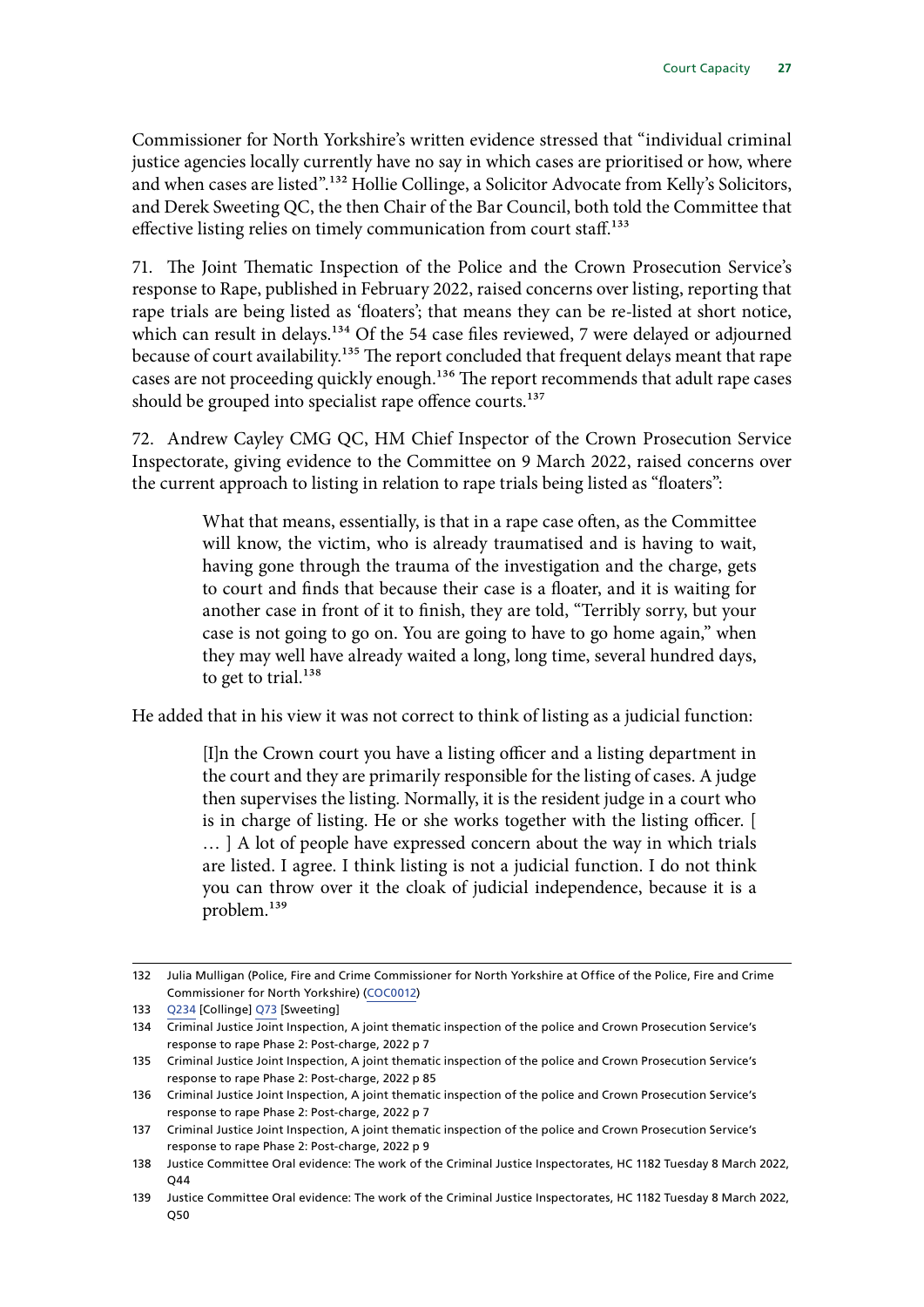Commissioner for North Yorkshire's written evidence stressed that "individual criminal justice agencies locally currently have no say in which cases are prioritised or how, where and when cases are listed".<sup>132</sup> Hollie Collinge, a Solicitor Advocate from Kelly's Solicitors, and Derek Sweeting QC, the then Chair of the Bar Council, both told the Committee that effective listing relies on timely communication from court staff.<sup>133</sup>

71. The Joint Thematic Inspection of the Police and the Crown Prosecution Service's response to Rape, published in February 2022, raised concerns over listing, reporting that rape trials are being listed as 'floaters'; that means they can be re-listed at short notice, which can result in delays.<sup>134</sup> Of the 54 case files reviewed, 7 were delayed or adjourned because of court availability.<sup>135</sup> The report concluded that frequent delays meant that rape cases are not proceeding quickly enough.<sup>136</sup> The report recommends that adult rape cases should be grouped into specialist rape offence courts.<sup>137</sup>

72. Andrew Cayley CMG QC, HM Chief Inspector of the Crown Prosecution Service Inspectorate, giving evidence to the Committee on 9 March 2022, raised concerns over the current approach to listing in relation to rape trials being listed as "floaters":

> What that means, essentially, is that in a rape case often, as the Committee will know, the victim, who is already traumatised and is having to wait, having gone through the trauma of the investigation and the charge, gets to court and finds that because their case is a floater, and it is waiting for another case in front of it to finish, they are told, "Terribly sorry, but your case is not going to go on. You are going to have to go home again," when they may well have already waited a long, long time, several hundred days, to get to trial. $138$

He added that in his view it was not correct to think of listing as a judicial function:

[I]n the Crown court you have a listing officer and a listing department in the court and they are primarily responsible for the listing of cases. A judge then supervises the listing. Normally, it is the resident judge in a court who is in charge of listing. He or she works together with the listing officer. [ … ] A lot of people have expressed concern about the way in which trials are listed. I agree. I think listing is not a judicial function. I do not think you can throw over it the cloak of judicial independence, because it is a problem.139

<sup>132</sup> Julia Mulligan (Police, Fire and Crime Commissioner for North Yorkshire at Office of the Police, Fire and Crime Commissioner for North Yorkshire) [\(COC0012](https://committees.parliament.uk/writtenevidence/11155/html/))

<sup>133</sup> [Q234](https://committees.parliament.uk/oralevidence/1718/html/) [Collinge] [Q73](https://committees.parliament.uk/oralevidence/1518/html/) [Sweeting]

<sup>134</sup> Criminal Justice Joint Inspection, A joint thematic inspection of the police and Crown Prosecution Service's response to rape Phase 2: Post-charge, 2022 p 7

<sup>135</sup> Criminal Justice Joint Inspection, A joint thematic inspection of the police and Crown Prosecution Service's response to rape Phase 2: Post-charge, 2022 p 85

<sup>136</sup> Criminal Justice Joint Inspection, A joint thematic inspection of the police and Crown Prosecution Service's response to rape Phase 2: Post-charge, 2022 p 7

<sup>137</sup> Criminal Justice Joint Inspection, A joint thematic inspection of the police and Crown Prosecution Service's response to rape Phase 2: Post-charge, 2022 p 9

<sup>138</sup> Justice Committee Oral evidence: The work of the Criminal Justice Inspectorates, HC 1182 Tuesday 8 March 2022, Q44

<sup>139</sup> Justice Committee Oral evidence: The work of the Criminal Justice Inspectorates, HC 1182 Tuesday 8 March 2022, Q50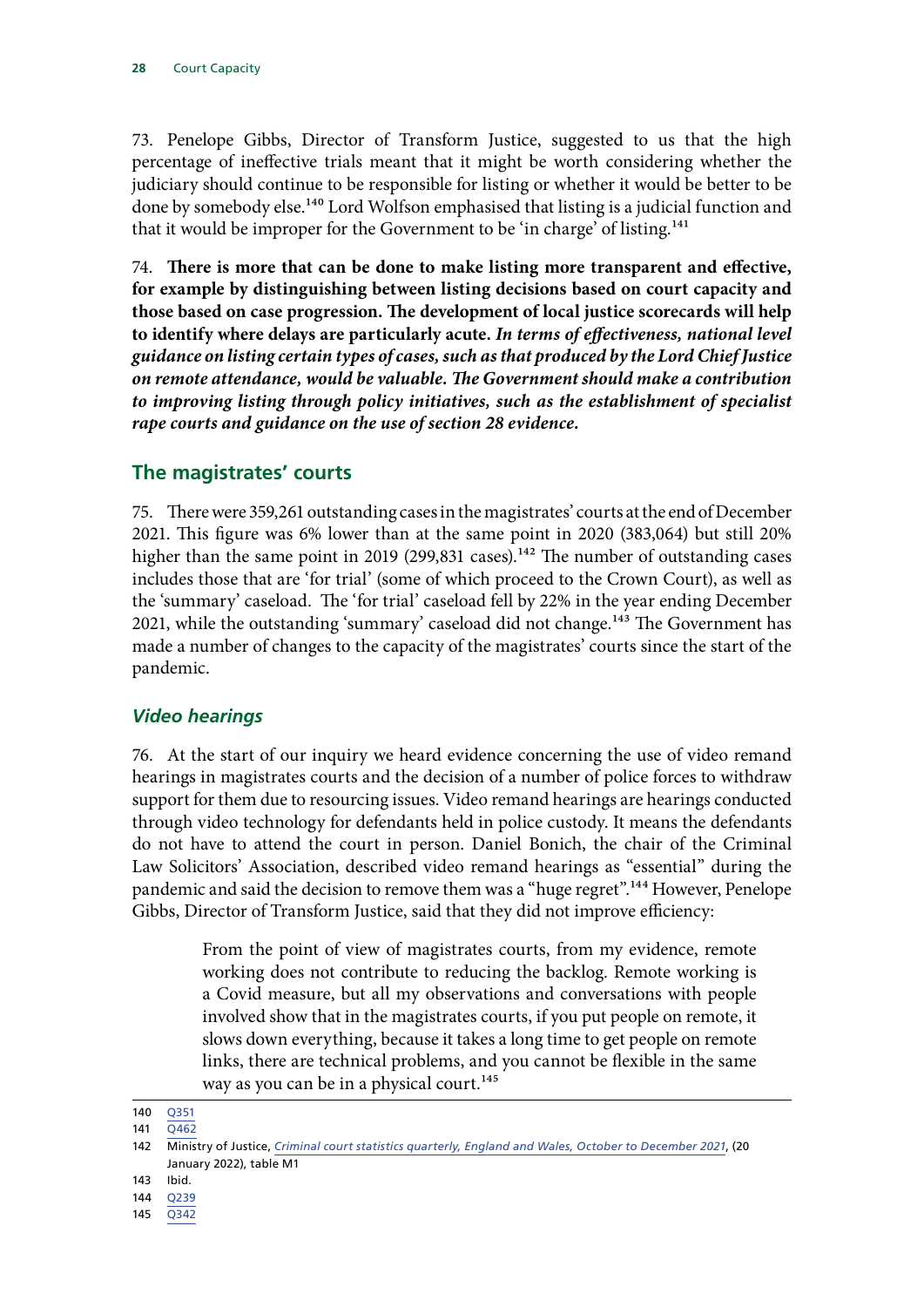<span id="page-29-0"></span>73. Penelope Gibbs, Director of Transform Justice, suggested to us that the high percentage of ineffective trials meant that it might be worth considering whether the judiciary should continue to be responsible for listing or whether it would be better to be done by somebody else.<sup>140</sup> Lord Wolfson emphasised that listing is a judicial function and that it would be improper for the Government to be 'in charge' of listing.<sup>141</sup>

74. **There is more that can be done to make listing more transparent and effective, for example by distinguishing between listing decisions based on court capacity and those based on case progression. The development of local justice scorecards will help to identify where delays are particularly acute.** *In terms of effectiveness, national level guidance on listing certain types of cases, such as that produced by the Lord Chief Justice on remote attendance, would be valuable. The Government should make a contribution to improving listing through policy initiatives, such as the establishment of specialist rape courts and guidance on the use of section 28 evidence.*

## **The magistrates' courts**

75. There were 359,261 outstanding cases in the magistrates' courts at the end of December 2021. This figure was 6% lower than at the same point in 2020 (383,064) but still 20% higher than the same point in 2019 (299,831 cases).<sup>142</sup> The number of outstanding cases includes those that are 'for trial' (some of which proceed to the Crown Court), as well as the 'summary' caseload. The 'for trial' caseload fell by 22% in the year ending December 2021, while the outstanding 'summary' caseload did not change.<sup>143</sup> The Government has made a number of changes to the capacity of the magistrates' courts since the start of the pandemic.

#### *Video hearings*

76. At the start of our inquiry we heard evidence concerning the use of video remand hearings in magistrates courts and the decision of a number of police forces to withdraw support for them due to resourcing issues. Video remand hearings are hearings conducted through video technology for defendants held in police custody. It means the defendants do not have to attend the court in person. Daniel Bonich, the chair of the Criminal Law Solicitors' Association, described video remand hearings as "essential" during the pandemic and said the decision to remove them was a "huge regret".<sup>144</sup> However, Penelope Gibbs, Director of Transform Justice, said that they did not improve efficiency:

> From the point of view of magistrates courts, from my evidence, remote working does not contribute to reducing the backlog. Remote working is a Covid measure, but all my observations and conversations with people involved show that in the magistrates courts, if you put people on remote, it slows down everything, because it takes a long time to get people on remote links, there are technical problems, and you cannot be flexible in the same way as you can be in a physical court.<sup>145</sup>

<sup>140</sup> [Q351](https://committees.parliament.uk/oralevidence/1774/html/)

<sup>141</sup> [Q462](https://committees.parliament.uk/oralevidence/1967/html/)

<sup>142</sup> Ministry of Justice, *[Criminal court statistics quarterly, England and Wales, October to December 2021](https://www.gov.uk/government/collections/criminal-court-statistics)*, (20 January 2022), table M1

<sup>143</sup> Ibid.

<sup>144</sup> [Q239](https://committees.parliament.uk/oralevidence/1718/html/)

<sup>145</sup> [Q342](https://committees.parliament.uk/oralevidence/1774/html/)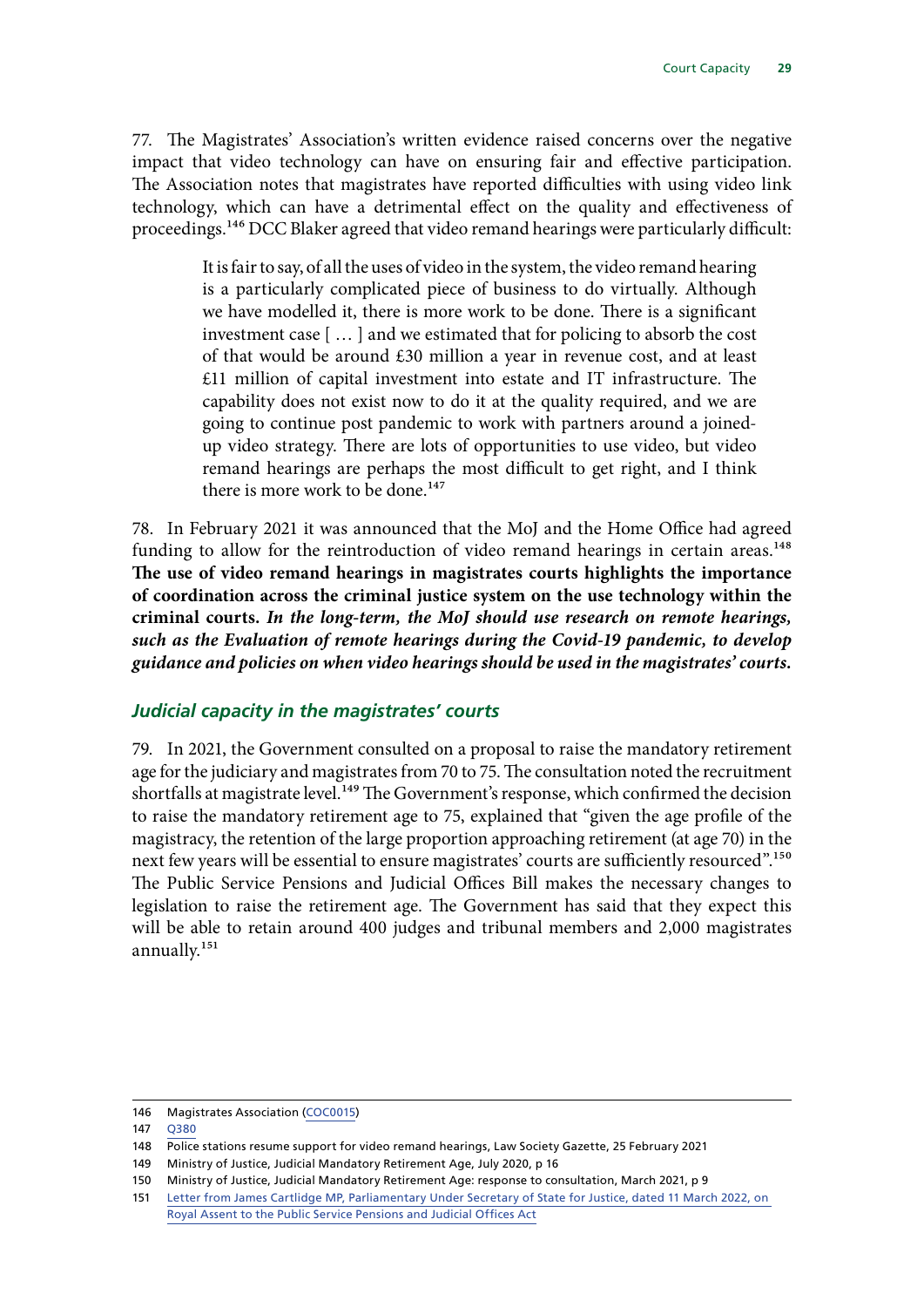<span id="page-30-0"></span>77. The Magistrates' Association's written evidence raised concerns over the negative impact that video technology can have on ensuring fair and effective participation. The Association notes that magistrates have reported difficulties with using video link technology, which can have a detrimental effect on the quality and effectiveness of proceedings.146 DCC Blaker agreed that video remand hearings were particularly difficult:

> It is fair to say, of all the uses of video in the system, the video remand hearing is a particularly complicated piece of business to do virtually. Although we have modelled it, there is more work to be done. There is a significant investment case [ … ] and we estimated that for policing to absorb the cost of that would be around £30 million a year in revenue cost, and at least £11 million of capital investment into estate and IT infrastructure. The capability does not exist now to do it at the quality required, and we are going to continue post pandemic to work with partners around a joinedup video strategy. There are lots of opportunities to use video, but video remand hearings are perhaps the most difficult to get right, and I think there is more work to be done.<sup>147</sup>

78. In February 2021 it was announced that the MoJ and the Home Office had agreed funding to allow for the reintroduction of video remand hearings in certain areas.<sup>148</sup> **The use of video remand hearings in magistrates courts highlights the importance of coordination across the criminal justice system on the use technology within the criminal courts.** *In the long-term, the MoJ should use research on remote hearings, such as the Evaluation of remote hearings during the Covid-19 pandemic, to develop guidance and policies on when video hearings should be used in the magistrates' courts.*

#### *Judicial capacity in the magistrates' courts*

79. In 2021, the Government consulted on a proposal to raise the mandatory retirement age for the judiciary and magistrates from 70 to 75. The consultation noted the recruitment shortfalls at magistrate level.<sup>149</sup> The Government's response, which confirmed the decision to raise the mandatory retirement age to 75, explained that "given the age profile of the magistracy, the retention of the large proportion approaching retirement (at age 70) in the next few years will be essential to ensure magistrates' courts are sufficiently resourced".<sup>150</sup> The Public Service Pensions and Judicial Offices Bill makes the necessary changes to legislation to raise the retirement age. The Government has said that they expect this will be able to retain around 400 judges and tribunal members and 2,000 magistrates annually.<sup>151</sup>

<sup>146</sup> Magistrates Association [\(COC0015](https://committees.parliament.uk/writtenevidence/11209/html/))

<sup>147</sup> [Q380](https://committees.parliament.uk/oralevidence/1878/html/)

<sup>148</sup> Police stations resume support for video remand hearings, Law Society Gazette, 25 February 2021

<sup>149</sup> Ministry of Justice, Judicial Mandatory Retirement Age, July 2020, p 16

<sup>150</sup> Ministry of Justice, Judicial Mandatory Retirement Age: response to consultation, March 2021, p 9

<sup>151</sup> [Letter from James Cartlidge MP, Parliamentary Under Secretary of State for Justice, dated 11 March 2022, on](https://committees.parliament.uk/publications/9307/documents/160496/default/)  [Royal Assent to the Public Service Pensions and Judicial Offices Act](https://committees.parliament.uk/publications/9307/documents/160496/default/)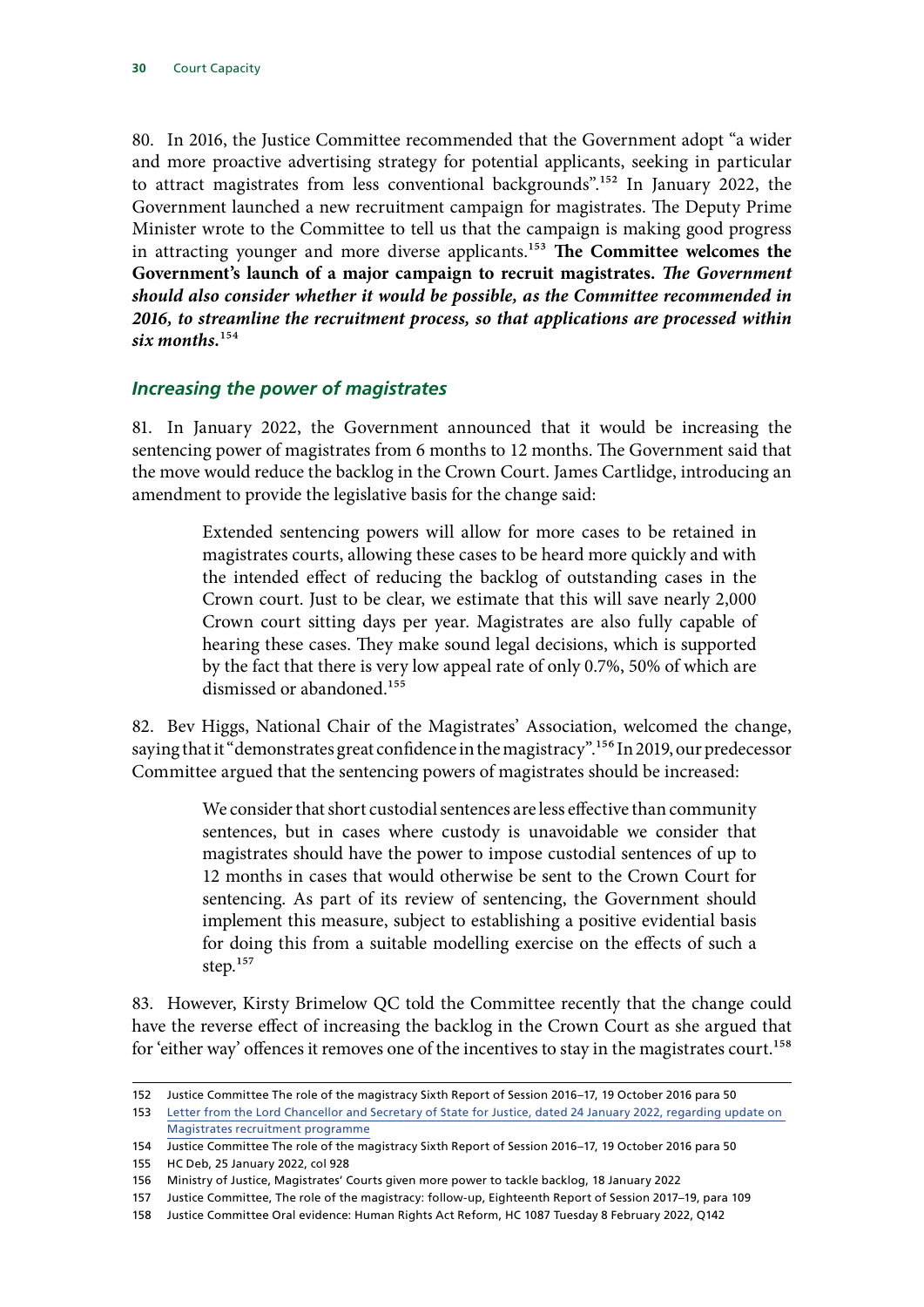<span id="page-31-0"></span>80. In 2016, the Justice Committee recommended that the Government adopt "a wider and more proactive advertising strategy for potential applicants, seeking in particular to attract magistrates from less conventional backgrounds".152 In January 2022, the Government launched a new recruitment campaign for magistrates. The Deputy Prime Minister wrote to the Committee to tell us that the campaign is making good progress in attracting younger and more diverse applicants.<sup>153</sup> The Committee welcomes the **Government's launch of a major campaign to recruit magistrates.** *The Government should also consider whether it would be possible, as the Committee recommended in 2016, to streamline the recruitment process, so that applications are processed within six months.*154

#### *Increasing the power of magistrates*

81. In January 2022, the Government announced that it would be increasing the sentencing power of magistrates from 6 months to 12 months. The Government said that the move would reduce the backlog in the Crown Court. James Cartlidge, introducing an amendment to provide the legislative basis for the change said:

> Extended sentencing powers will allow for more cases to be retained in magistrates courts, allowing these cases to be heard more quickly and with the intended effect of reducing the backlog of outstanding cases in the Crown court. Just to be clear, we estimate that this will save nearly 2,000 Crown court sitting days per year. Magistrates are also fully capable of hearing these cases. They make sound legal decisions, which is supported by the fact that there is very low appeal rate of only 0.7%, 50% of which are dismissed or abandoned.<sup>155</sup>

82. Bev Higgs, National Chair of the Magistrates' Association, welcomed the change, saying that it "demonstrates great confidence in the magistracy".<sup>156</sup> In 2019, our predecessor Committee argued that the sentencing powers of magistrates should be increased:

> We consider that short custodial sentences are less effective than community sentences, but in cases where custody is unavoidable we consider that magistrates should have the power to impose custodial sentences of up to 12 months in cases that would otherwise be sent to the Crown Court for sentencing. As part of its review of sentencing, the Government should implement this measure, subject to establishing a positive evidential basis for doing this from a suitable modelling exercise on the effects of such a step.<sup>157</sup>

83. However, Kirsty Brimelow QC told the Committee recently that the change could have the reverse effect of increasing the backlog in the Crown Court as she argued that for 'either way' offences it removes one of the incentives to stay in the magistrates court.<sup>158</sup>

<sup>152</sup> Justice Committee The role of the magistracy Sixth Report of Session 2016–17, 19 October 2016 para 50

<sup>153</sup> [Letter from the Lord Chancellor and Secretary of State for Justice, dated 24 January 2022, regarding update on](https://committees.parliament.uk/publications/8727/documents/88550/default/)  [Magistrates recruitment programme](https://committees.parliament.uk/publications/8727/documents/88550/default/)

<sup>154</sup> Justice Committee The role of the magistracy Sixth Report of Session 2016–17, 19 October 2016 para 50

<sup>155</sup> HC Deb, 25 January 2022, col 928

<sup>156</sup> Ministry of Justice, Magistrates' Courts given more power to tackle backlog, 18 January 2022

<sup>157</sup> Justice Committee, The role of the magistracy: follow-up, Eighteenth Report of Session 2017–19, para 109

<sup>158</sup> Justice Committee Oral evidence: Human Rights Act Reform, HC 1087 Tuesday 8 February 2022, Q142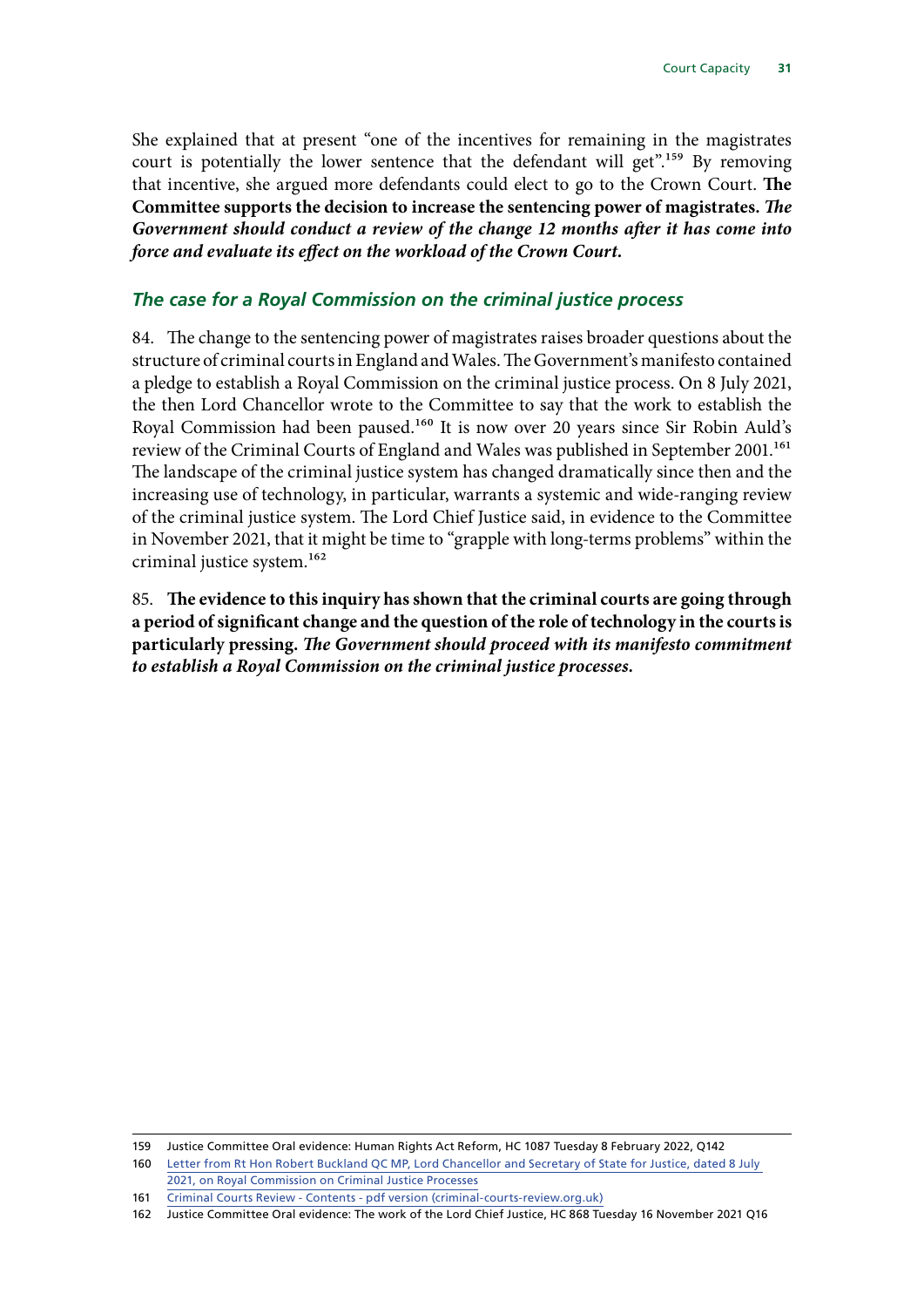<span id="page-32-0"></span>She explained that at present "one of the incentives for remaining in the magistrates court is potentially the lower sentence that the defendant will get".<sup>159</sup> By removing that incentive, she argued more defendants could elect to go to the Crown Court. **The Committee supports the decision to increase the sentencing power of magistrates.** *The Government should conduct a review of the change 12 months after it has come into force and evaluate its effect on the workload of the Crown Court.*

## *The case for a Royal Commission on the criminal justice process*

84. The change to the sentencing power of magistrates raises broader questions about the structure of criminal courts in England and Wales. The Government's manifesto contained a pledge to establish a Royal Commission on the criminal justice process. On 8 July 2021, the then Lord Chancellor wrote to the Committee to say that the work to establish the Royal Commission had been paused.160 It is now over 20 years since Sir Robin Auld's review of the Criminal Courts of England and Wales was published in September 2001.<sup>161</sup> The landscape of the criminal justice system has changed dramatically since then and the increasing use of technology, in particular, warrants a systemic and wide-ranging review of the criminal justice system. The Lord Chief Justice said, in evidence to the Committee in November 2021, that it might be time to "grapple with long-terms problems" within the criminal justice system.162

85. **The evidence to this inquiry has shown that the criminal courts are going through a period of significant change and the question of the role of technology in the courts is particularly pressing.** *The Government should proceed with its manifesto commitment to establish a Royal Commission on the criminal justice processes.*

<sup>159</sup> Justice Committee Oral evidence: Human Rights Act Reform, HC 1087 Tuesday 8 February 2022, Q142

<sup>160</sup> [Letter from Rt Hon Robert Buckland QC MP, Lord Chancellor and Secretary of State for Justice, dated 8 July](https://committees.parliament.uk/publications/6722/documents/71886/default/)  [2021, on Royal Commission on Criminal Justice Processes](https://committees.parliament.uk/publications/6722/documents/71886/default/)

<sup>161</sup> [Criminal Courts Review - Contents - pdf version \(criminal-courts-review.org.uk\)](https://www.criminal-courts-review.org.uk/summary.htm)

<sup>162</sup> Justice Committee Oral evidence: The work of the Lord Chief Justice, HC 868 Tuesday 16 November 2021 Q16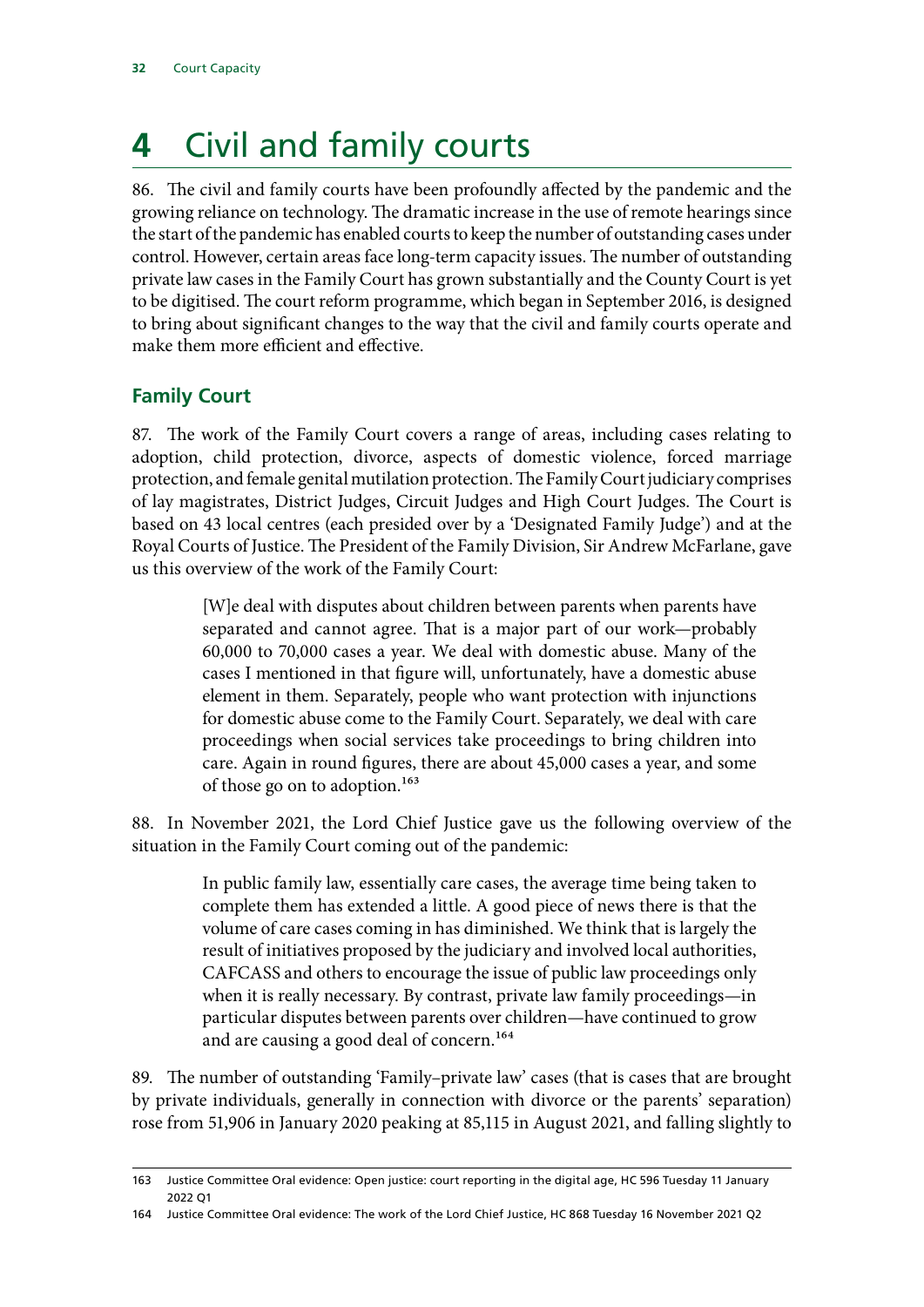# <span id="page-33-0"></span>**4** Civil and family courts

86. The civil and family courts have been profoundly affected by the pandemic and the growing reliance on technology. The dramatic increase in the use of remote hearings since the start of the pandemic has enabled courts to keep the number of outstanding cases under control. However, certain areas face long-term capacity issues. The number of outstanding private law cases in the Family Court has grown substantially and the County Court is yet to be digitised. The court reform programme, which began in September 2016, is designed to bring about significant changes to the way that the civil and family courts operate and make them more efficient and effective.

## **Family Court**

87. The work of the Family Court covers a range of areas, including cases relating to adoption, child protection, divorce, aspects of domestic violence, forced marriage protection, and female genital mutilation protection. The Family Court judiciary comprises of lay magistrates, District Judges, Circuit Judges and High Court Judges. The Court is based on 43 local centres (each presided over by a 'Designated Family Judge') and at the Royal Courts of Justice. The President of the Family Division, Sir Andrew McFarlane, gave us this overview of the work of the Family Court:

> [W]e deal with disputes about children between parents when parents have separated and cannot agree. That is a major part of our work—probably 60,000 to 70,000 cases a year. We deal with domestic abuse. Many of the cases I mentioned in that figure will, unfortunately, have a domestic abuse element in them. Separately, people who want protection with injunctions for domestic abuse come to the Family Court. Separately, we deal with care proceedings when social services take proceedings to bring children into care. Again in round figures, there are about 45,000 cases a year, and some of those go on to adoption.<sup>163</sup>

88. In November 2021, the Lord Chief Justice gave us the following overview of the situation in the Family Court coming out of the pandemic:

> In public family law, essentially care cases, the average time being taken to complete them has extended a little. A good piece of news there is that the volume of care cases coming in has diminished. We think that is largely the result of initiatives proposed by the judiciary and involved local authorities, CAFCASS and others to encourage the issue of public law proceedings only when it is really necessary. By contrast, private law family proceedings—in particular disputes between parents over children—have continued to grow and are causing a good deal of concern.<sup>164</sup>

89. The number of outstanding 'Family–private law' cases (that is cases that are brought by private individuals, generally in connection with divorce or the parents' separation) rose from 51,906 in January 2020 peaking at 85,115 in August 2021, and falling slightly to

<sup>163</sup> Justice Committee Oral evidence: Open justice: court reporting in the digital age, HC 596 Tuesday 11 January 2022 Q1

<sup>164</sup> Justice Committee Oral evidence: The work of the Lord Chief Justice, HC 868 Tuesday 16 November 2021 Q2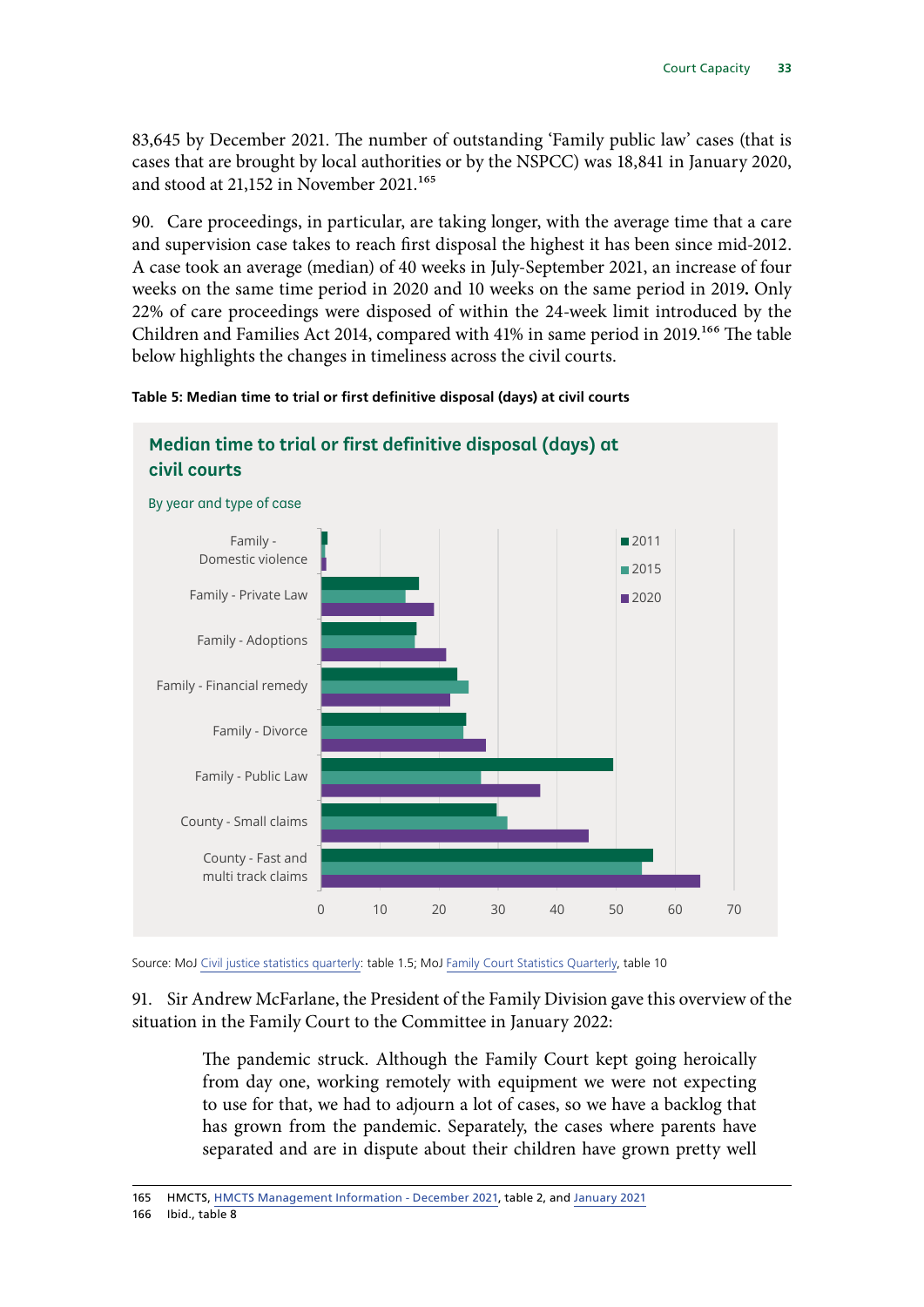83,645 by December 2021. The number of outstanding 'Family public law' cases (that is cases that are brought by local authorities or by the NSPCC) was 18,841 in January 2020, and stood at 21,152 in November 2021.165

90. Care proceedings, in particular, are taking longer, with the average time that a care and supervision case takes to reach first disposal the highest it has been since mid-2012. A case took an average (median) of 40 weeks in July-September 2021, an increase of four weeks on the same time period in 2020 and 10 weeks on the same period in 2019**.** Only 22% of care proceedings were disposed of within the 24-week limit introduced by the Children and Families Act 2014, compared with 41% in same period in 2019.<sup>166</sup> The table below highlights the changes in timeliness across the civil courts.

#### **Table 5: Median time to trial or first definitive disposal (days) at civil courts**



## **Median time to trial or first definitive disposal (days) at**

Source: MoJ [Civil justice statistics quarterly](https://www.gov.uk/government/collections/civil-justice-statistics-quarterly): table 1.5; MoJ [Family Court Statistics Quarterly](https://www.gov.uk/government/collections/family-court-statistics-quarterly), table 10

91. Sir Andrew McFarlane, the President of the Family Division gave this overview of the situation in the Family Court to the Committee in January 2022:

> The pandemic struck. Although the Family Court kept going heroically from day one, working remotely with equipment we were not expecting to use for that, we had to adjourn a lot of cases, so we have a backlog that has grown from the pandemic. Separately, the cases where parents have separated and are in dispute about their children have grown pretty well

165 HMCTS, [HMCTS Management Information - December 2021](https://www.gov.uk/government/collections/hmcts-management-information), table 2, and [January 2021](https://www.gov.uk/government/statistical-data-sets/hmcts-management-information-january-2021)

166 Ibid., table  $8$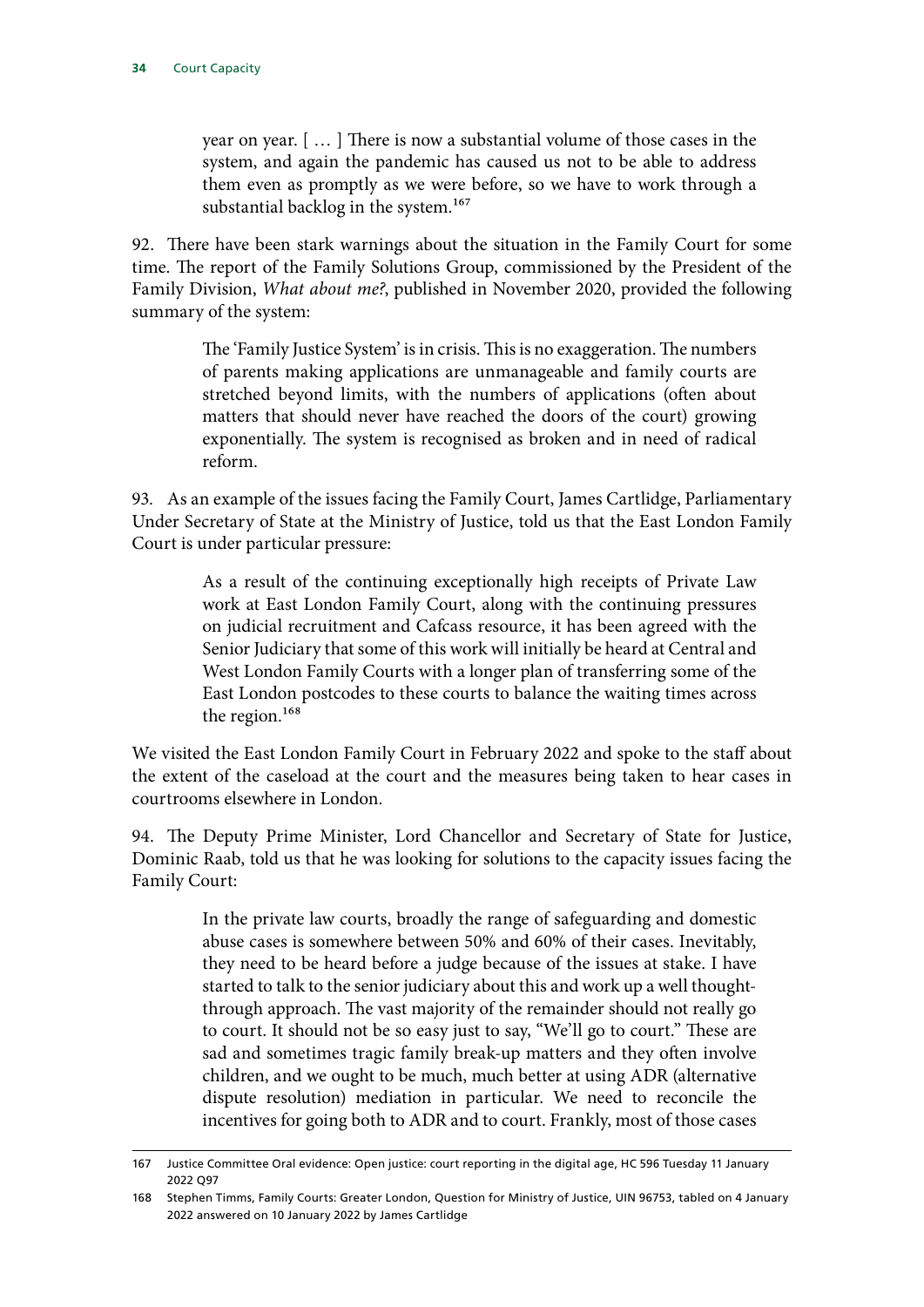year on year. [ … ] There is now a substantial volume of those cases in the system, and again the pandemic has caused us not to be able to address them even as promptly as we were before, so we have to work through a substantial backlog in the system.<sup>167</sup>

92. There have been stark warnings about the situation in the Family Court for some time. The report of the Family Solutions Group, commissioned by the President of the Family Division, *What about me?*, published in November 2020, provided the following summary of the system:

> The 'Family Justice System' is in crisis. This is no exaggeration. The numbers of parents making applications are unmanageable and family courts are stretched beyond limits, with the numbers of applications (often about matters that should never have reached the doors of the court) growing exponentially. The system is recognised as broken and in need of radical reform.

93. As an example of the issues facing the Family Court, James Cartlidge, Parliamentary Under Secretary of State at the Ministry of Justice, told us that the East London Family Court is under particular pressure:

> As a result of the continuing exceptionally high receipts of Private Law work at East London Family Court, along with the continuing pressures on judicial recruitment and Cafcass resource, it has been agreed with the Senior Judiciary that some of this work will initially be heard at Central and West London Family Courts with a longer plan of transferring some of the East London postcodes to these courts to balance the waiting times across the region.<sup>168</sup>

We visited the East London Family Court in February 2022 and spoke to the staff about the extent of the caseload at the court and the measures being taken to hear cases in courtrooms elsewhere in London.

94. The Deputy Prime Minister, Lord Chancellor and Secretary of State for Justice, Dominic Raab, told us that he was looking for solutions to the capacity issues facing the Family Court:

> In the private law courts, broadly the range of safeguarding and domestic abuse cases is somewhere between 50% and 60% of their cases. Inevitably, they need to be heard before a judge because of the issues at stake. I have started to talk to the senior judiciary about this and work up a well thoughtthrough approach. The vast majority of the remainder should not really go to court. It should not be so easy just to say, "We'll go to court." These are sad and sometimes tragic family break-up matters and they often involve children, and we ought to be much, much better at using ADR (alternative dispute resolution) mediation in particular. We need to reconcile the incentives for going both to ADR and to court. Frankly, most of those cases

<sup>167</sup> Justice Committee Oral evidence: Open justice: court reporting in the digital age, HC 596 Tuesday 11 January 2022 Q97

<sup>168</sup> Stephen Timms, Family Courts: Greater London, Question for Ministry of Justice, UIN 96753, tabled on 4 January 2022 answered on 10 January 2022 by James Cartlidge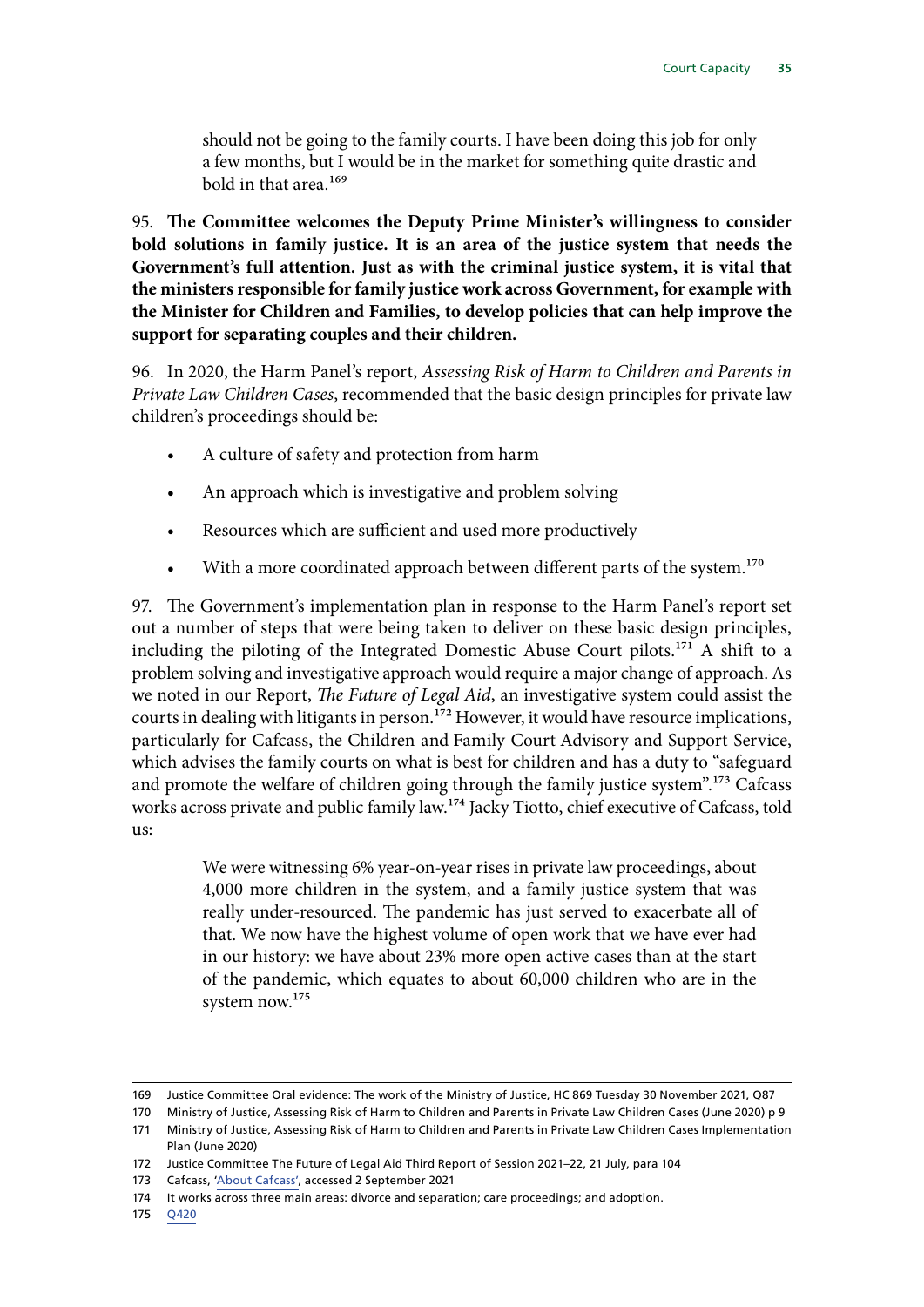should not be going to the family courts. I have been doing this job for only a few months, but I would be in the market for something quite drastic and bold in that area.169

95. **The Committee welcomes the Deputy Prime Minister's willingness to consider bold solutions in family justice. It is an area of the justice system that needs the Government's full attention. Just as with the criminal justice system, it is vital that the ministers responsible for family justice work across Government, for example with the Minister for Children and Families, to develop policies that can help improve the support for separating couples and their children.**

96. In 2020, the Harm Panel's report, *Assessing Risk of Harm to Children and Parents in Private Law Children Cases*, recommended that the basic design principles for private law children's proceedings should be:

- A culture of safety and protection from harm
- An approach which is investigative and problem solving
- Resources which are sufficient and used more productively
- With a more coordinated approach between different parts of the system.<sup>170</sup>

97. The Government's implementation plan in response to the Harm Panel's report set out a number of steps that were being taken to deliver on these basic design principles, including the piloting of the Integrated Domestic Abuse Court pilots.171 A shift to a problem solving and investigative approach would require a major change of approach. As we noted in our Report, *The Future of Legal Aid*, an investigative system could assist the courts in dealing with litigants in person.<sup>172</sup> However, it would have resource implications, particularly for Cafcass, the Children and Family Court Advisory and Support Service, which advises the family courts on what is best for children and has a duty to "safeguard and promote the welfare of children going through the family justice system".173 Cafcass works across private and public family law.174 Jacky Tiotto, chief executive of Cafcass, told us:

> We were witnessing 6% year-on-year rises in private law proceedings, about 4,000 more children in the system, and a family justice system that was really under-resourced. The pandemic has just served to exacerbate all of that. We now have the highest volume of open work that we have ever had in our history: we have about 23% more open active cases than at the start of the pandemic, which equates to about 60,000 children who are in the system now.175

175 [Q420](https://committees.parliament.uk/oralevidence/1878/html/)

<sup>169</sup> Justice Committee Oral evidence: The work of the Ministry of Justice, HC 869 Tuesday 30 November 2021, Q87

<sup>170</sup> Ministry of Justice, Assessing Risk of Harm to Children and Parents in Private Law Children Cases (June 2020) p 9

<sup>171</sup> Ministry of Justice, Assessing Risk of Harm to Children and Parents in Private Law Children Cases Implementation Plan (June 2020)

<sup>172</sup> Justice Committee The Future of Legal Aid Third Report of Session 2021–22, 21 July, para 104

<sup>173</sup> Cafcass, ['About Cafcass](https://www.cafcass.gov.uk/about-cafcass/)', accessed 2 September 2021

<sup>174</sup> It works across three main areas: divorce and separation; care proceedings; and adoption.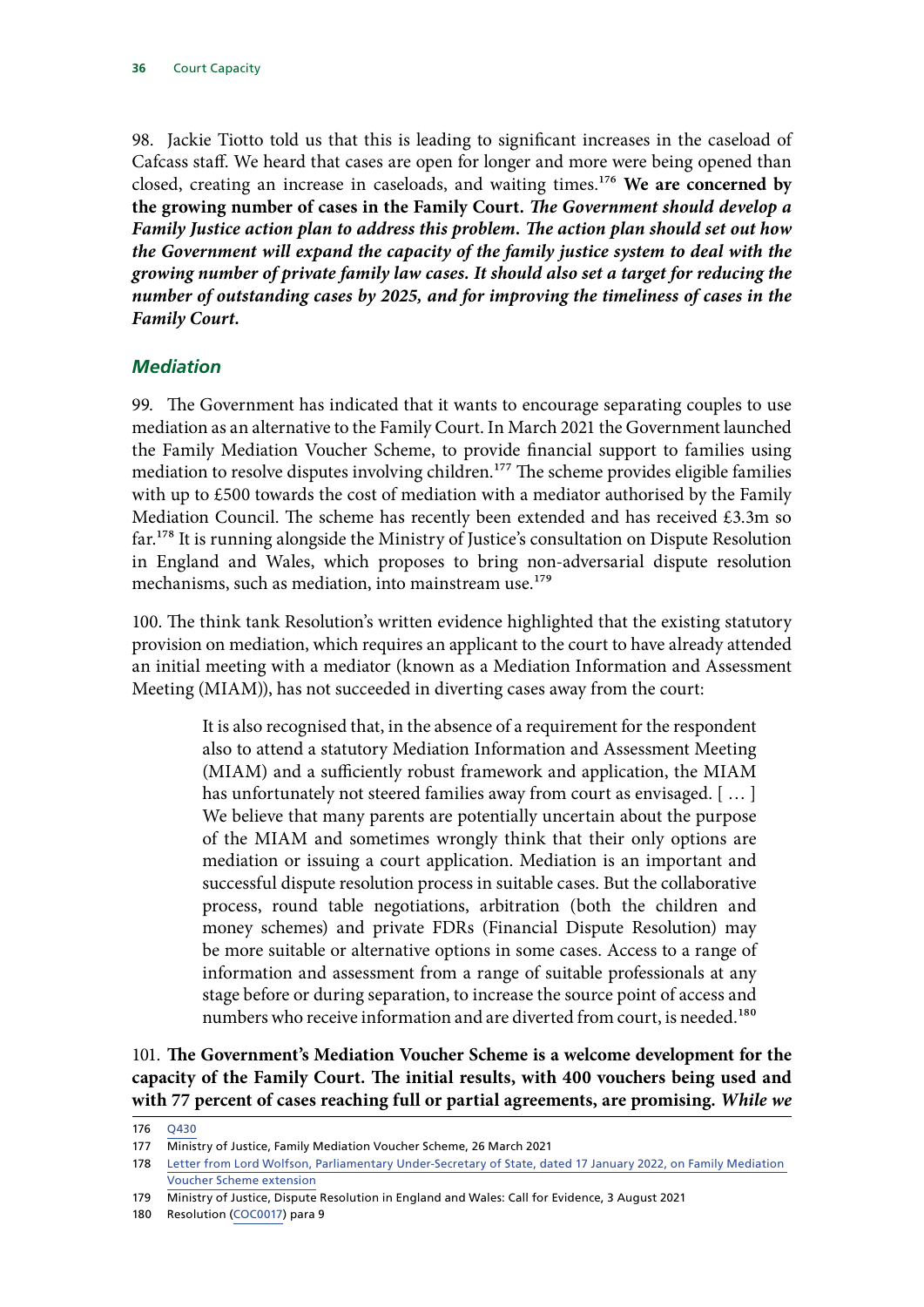<span id="page-37-0"></span>98. Jackie Tiotto told us that this is leading to significant increases in the caseload of Cafcass staff. We heard that cases are open for longer and more were being opened than closed, creating an increase in caseloads, and waiting times.176 **We are concerned by the growing number of cases in the Family Court.** *The Government should develop a Family Justice action plan to address this problem. The action plan should set out how the Government will expand the capacity of the family justice system to deal with the growing number of private family law cases. It should also set a target for reducing the number of outstanding cases by 2025, and for improving the timeliness of cases in the Family Court.*

#### *Mediation*

99. The Government has indicated that it wants to encourage separating couples to use mediation as an alternative to the Family Court. In March 2021 the Government launched the Family Mediation Voucher Scheme, to provide financial support to families using mediation to resolve disputes involving children.<sup>177</sup> The scheme provides eligible families with up to £500 towards the cost of mediation with a mediator authorised by the Family Mediation Council. The scheme has recently been extended and has received £3.3m so far.178 It is running alongside the Ministry of Justice's consultation on Dispute Resolution in England and Wales, which proposes to bring non-adversarial dispute resolution mechanisms, such as mediation, into mainstream use.<sup>179</sup>

100. The think tank Resolution's written evidence highlighted that the existing statutory provision on mediation, which requires an applicant to the court to have already attended an initial meeting with a mediator (known as a Mediation Information and Assessment Meeting (MIAM)), has not succeeded in diverting cases away from the court:

> It is also recognised that, in the absence of a requirement for the respondent also to attend a statutory Mediation Information and Assessment Meeting (MIAM) and a sufficiently robust framework and application, the MIAM has unfortunately not steered families away from court as envisaged. [...] We believe that many parents are potentially uncertain about the purpose of the MIAM and sometimes wrongly think that their only options are mediation or issuing a court application. Mediation is an important and successful dispute resolution process in suitable cases. But the collaborative process, round table negotiations, arbitration (both the children and money schemes) and private FDRs (Financial Dispute Resolution) may be more suitable or alternative options in some cases. Access to a range of information and assessment from a range of suitable professionals at any stage before or during separation, to increase the source point of access and numbers who receive information and are diverted from court, is needed.<sup>180</sup>

101. **The Government's Mediation Voucher Scheme is a welcome development for the capacity of the Family Court. The initial results, with 400 vouchers being used and with 77 percent of cases reaching full or partial agreements, are promising.** *While we* 

<sup>176</sup> [Q430](https://committees.parliament.uk/oralevidence/1878/html/)

<sup>177</sup> Ministry of Justice, Family Mediation Voucher Scheme, 26 March 2021

<sup>178</sup> [Letter from Lord Wolfson, Parliamentary Under-Secretary of State, dated 17 January 2022, on Family Mediation](https://committees.parliament.uk/publications/8629/documents/87507/default/)  [Voucher Scheme extension](https://committees.parliament.uk/publications/8629/documents/87507/default/)

<sup>179</sup> Ministry of Justice, Dispute Resolution in England and Wales: Call for Evidence, 3 August 2021

<sup>180</sup> Resolution [\(COC0017](https://committees.parliament.uk/writtenevidence/11223/html/)) para 9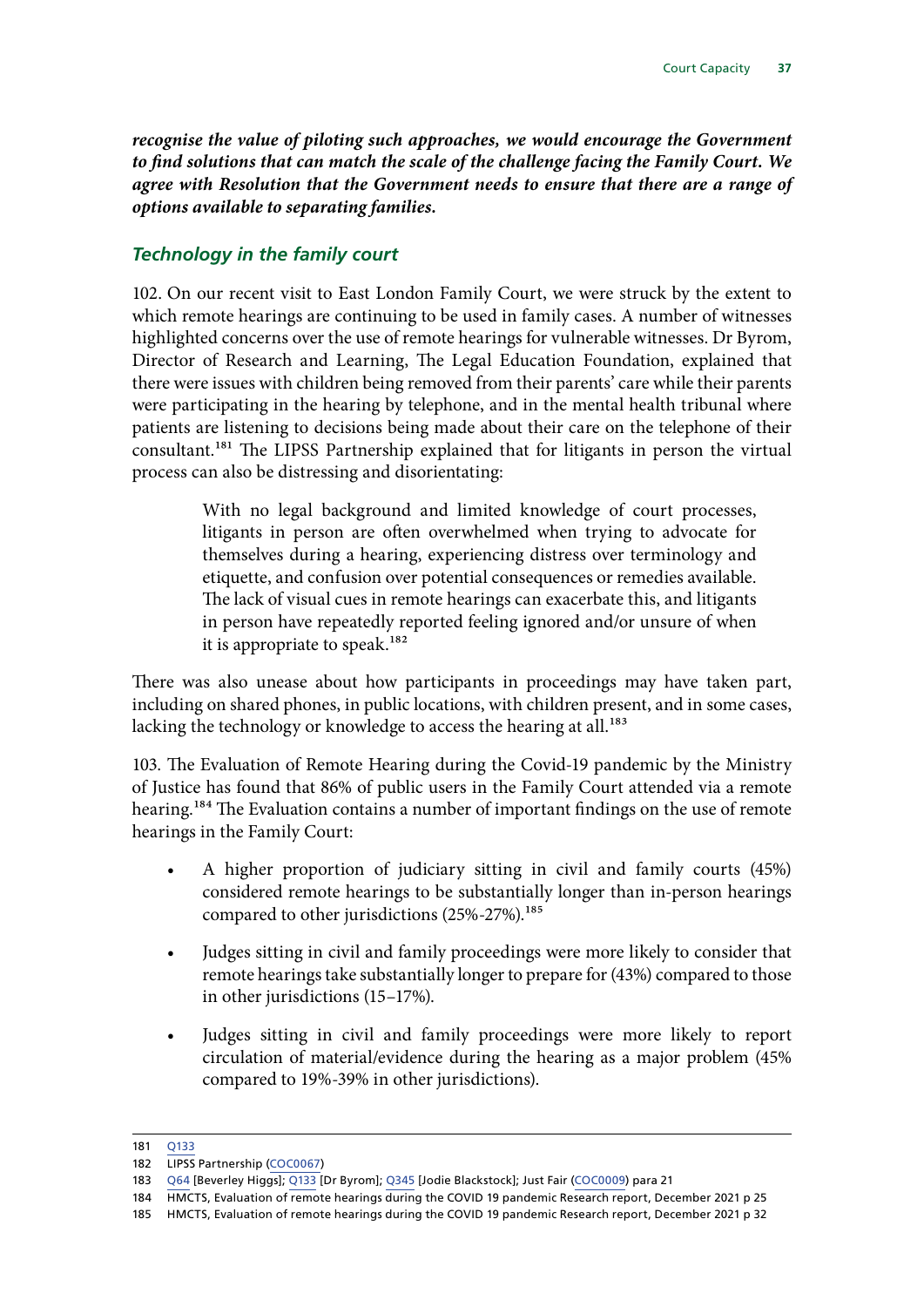<span id="page-38-0"></span>*recognise the value of piloting such approaches, we would encourage the Government to find solutions that can match the scale of the challenge facing the Family Court. We agree with Resolution that the Government needs to ensure that there are a range of options available to separating families.*

#### *Technology in the family court*

102. On our recent visit to East London Family Court, we were struck by the extent to which remote hearings are continuing to be used in family cases. A number of witnesses highlighted concerns over the use of remote hearings for vulnerable witnesses. Dr Byrom, Director of Research and Learning, The Legal Education Foundation, explained that there were issues with children being removed from their parents' care while their parents were participating in the hearing by telephone, and in the mental health tribunal where patients are listening to decisions being made about their care on the telephone of their consultant.<sup>181</sup> The LIPSS Partnership explained that for litigants in person the virtual process can also be distressing and disorientating:

> With no legal background and limited knowledge of court processes, litigants in person are often overwhelmed when trying to advocate for themselves during a hearing, experiencing distress over terminology and etiquette, and confusion over potential consequences or remedies available. The lack of visual cues in remote hearings can exacerbate this, and litigants in person have repeatedly reported feeling ignored and/or unsure of when it is appropriate to speak.<sup>182</sup>

There was also unease about how participants in proceedings may have taken part, including on shared phones, in public locations, with children present, and in some cases, lacking the technology or knowledge to access the hearing at all.<sup>183</sup>

103. The Evaluation of Remote Hearing during the Covid-19 pandemic by the Ministry of Justice has found that 86% of public users in the Family Court attended via a remote hearing.<sup>184</sup> The Evaluation contains a number of important findings on the use of remote hearings in the Family Court:

- A higher proportion of judiciary sitting in civil and family courts (45%) considered remote hearings to be substantially longer than in-person hearings compared to other jurisdictions (25%-27%).<sup>185</sup>
- Judges sitting in civil and family proceedings were more likely to consider that remote hearings take substantially longer to prepare for (43%) compared to those in other jurisdictions (15–17%).
- Judges sitting in civil and family proceedings were more likely to report circulation of material/evidence during the hearing as a major problem (45% compared to 19%-39% in other jurisdictions).

<sup>181</sup> [Q133](https://committees.parliament.uk/oralevidence/1595/html/)

<sup>182</sup> LIPSS Partnership ([COC0067\)](https://committees.parliament.uk/writtenevidence/25619/html/)

<sup>183</sup> [Q64](https://committees.parliament.uk/oralevidence/1518/html/) [Beverley Higgs]; [Q133](https://committees.parliament.uk/oralevidence/1595/html/) [Dr Byrom]; [Q345](https://committees.parliament.uk/oralevidence/1774/html/) [Jodie Blackstock]; Just Fair [\(COC0009](https://committees.parliament.uk/writtenevidence/11058/html/)) para 21

<sup>184</sup> HMCTS, Evaluation of remote hearings during the COVID 19 pandemic Research report, December 2021 p 25

<sup>185</sup> HMCTS, Evaluation of remote hearings during the COVID 19 pandemic Research report, December 2021 p 32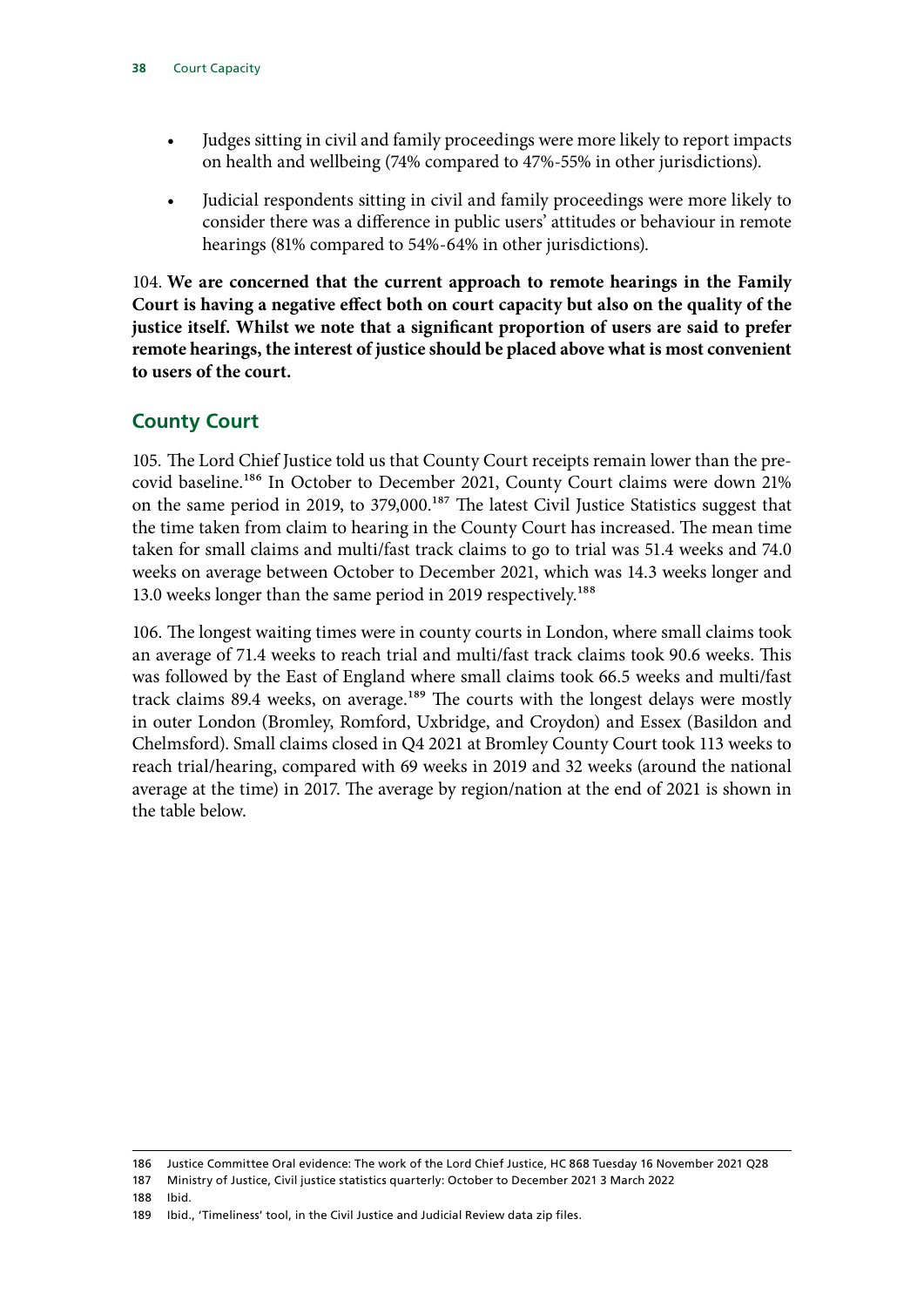- <span id="page-39-0"></span>• Judges sitting in civil and family proceedings were more likely to report impacts on health and wellbeing (74% compared to 47%-55% in other jurisdictions).
- Judicial respondents sitting in civil and family proceedings were more likely to consider there was a difference in public users' attitudes or behaviour in remote hearings (81% compared to 54%-64% in other jurisdictions).

104. **We are concerned that the current approach to remote hearings in the Family Court is having a negative effect both on court capacity but also on the quality of the justice itself. Whilst we note that a significant proportion of users are said to prefer remote hearings, the interest of justice should be placed above what is most convenient to users of the court.**

## **County Court**

105. The Lord Chief Justice told us that County Court receipts remain lower than the precovid baseline.186 In October to December 2021, County Court claims were down 21% on the same period in 2019, to 379,000.<sup>187</sup> The latest Civil Justice Statistics suggest that the time taken from claim to hearing in the County Court has increased. The mean time taken for small claims and multi/fast track claims to go to trial was 51.4 weeks and 74.0 weeks on average between October to December 2021, which was 14.3 weeks longer and 13.0 weeks longer than the same period in 2019 respectively.<sup>188</sup>

106. The longest waiting times were in county courts in London, where small claims took an average of 71.4 weeks to reach trial and multi/fast track claims took 90.6 weeks. This was followed by the East of England where small claims took 66.5 weeks and multi/fast track claims 89.4 weeks, on average.<sup>189</sup> The courts with the longest delays were mostly in outer London (Bromley, Romford, Uxbridge, and Croydon) and Essex (Basildon and Chelmsford). Small claims closed in Q4 2021 at Bromley County Court took 113 weeks to reach trial/hearing, compared with 69 weeks in 2019 and 32 weeks (around the national average at the time) in 2017. The average by region/nation at the end of 2021 is shown in the table below.

188 Ibid.

<sup>186</sup> Justice Committee Oral evidence: The work of the Lord Chief Justice, HC 868 Tuesday 16 November 2021 Q28

<sup>187</sup> Ministry of Justice, Civil justice statistics quarterly: October to December 2021 3 March 2022

<sup>189</sup> Ibid., 'Timeliness' tool, in the Civil Justice and Judicial Review data zip files.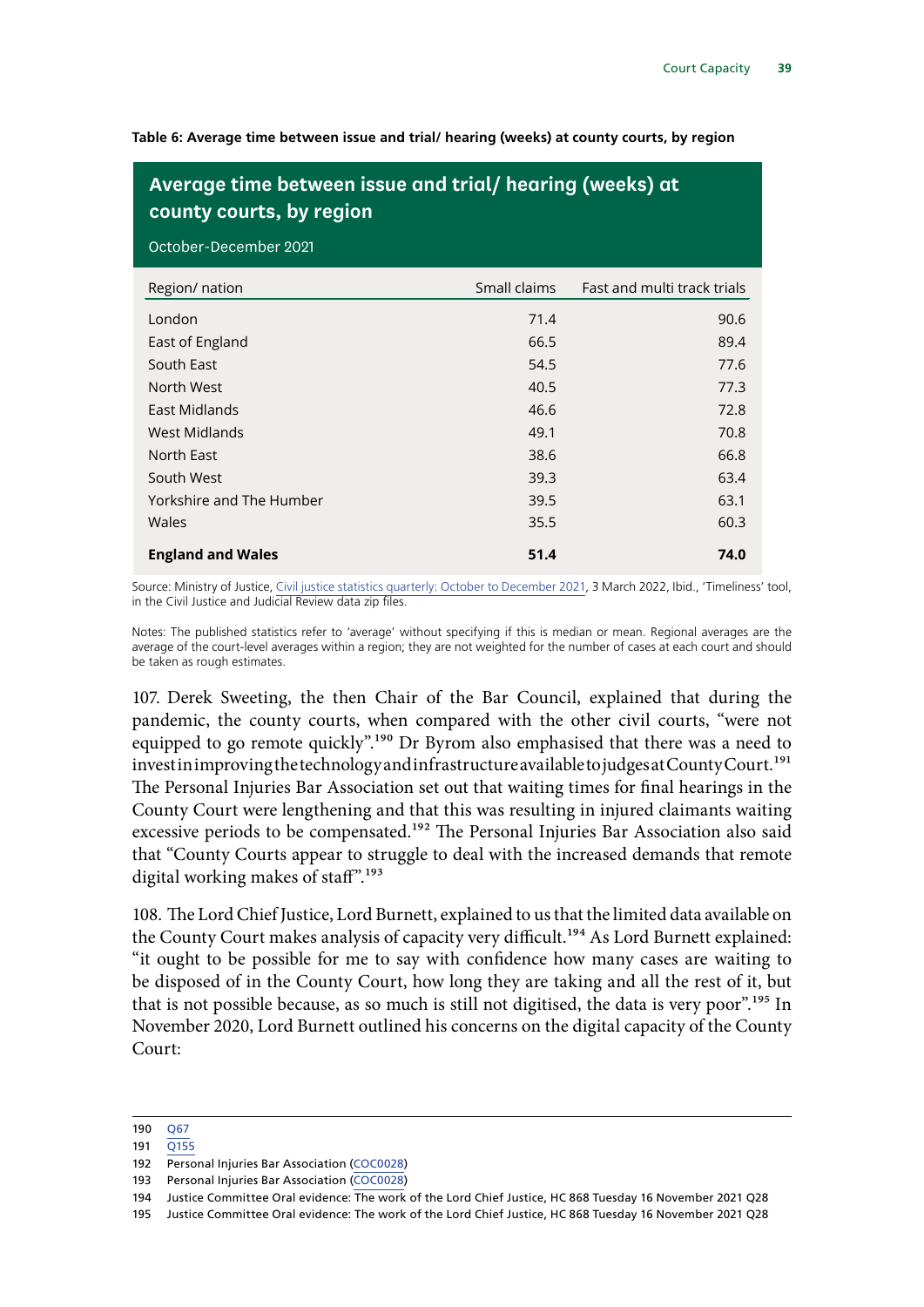**Table 6: Average time between issue and trial/ hearing (weeks) at county courts, by region**

## **Average time between issue and trial/ hearing (weeks) at county courts, by region**

October-December 2021

| Region/ nation           | Small claims | Fast and multi track trials |
|--------------------------|--------------|-----------------------------|
| London                   | 71.4         | 90.6                        |
| East of England          | 66.5         | 89.4                        |
| South East               | 54.5         | 77.6                        |
| North West               | 40.5         | 77.3                        |
| East Midlands            | 46.6         | 72.8                        |
| West Midlands            | 49.1         | 70.8                        |
| North East               | 38.6         | 66.8                        |
| South West               | 39.3         | 63.4                        |
| Yorkshire and The Humber | 39.5         | 63.1                        |
| Wales                    | 35.5         | 60.3                        |
| <b>England and Wales</b> | 51.4         | 74.0                        |

Source: Ministry of Justice, [Civil justice statistics quarterly: October to December 2021](https://www.gov.uk/government/collections/civil-justice-statistics-quarterly), 3 March 2022, Ibid., 'Timeliness' tool, in the Civil Justice and Judicial Review data zip files.

Notes: The published statistics refer to 'average' without specifying if this is median or mean. Regional averages are the average of the court-level averages within a region; they are not weighted for the number of cases at each court and should be taken as rough estimates.

107. Derek Sweeting, the then Chair of the Bar Council, explained that during the pandemic, the county courts, when compared with the other civil courts, "were not equipped to go remote quickly".<sup>190</sup> Dr Byrom also emphasised that there was a need to invest in improving the technology and infrastructure available to judges at County Court.<sup>191</sup> The Personal Injuries Bar Association set out that waiting times for final hearings in the County Court were lengthening and that this was resulting in injured claimants waiting excessive periods to be compensated.<sup>192</sup> The Personal Injuries Bar Association also said that "County Courts appear to struggle to deal with the increased demands that remote digital working makes of staff".<sup>193</sup>

108. The Lord Chief Justice, Lord Burnett, explained to us that the limited data available on the County Court makes analysis of capacity very difficult.<sup>194</sup> As Lord Burnett explained: "it ought to be possible for me to say with confidence how many cases are waiting to be disposed of in the County Court, how long they are taking and all the rest of it, but that is not possible because, as so much is still not digitised, the data is very poor".<sup>195</sup> In November 2020, Lord Burnett outlined his concerns on the digital capacity of the County Court:

<sup>190</sup> [Q67](https://committees.parliament.uk/oralevidence/1518/html/)

<sup>191</sup> [Q155](https://committees.parliament.uk/oralevidence/1595/html/)

<sup>192</sup> Personal Injuries Bar Association ([COC0028](https://committees.parliament.uk/writtenevidence/11950/html/))

<sup>193</sup> Personal Injuries Bar Association ([COC0028](https://committees.parliament.uk/writtenevidence/11950/html/))

<sup>194</sup> Justice Committee Oral evidence: The work of the Lord Chief Justice, HC 868 Tuesday 16 November 2021 Q28

<sup>195</sup> Justice Committee Oral evidence: The work of the Lord Chief Justice, HC 868 Tuesday 16 November 2021 Q28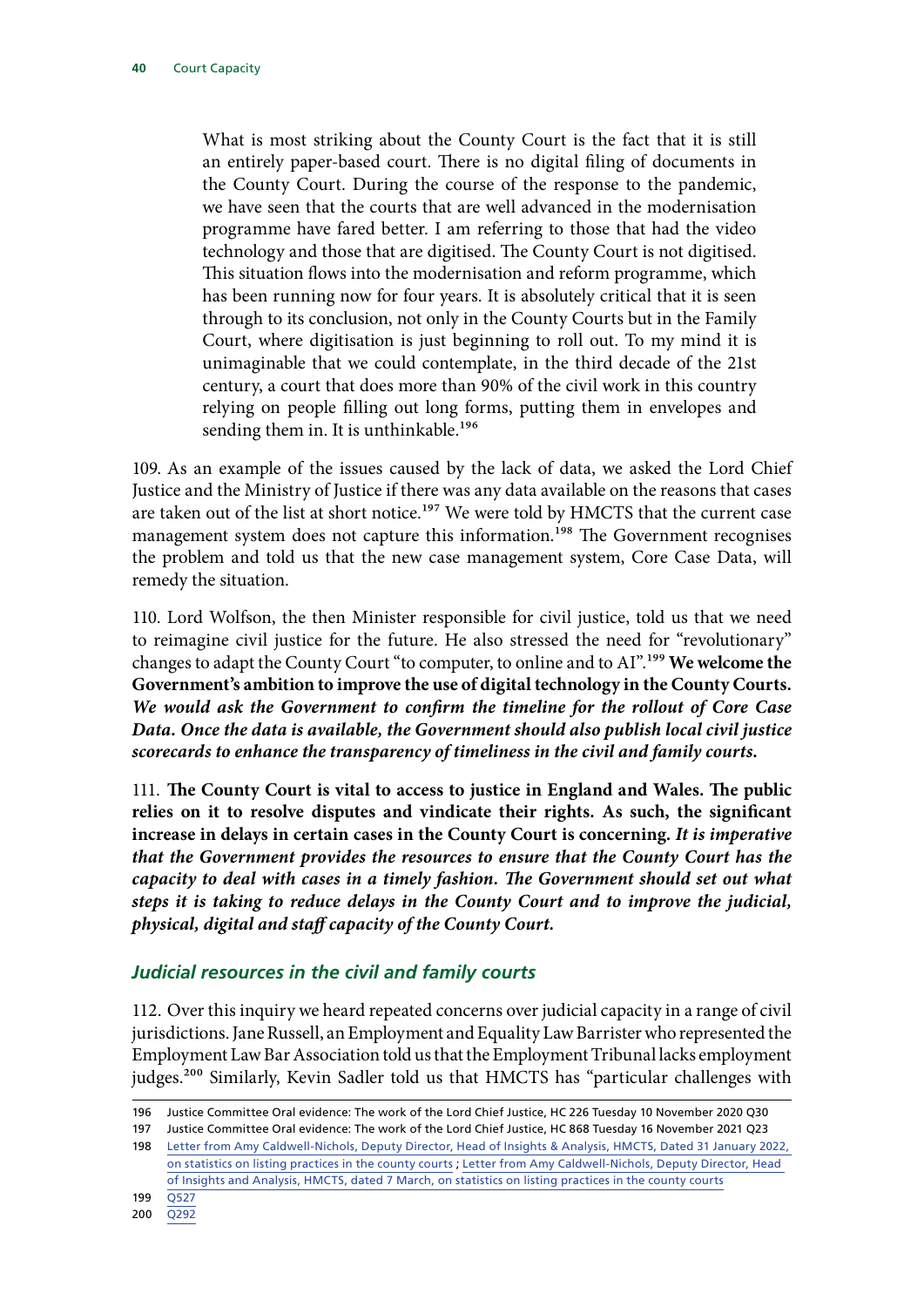What is most striking about the County Court is the fact that it is still an entirely paper-based court. There is no digital filing of documents in the County Court. During the course of the response to the pandemic, we have seen that the courts that are well advanced in the modernisation programme have fared better. I am referring to those that had the video technology and those that are digitised. The County Court is not digitised. This situation flows into the modernisation and reform programme, which has been running now for four years. It is absolutely critical that it is seen through to its conclusion, not only in the County Courts but in the Family Court, where digitisation is just beginning to roll out. To my mind it is unimaginable that we could contemplate, in the third decade of the 21st century, a court that does more than 90% of the civil work in this country relying on people filling out long forms, putting them in envelopes and sending them in. It is unthinkable.<sup>196</sup>

109. As an example of the issues caused by the lack of data, we asked the Lord Chief Justice and the Ministry of Justice if there was any data available on the reasons that cases are taken out of the list at short notice.<sup>197</sup> We were told by HMCTS that the current case management system does not capture this information.<sup>198</sup> The Government recognises the problem and told us that the new case management system, Core Case Data, will remedy the situation.

110. Lord Wolfson, the then Minister responsible for civil justice, told us that we need to reimagine civil justice for the future. He also stressed the need for "revolutionary" changes to adapt the County Court "to computer, to online and to AI".199 **We welcome the Government's ambition to improve the use of digital technology in the County Courts.** *We would ask the Government to confirm the timeline for the rollout of Core Case Data. Once the data is available, the Government should also publish local civil justice scorecards to enhance the transparency of timeliness in the civil and family courts.*

111. **The County Court is vital to access to justice in England and Wales. The public relies on it to resolve disputes and vindicate their rights. As such, the significant increase in delays in certain cases in the County Court is concerning.** *It is imperative that the Government provides the resources to ensure that the County Court has the capacity to deal with cases in a timely fashion. The Government should set out what steps it is taking to reduce delays in the County Court and to improve the judicial, physical, digital and staff capacity of the County Court.*

## *Judicial resources in the civil and family courts*

112. Over this inquiry we heard repeated concerns over judicial capacity in a range of civil jurisdictions. Jane Russell, an Employment and Equality Law Barrister who represented the Employment Law Bar Association told us that the Employment Tribunal lacks employment judges.<sup>200</sup> Similarly, Kevin Sadler told us that HMCTS has "particular challenges with

<sup>196</sup> Justice Committee Oral evidence: The work of the Lord Chief Justice, HC 226 Tuesday 10 November 2020 Q30

<sup>197</sup> Justice Committee Oral evidence: The work of the Lord Chief Justice, HC 868 Tuesday 16 November 2021 Q23

<sup>198</sup> [Letter from Amy Caldwell-Nichols, Deputy Director, Head of Insights & Analysis, HMCTS, Dated 31 January 2022,](https://committees.parliament.uk/publications/8824/documents/89072/default/)  [on statistics on listing practices in the county courts](https://committees.parliament.uk/publications/8824/documents/89072/default/) ; [Letter from Amy Caldwell-Nichols, Deputy Director, Head](https://committees.parliament.uk/publications/9316/documents/160513/default/)  [of Insights and Analysis, HMCTS, dated 7 March, on statistics on listing practices in the county courts](https://committees.parliament.uk/publications/9316/documents/160513/default/)

<sup>199</sup> [Q527](https://committees.parliament.uk/oralevidence/1967/html/)

<sup>200</sup> [Q292](https://committees.parliament.uk/oralevidence/1734/html/)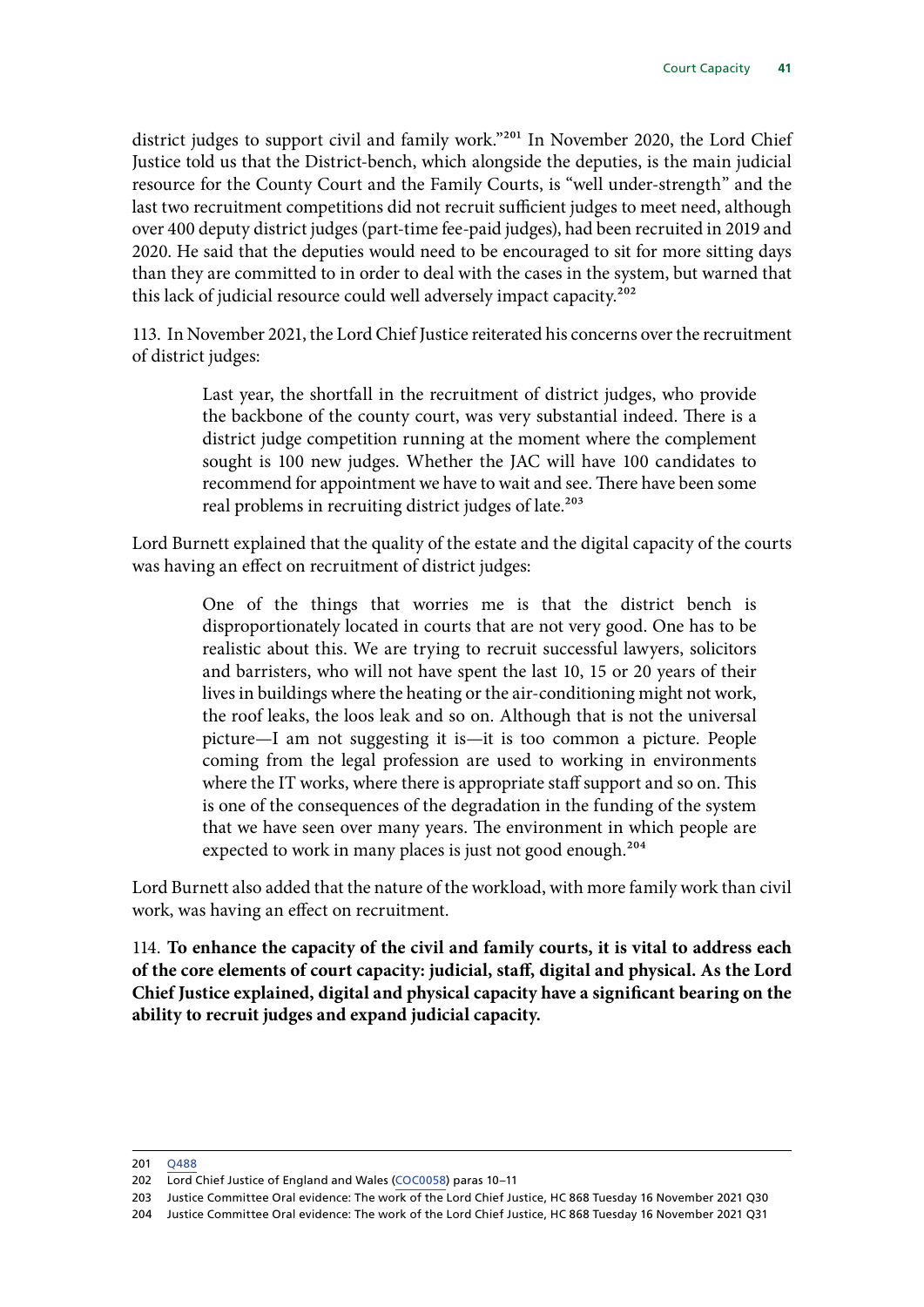<span id="page-42-0"></span>district judges to support civil and family work."<sup>201</sup> In November 2020, the Lord Chief Justice told us that the District-bench, which alongside the deputies, is the main judicial resource for the County Court and the Family Courts, is "well under-strength" and the last two recruitment competitions did not recruit sufficient judges to meet need, although over 400 deputy district judges (part-time fee-paid judges), had been recruited in 2019 and 2020. He said that the deputies would need to be encouraged to sit for more sitting days than they are committed to in order to deal with the cases in the system, but warned that this lack of judicial resource could well adversely impact capacity.<sup>202</sup>

113. In November 2021, the Lord Chief Justice reiterated his concerns over the recruitment of district judges:

> Last year, the shortfall in the recruitment of district judges, who provide the backbone of the county court, was very substantial indeed. There is a district judge competition running at the moment where the complement sought is 100 new judges. Whether the JAC will have 100 candidates to recommend for appointment we have to wait and see. There have been some real problems in recruiting district judges of late.<sup>203</sup>

Lord Burnett explained that the quality of the estate and the digital capacity of the courts was having an effect on recruitment of district judges:

> One of the things that worries me is that the district bench is disproportionately located in courts that are not very good. One has to be realistic about this. We are trying to recruit successful lawyers, solicitors and barristers, who will not have spent the last 10, 15 or 20 years of their lives in buildings where the heating or the air-conditioning might not work, the roof leaks, the loos leak and so on. Although that is not the universal picture—I am not suggesting it is—it is too common a picture. People coming from the legal profession are used to working in environments where the IT works, where there is appropriate staff support and so on. This is one of the consequences of the degradation in the funding of the system that we have seen over many years. The environment in which people are expected to work in many places is just not good enough.<sup>204</sup>

Lord Burnett also added that the nature of the workload, with more family work than civil work, was having an effect on recruitment.

114. **To enhance the capacity of the civil and family courts, it is vital to address each of the core elements of court capacity: judicial, staff, digital and physical. As the Lord Chief Justice explained, digital and physical capacity have a significant bearing on the ability to recruit judges and expand judicial capacity.**

<sup>201</sup> [Q488](https://committees.parliament.uk/oralevidence/1967/html/)

<sup>202</sup> Lord Chief Justice of England and Wales ([COC0058](https://committees.parliament.uk/writtenevidence/14840/html/)) paras 10–11

<sup>203</sup> Justice Committee Oral evidence: The work of the Lord Chief Justice, HC 868 Tuesday 16 November 2021 Q30

<sup>204</sup> Justice Committee Oral evidence: The work of the Lord Chief Justice, HC 868 Tuesday 16 November 2021 Q31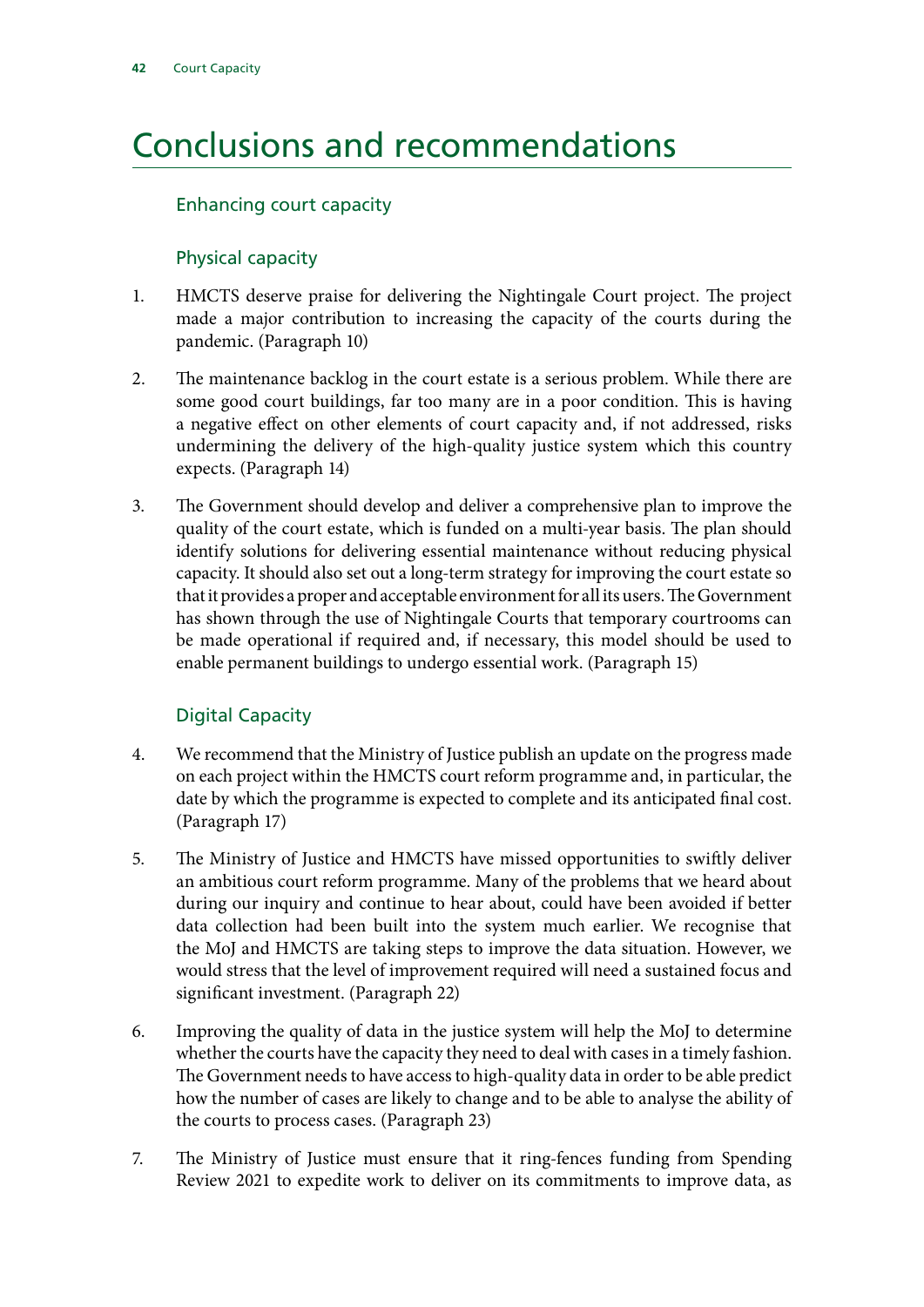# Conclusions and recommendations

#### Enhancing court capacity

#### Physical capacity

- 1. HMCTS deserve praise for delivering the Nightingale Court project. The project made a major contribution to increasing the capacity of the courts during the pandemic. (Paragraph 10)
- 2. The maintenance backlog in the court estate is a serious problem. While there are some good court buildings, far too many are in a poor condition. This is having a negative effect on other elements of court capacity and, if not addressed, risks undermining the delivery of the high-quality justice system which this country expects. (Paragraph 14)
- 3. The Government should develop and deliver a comprehensive plan to improve the quality of the court estate, which is funded on a multi-year basis. The plan should identify solutions for delivering essential maintenance without reducing physical capacity. It should also set out a long-term strategy for improving the court estate so that it provides a proper and acceptable environment for all its users. The Government has shown through the use of Nightingale Courts that temporary courtrooms can be made operational if required and, if necessary, this model should be used to enable permanent buildings to undergo essential work. (Paragraph 15)

## Digital Capacity

- 4. We recommend that the Ministry of Justice publish an update on the progress made on each project within the HMCTS court reform programme and, in particular, the date by which the programme is expected to complete and its anticipated final cost. (Paragraph 17)
- 5. The Ministry of Justice and HMCTS have missed opportunities to swiftly deliver an ambitious court reform programme. Many of the problems that we heard about during our inquiry and continue to hear about, could have been avoided if better data collection had been built into the system much earlier. We recognise that the MoJ and HMCTS are taking steps to improve the data situation. However, we would stress that the level of improvement required will need a sustained focus and significant investment. (Paragraph 22)
- 6. Improving the quality of data in the justice system will help the MoJ to determine whether the courts have the capacity they need to deal with cases in a timely fashion. The Government needs to have access to high-quality data in order to be able predict how the number of cases are likely to change and to be able to analyse the ability of the courts to process cases. (Paragraph 23)
- 7. The Ministry of Justice must ensure that it ring-fences funding from Spending Review 2021 to expedite work to deliver on its commitments to improve data, as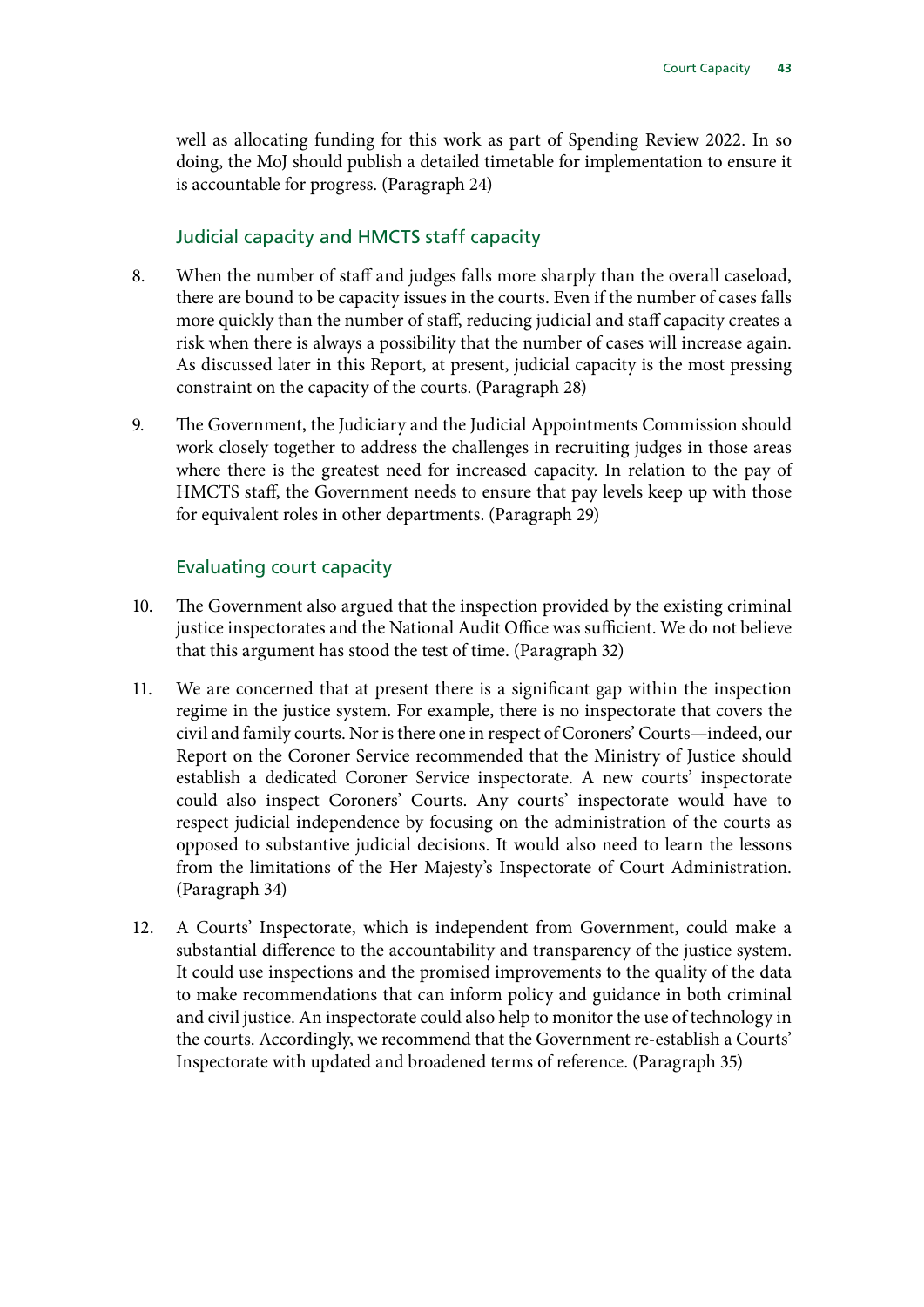<span id="page-44-0"></span>well as allocating funding for this work as part of Spending Review 2022. In so doing, the MoJ should publish a detailed timetable for implementation to ensure it is accountable for progress. (Paragraph 24)

#### Judicial capacity and HMCTS staff capacity

- 8. When the number of staff and judges falls more sharply than the overall caseload, there are bound to be capacity issues in the courts. Even if the number of cases falls more quickly than the number of staff, reducing judicial and staff capacity creates a risk when there is always a possibility that the number of cases will increase again. As discussed later in this Report, at present, judicial capacity is the most pressing constraint on the capacity of the courts. (Paragraph 28)
- 9. The Government, the Judiciary and the Judicial Appointments Commission should work closely together to address the challenges in recruiting judges in those areas where there is the greatest need for increased capacity. In relation to the pay of HMCTS staff, the Government needs to ensure that pay levels keep up with those for equivalent roles in other departments. (Paragraph 29)

#### Evaluating court capacity

- 10. The Government also argued that the inspection provided by the existing criminal justice inspectorates and the National Audit Office was sufficient. We do not believe that this argument has stood the test of time. (Paragraph 32)
- 11. We are concerned that at present there is a significant gap within the inspection regime in the justice system. For example, there is no inspectorate that covers the civil and family courts. Nor is there one in respect of Coroners' Courts—indeed, our Report on the Coroner Service recommended that the Ministry of Justice should establish a dedicated Coroner Service inspectorate. A new courts' inspectorate could also inspect Coroners' Courts. Any courts' inspectorate would have to respect judicial independence by focusing on the administration of the courts as opposed to substantive judicial decisions. It would also need to learn the lessons from the limitations of the Her Majesty's Inspectorate of Court Administration. (Paragraph 34)
- 12. A Courts' Inspectorate, which is independent from Government, could make a substantial difference to the accountability and transparency of the justice system. It could use inspections and the promised improvements to the quality of the data to make recommendations that can inform policy and guidance in both criminal and civil justice. An inspectorate could also help to monitor the use of technology in the courts. Accordingly, we recommend that the Government re-establish a Courts' Inspectorate with updated and broadened terms of reference. (Paragraph 35)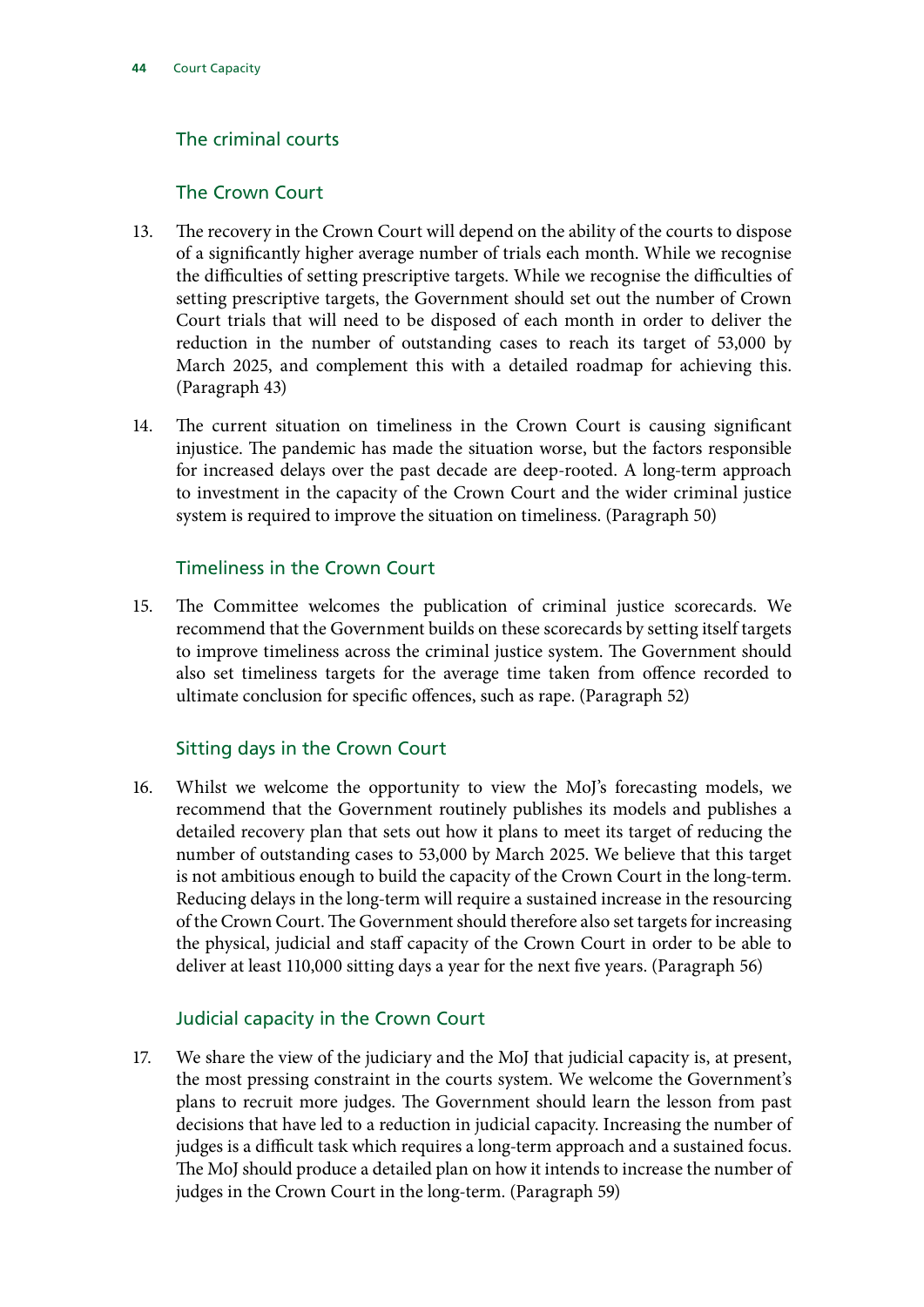## The criminal courts

#### The Crown Court

- 13. The recovery in the Crown Court will depend on the ability of the courts to dispose of a significantly higher average number of trials each month. While we recognise the difficulties of setting prescriptive targets. While we recognise the difficulties of setting prescriptive targets, the Government should set out the number of Crown Court trials that will need to be disposed of each month in order to deliver the reduction in the number of outstanding cases to reach its target of 53,000 by March 2025, and complement this with a detailed roadmap for achieving this. (Paragraph 43)
- 14. The current situation on timeliness in the Crown Court is causing significant injustice. The pandemic has made the situation worse, but the factors responsible for increased delays over the past decade are deep-rooted. A long-term approach to investment in the capacity of the Crown Court and the wider criminal justice system is required to improve the situation on timeliness. (Paragraph 50)

#### Timeliness in the Crown Court

15. The Committee welcomes the publication of criminal justice scorecards. We recommend that the Government builds on these scorecards by setting itself targets to improve timeliness across the criminal justice system. The Government should also set timeliness targets for the average time taken from offence recorded to ultimate conclusion for specific offences, such as rape. (Paragraph 52)

## Sitting days in the Crown Court

16. Whilst we welcome the opportunity to view the MoJ's forecasting models, we recommend that the Government routinely publishes its models and publishes a detailed recovery plan that sets out how it plans to meet its target of reducing the number of outstanding cases to 53,000 by March 2025. We believe that this target is not ambitious enough to build the capacity of the Crown Court in the long-term. Reducing delays in the long-term will require a sustained increase in the resourcing of the Crown Court. The Government should therefore also set targets for increasing the physical, judicial and staff capacity of the Crown Court in order to be able to deliver at least 110,000 sitting days a year for the next five years. (Paragraph 56)

#### Judicial capacity in the Crown Court

17. We share the view of the judiciary and the MoJ that judicial capacity is, at present, the most pressing constraint in the courts system. We welcome the Government's plans to recruit more judges. The Government should learn the lesson from past decisions that have led to a reduction in judicial capacity. Increasing the number of judges is a difficult task which requires a long-term approach and a sustained focus. The MoJ should produce a detailed plan on how it intends to increase the number of judges in the Crown Court in the long-term. (Paragraph 59)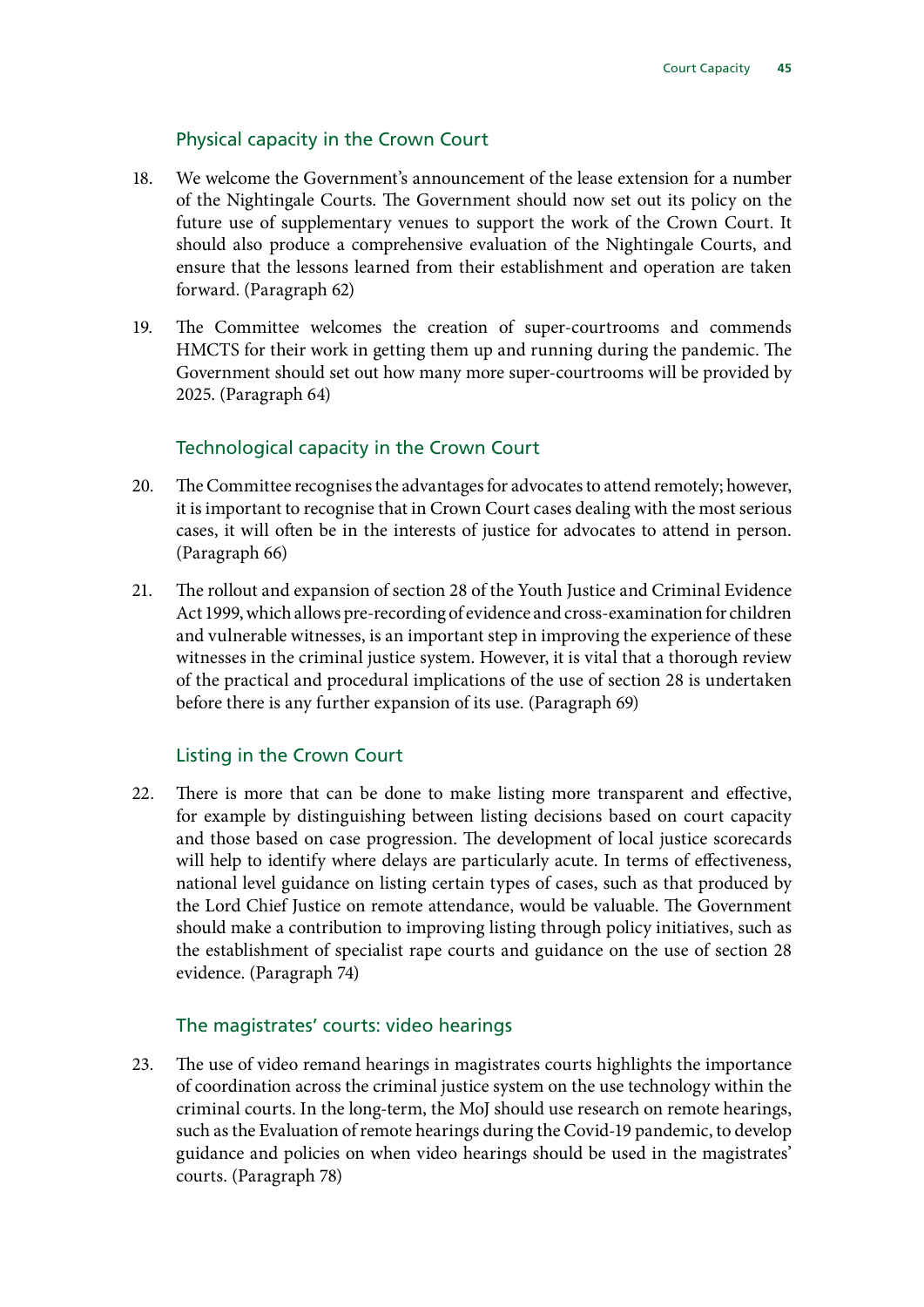#### Physical capacity in the Crown Court

- 18. We welcome the Government's announcement of the lease extension for a number of the Nightingale Courts. The Government should now set out its policy on the future use of supplementary venues to support the work of the Crown Court. It should also produce a comprehensive evaluation of the Nightingale Courts, and ensure that the lessons learned from their establishment and operation are taken forward. (Paragraph 62)
- 19. The Committee welcomes the creation of super-courtrooms and commends HMCTS for their work in getting them up and running during the pandemic. The Government should set out how many more super-courtrooms will be provided by 2025. (Paragraph 64)

#### Technological capacity in the Crown Court

- 20. The Committee recognises the advantages for advocates to attend remotely; however, it is important to recognise that in Crown Court cases dealing with the most serious cases, it will often be in the interests of justice for advocates to attend in person. (Paragraph 66)
- 21. The rollout and expansion of section 28 of the Youth Justice and Criminal Evidence Act 1999, which allows pre-recording of evidence and cross-examination for children and vulnerable witnesses, is an important step in improving the experience of these witnesses in the criminal justice system. However, it is vital that a thorough review of the practical and procedural implications of the use of section 28 is undertaken before there is any further expansion of its use. (Paragraph 69)

#### Listing in the Crown Court

22. There is more that can be done to make listing more transparent and effective, for example by distinguishing between listing decisions based on court capacity and those based on case progression. The development of local justice scorecards will help to identify where delays are particularly acute. In terms of effectiveness, national level guidance on listing certain types of cases, such as that produced by the Lord Chief Justice on remote attendance, would be valuable. The Government should make a contribution to improving listing through policy initiatives, such as the establishment of specialist rape courts and guidance on the use of section 28 evidence. (Paragraph 74)

#### The magistrates' courts: video hearings

23. The use of video remand hearings in magistrates courts highlights the importance of coordination across the criminal justice system on the use technology within the criminal courts. In the long-term, the MoJ should use research on remote hearings, such as the Evaluation of remote hearings during the Covid-19 pandemic, to develop guidance and policies on when video hearings should be used in the magistrates' courts. (Paragraph 78)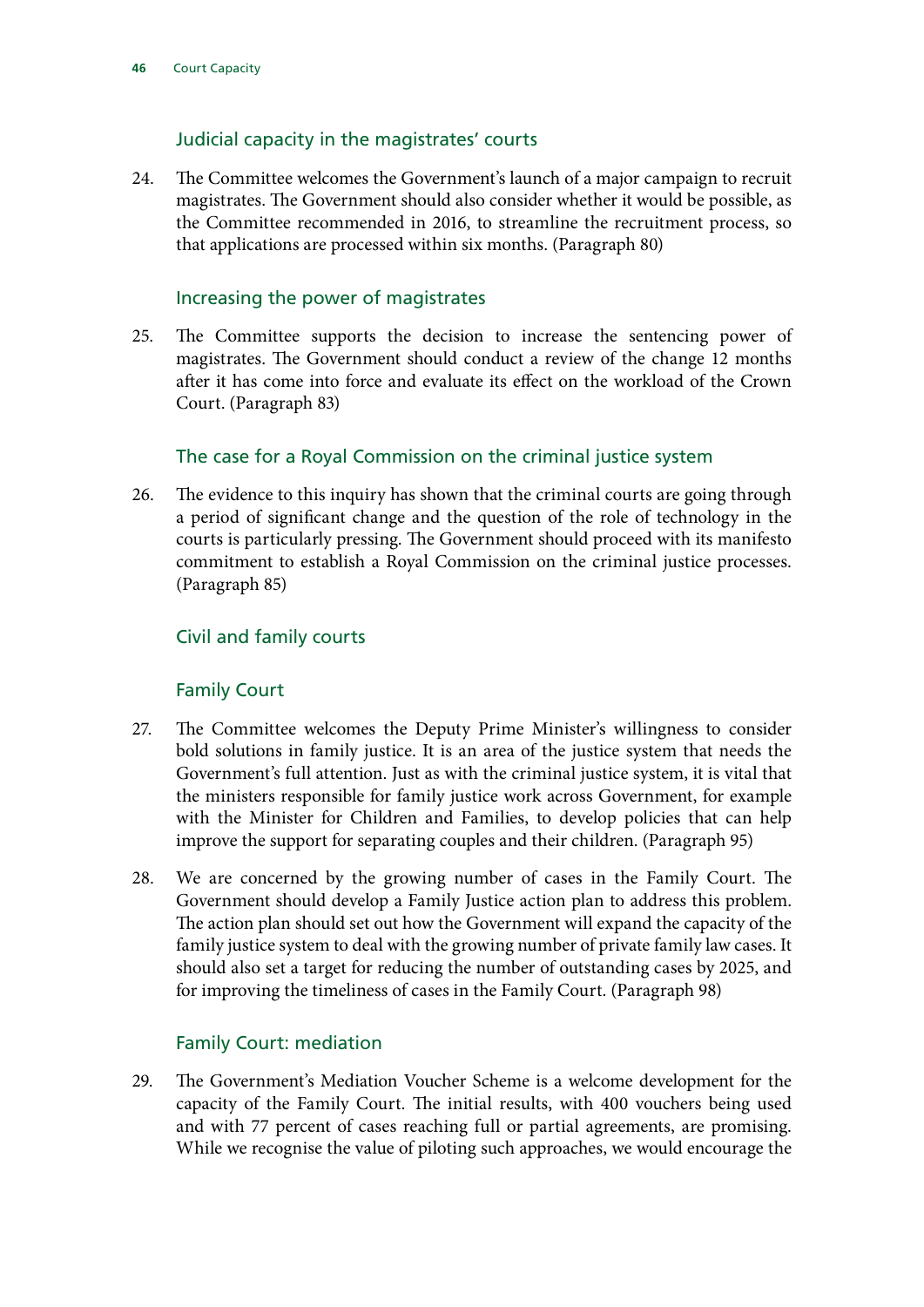#### Judicial capacity in the magistrates' courts

24. The Committee welcomes the Government's launch of a major campaign to recruit magistrates. The Government should also consider whether it would be possible, as the Committee recommended in 2016, to streamline the recruitment process, so that applications are processed within six months. (Paragraph 80)

#### Increasing the power of magistrates

25. The Committee supports the decision to increase the sentencing power of magistrates. The Government should conduct a review of the change 12 months after it has come into force and evaluate its effect on the workload of the Crown Court. (Paragraph 83)

#### The case for a Royal Commission on the criminal justice system

26. The evidence to this inquiry has shown that the criminal courts are going through a period of significant change and the question of the role of technology in the courts is particularly pressing. The Government should proceed with its manifesto commitment to establish a Royal Commission on the criminal justice processes. (Paragraph 85)

#### Civil and family courts

#### Family Court

- 27. The Committee welcomes the Deputy Prime Minister's willingness to consider bold solutions in family justice. It is an area of the justice system that needs the Government's full attention. Just as with the criminal justice system, it is vital that the ministers responsible for family justice work across Government, for example with the Minister for Children and Families, to develop policies that can help improve the support for separating couples and their children. (Paragraph 95)
- 28. We are concerned by the growing number of cases in the Family Court. The Government should develop a Family Justice action plan to address this problem. The action plan should set out how the Government will expand the capacity of the family justice system to deal with the growing number of private family law cases. It should also set a target for reducing the number of outstanding cases by 2025, and for improving the timeliness of cases in the Family Court. (Paragraph 98)

#### Family Court: mediation

29. The Government's Mediation Voucher Scheme is a welcome development for the capacity of the Family Court. The initial results, with 400 vouchers being used and with 77 percent of cases reaching full or partial agreements, are promising. While we recognise the value of piloting such approaches, we would encourage the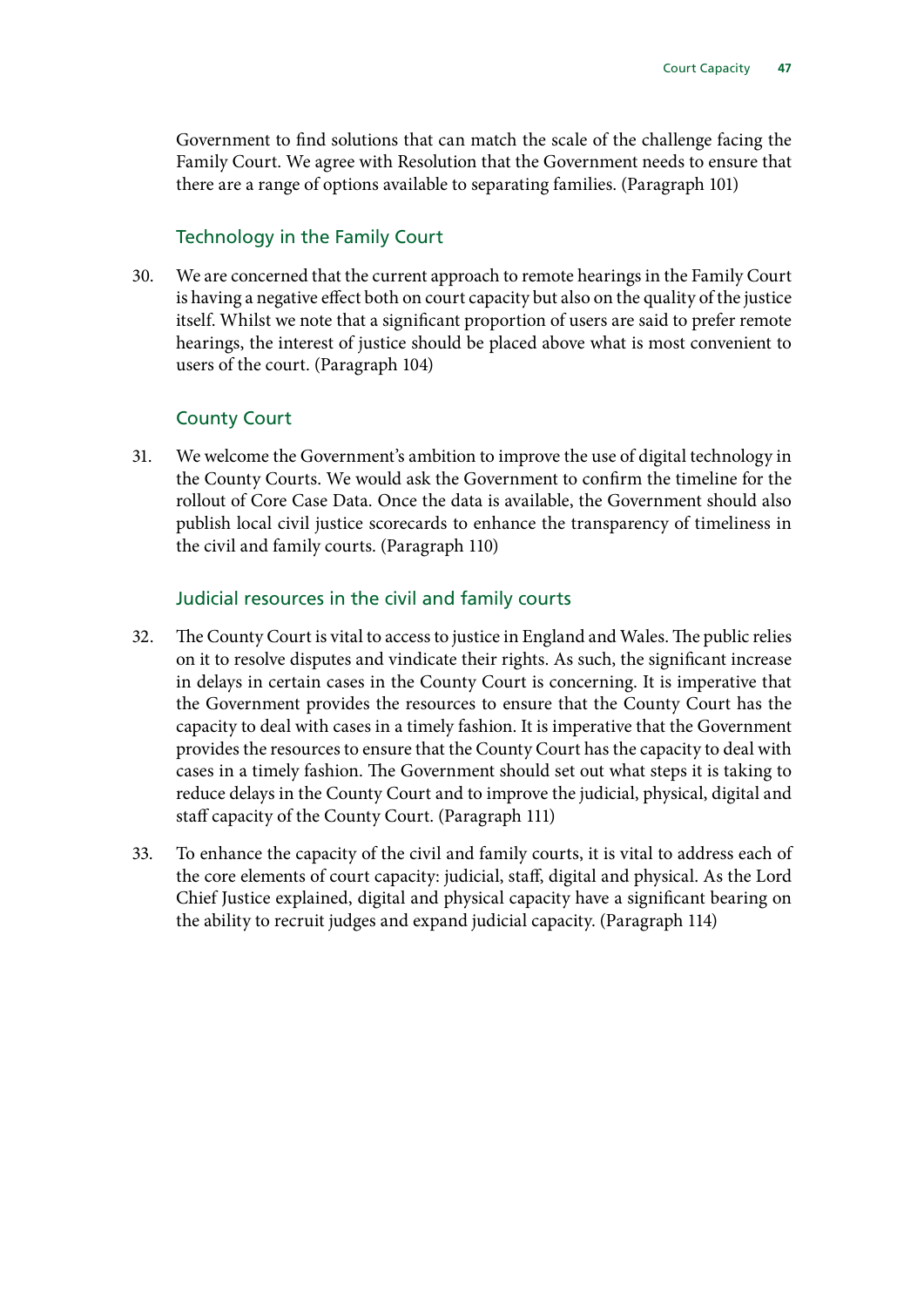Government to find solutions that can match the scale of the challenge facing the Family Court. We agree with Resolution that the Government needs to ensure that there are a range of options available to separating families. (Paragraph 101)

#### Technology in the Family Court

30. We are concerned that the current approach to remote hearings in the Family Court is having a negative effect both on court capacity but also on the quality of the justice itself. Whilst we note that a significant proportion of users are said to prefer remote hearings, the interest of justice should be placed above what is most convenient to users of the court. (Paragraph 104)

#### County Court

31. We welcome the Government's ambition to improve the use of digital technology in the County Courts. We would ask the Government to confirm the timeline for the rollout of Core Case Data. Once the data is available, the Government should also publish local civil justice scorecards to enhance the transparency of timeliness in the civil and family courts. (Paragraph 110)

#### Judicial resources in the civil and family courts

- 32. The County Court is vital to access to justice in England and Wales. The public relies on it to resolve disputes and vindicate their rights. As such, the significant increase in delays in certain cases in the County Court is concerning. It is imperative that the Government provides the resources to ensure that the County Court has the capacity to deal with cases in a timely fashion. It is imperative that the Government provides the resources to ensure that the County Court has the capacity to deal with cases in a timely fashion. The Government should set out what steps it is taking to reduce delays in the County Court and to improve the judicial, physical, digital and staff capacity of the County Court. (Paragraph 111)
- 33. To enhance the capacity of the civil and family courts, it is vital to address each of the core elements of court capacity: judicial, staff, digital and physical. As the Lord Chief Justice explained, digital and physical capacity have a significant bearing on the ability to recruit judges and expand judicial capacity. (Paragraph 114)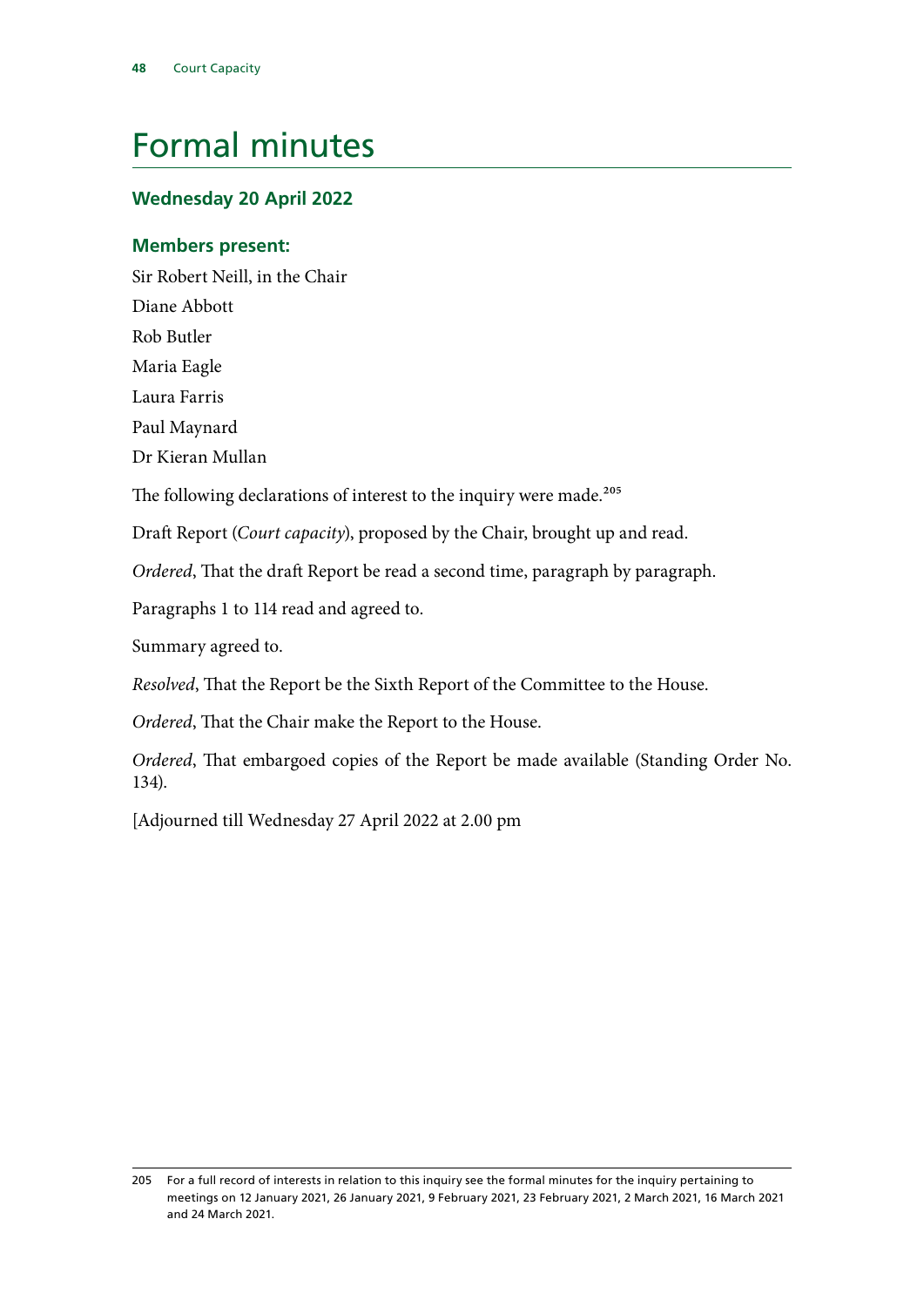# <span id="page-49-0"></span>Formal minutes

#### **Wednesday 20 April 2022**

#### **Members present:**

Sir Robert Neill, in the Chair

Diane Abbott

Rob Butler

Maria Eagle

Laura Farris

Paul Maynard

Dr Kieran Mullan

The following declarations of interest to the inquiry were made.<sup>205</sup>

Draft Report (*Court capacity*), proposed by the Chair, brought up and read.

*Ordered*, That the draft Report be read a second time, paragraph by paragraph.

Paragraphs 1 to 114 read and agreed to.

Summary agreed to.

*Resolved*, That the Report be the Sixth Report of the Committee to the House.

*Ordered*, That the Chair make the Report to the House.

*Ordered*, That embargoed copies of the Report be made available (Standing Order No. 134).

[Adjourned till Wednesday 27 April 2022 at 2.00 pm

<sup>205</sup> For a full record of interests in relation to this inquiry see the formal minutes for the inquiry pertaining to meetings on 12 January 2021, 26 January 2021, 9 February 2021, 23 February 2021, 2 March 2021, 16 March 2021 and 24 March 2021.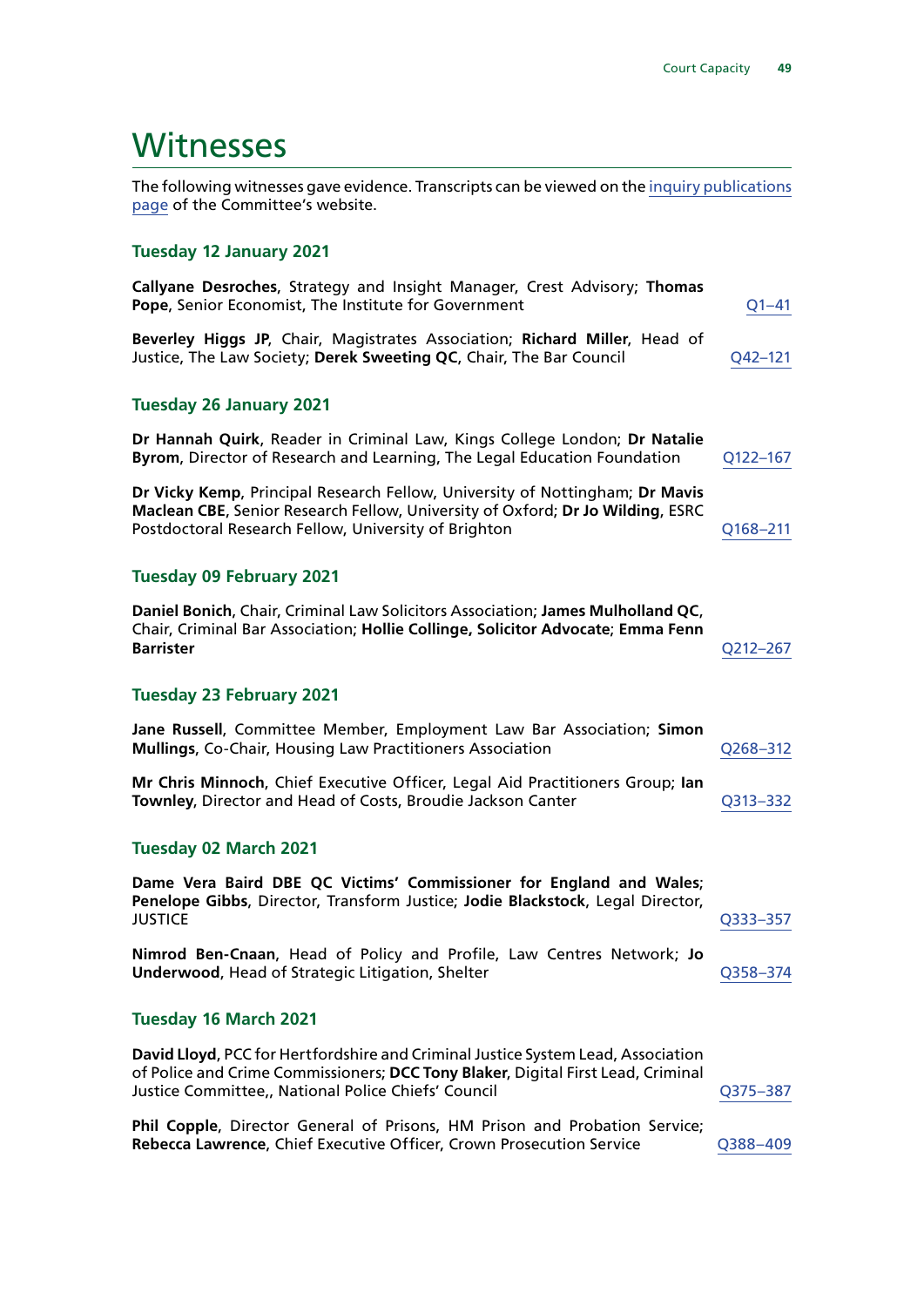## <span id="page-50-0"></span>**Witnesses**

The following witnesses gave evidence. Transcripts can be viewed on the [inquiry publications](https://committees.parliament.uk/work/481/default/publications/oral-evidence/) [page](https://committees.parliament.uk/work/481/default/publications/oral-evidence/) of the Committee's website.

#### **Tuesday 12 January 2021**

| Callyane Desroches, Strategy and Insight Manager, Crest Advisory; Thomas<br>Pope, Senior Economist, The Institute for Government                                                                                            | $Q1 - 41$ |
|-----------------------------------------------------------------------------------------------------------------------------------------------------------------------------------------------------------------------------|-----------|
| Beverley Higgs JP, Chair, Magistrates Association; Richard Miller, Head of<br>Justice, The Law Society; Derek Sweeting QC, Chair, The Bar Council                                                                           | Q42-121   |
| <b>Tuesday 26 January 2021</b>                                                                                                                                                                                              |           |
| Dr Hannah Quirk, Reader in Criminal Law, Kings College London; Dr Natalie<br>Byrom, Director of Research and Learning, The Legal Education Foundation                                                                       | Q122-167  |
| Dr Vicky Kemp, Principal Research Fellow, University of Nottingham; Dr Mavis<br>Maclean CBE, Senior Research Fellow, University of Oxford; Dr Jo Wilding, ESRC<br>Postdoctoral Research Fellow, University of Brighton      | Q168-211  |
| <b>Tuesday 09 February 2021</b>                                                                                                                                                                                             |           |
| Daniel Bonich, Chair, Criminal Law Solicitors Association; James Mulholland QC,<br>Chair, Criminal Bar Association; Hollie Collinge, Solicitor Advocate; Emma Fenn<br><b>Barrister</b>                                      | Q212-267  |
| <b>Tuesday 23 February 2021</b>                                                                                                                                                                                             |           |
| Jane Russell, Committee Member, Employment Law Bar Association; Simon<br><b>Mullings, Co-Chair, Housing Law Practitioners Association</b>                                                                                   | Q268-312  |
| Mr Chris Minnoch, Chief Executive Officer, Legal Aid Practitioners Group; Ian<br>Townley, Director and Head of Costs, Broudie Jackson Canter                                                                                | Q313-332  |
| <b>Tuesday 02 March 2021</b>                                                                                                                                                                                                |           |
| Dame Vera Baird DBE QC Victims' Commissioner for England and Wales;<br>Penelope Gibbs, Director, Transform Justice; Jodie Blackstock, Legal Director,<br><b>JUSTICE</b>                                                     | Q333-357  |
| Nimrod Ben-Cnaan, Head of Policy and Profile, Law Centres Network; Jo<br><b>Underwood, Head of Strategic Litigation, Shelter</b>                                                                                            | Q358-374  |
| Tuesday 16 March 2021                                                                                                                                                                                                       |           |
| David Lloyd, PCC for Hertfordshire and Criminal Justice System Lead, Association<br>of Police and Crime Commissioners; DCC Tony Blaker, Digital First Lead, Criminal<br>Justice Committee,, National Police Chiefs' Council | Q375-387  |
| Phil Copple, Director General of Prisons, HM Prison and Probation Service;<br>Rebecca Lawrence, Chief Executive Officer, Crown Prosecution Service                                                                          | Q388-409  |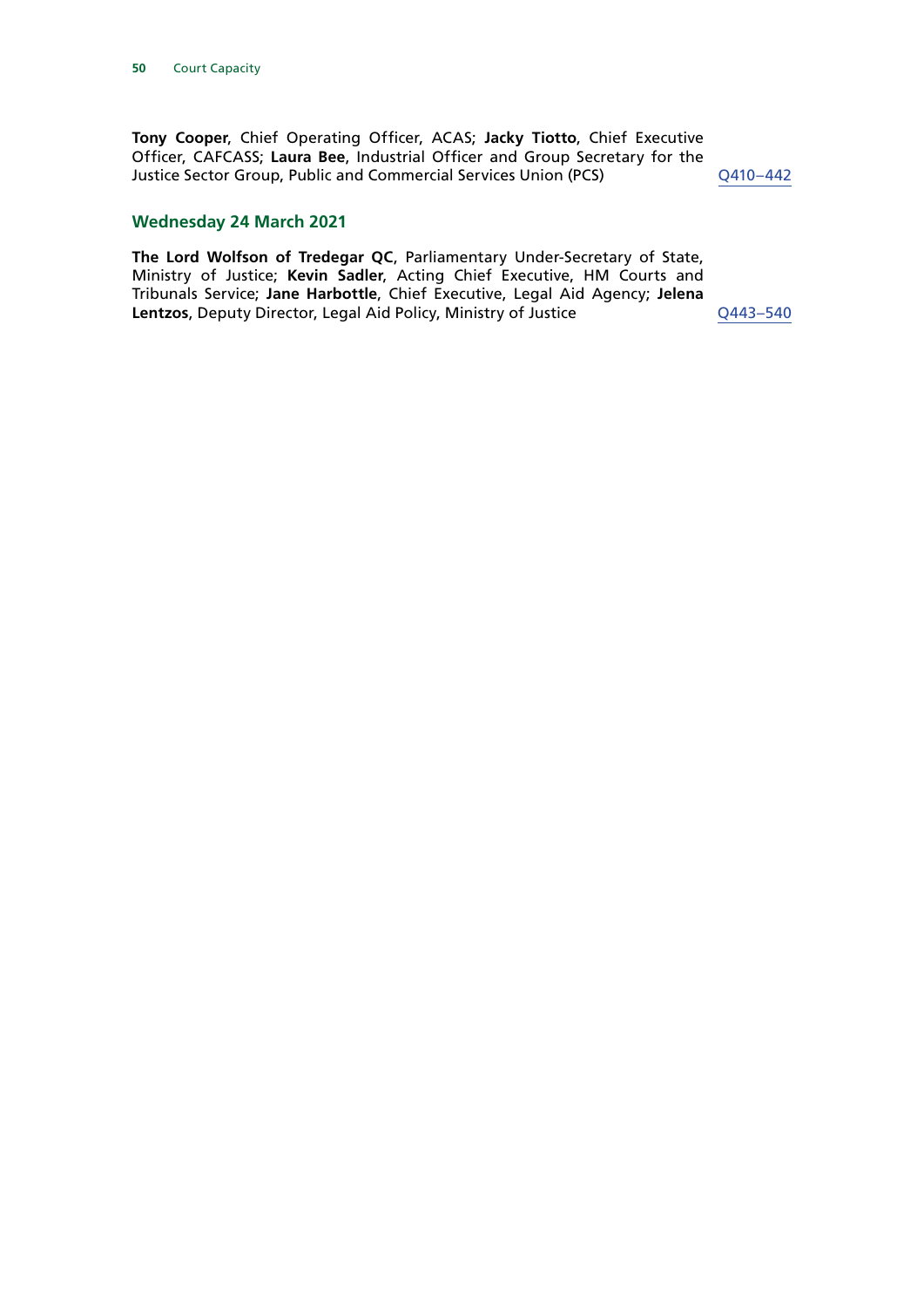**Tony Cooper**, Chief Operating Officer, ACAS; **Jacky Tiotto**, Chief Executive Officer, CAFCASS; **Laura Bee**, Industrial Officer and Group Secretary for the Justice Sector Group, Public and Commercial Services Union (PCS) [Q410–](https://committees.parliament.uk/oralevidence/1878/html/)442

#### **Wednesday 24 March 2021**

**The Lord Wolfson of Tredegar QC**, Parliamentary Under-Secretary of State, Ministry of Justice; **Kevin Sadler**, Acting Chief Executive, HM Courts and Tribunals Service; **Jane Harbottle**, Chief Executive, Legal Aid Agency; **Jelena**  Lentzos, Deputy Director, Legal Aid Policy, Ministry of Justice Q443-540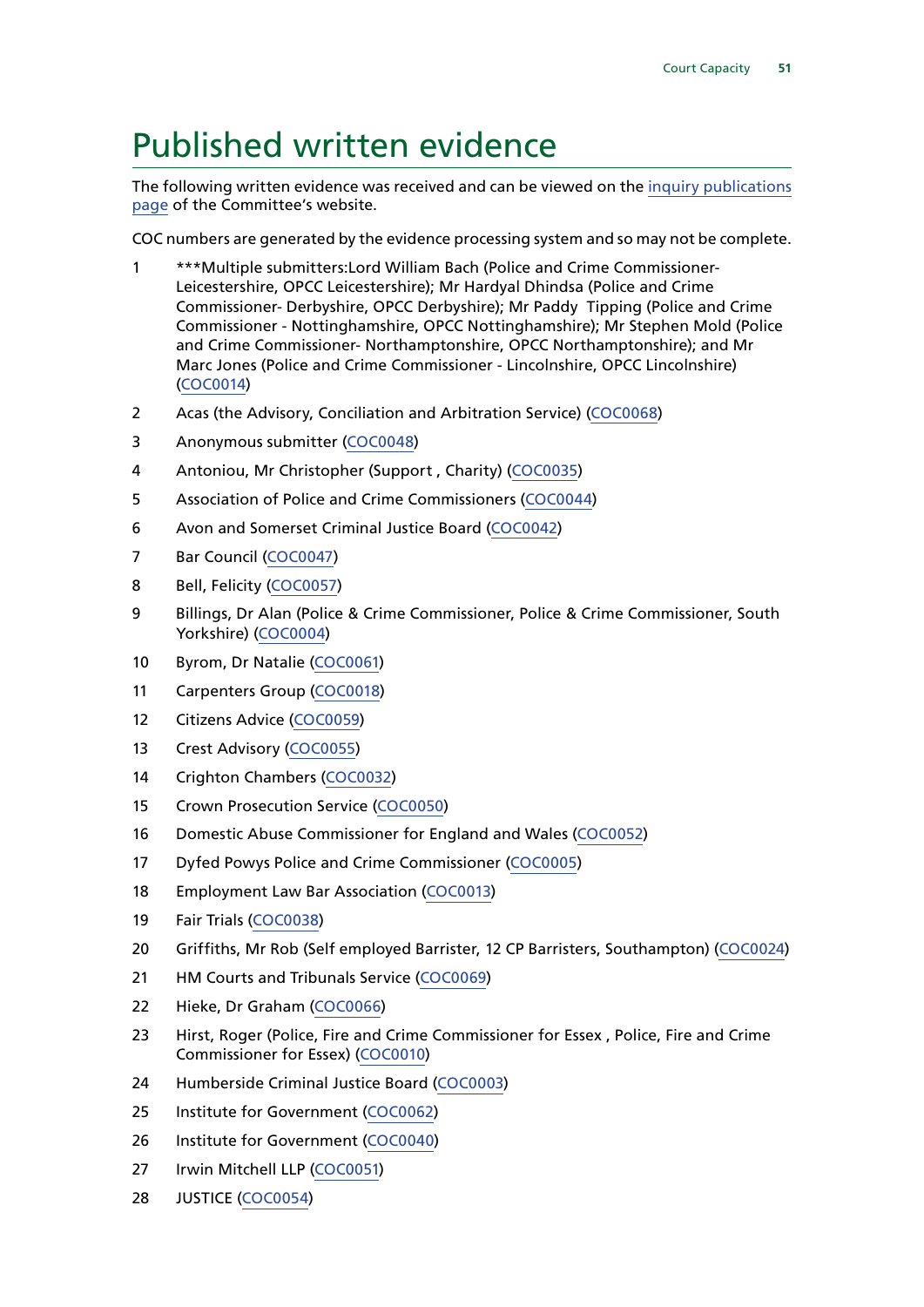# <span id="page-52-0"></span>Published written evidence

The following written evidence was received and can be viewed on the [inquiry publications](https://committees.parliament.uk/work/481/default/publications/written-evidence/) [page](https://committees.parliament.uk/work/481/default/publications/written-evidence/) of the Committee's website.

COC numbers are generated by the evidence processing system and so may not be complete.

- \*\*\*Multiple submitters:Lord William Bach (Police and Crime Commissioner-Leicestershire, OPCC Leicestershire); Mr Hardyal Dhindsa (Police and Crime Commissioner- Derbyshire, OPCC Derbyshire); Mr Paddy Tipping (Police and Crime Commissioner - Nottinghamshire, OPCC Nottinghamshire); Mr Stephen Mold (Police and Crime Commissioner- Northamptonshire, OPCC Northamptonshire); and Mr Marc Jones (Police and Crime Commissioner - Lincolnshire, OPCC Lincolnshire) ([COC0014](https://committees.parliament.uk/writtenevidence/11185/html/))
- Acas (the Advisory, Conciliation and Arbitration Service) ([COC0068\)](https://committees.parliament.uk/writtenevidence/25620/html/)
- Anonymous submitter ([COC0048\)](https://committees.parliament.uk/writtenevidence/12789/html/)
- Antoniou, Mr Christopher (Support , Charity) ([COC0035](https://committees.parliament.uk/writtenevidence/12256/html/))
- Association of Police and Crime Commissioners [\(COC0044\)](https://committees.parliament.uk/writtenevidence/12777/html/)
- Avon and Somerset Criminal Justice Board [\(COC0042](https://committees.parliament.uk/writtenevidence/12768/html/))
- 7 Bar Council [\(COC0047\)](https://committees.parliament.uk/writtenevidence/12786/html/)
- Bell, Felicity ([COC0057](https://committees.parliament.uk/writtenevidence/13058/html/))
- Billings, Dr Alan (Police & Crime Commissioner, Police & Crime Commissioner, South Yorkshire) [\(COC0004](https://committees.parliament.uk/writtenevidence/10270/html/))
- Byrom, Dr Natalie ([COC0061](https://committees.parliament.uk/writtenevidence/22357/html/))
- Carpenters Group [\(COC0018\)](https://committees.parliament.uk/writtenevidence/11239/html/)
- Citizens Advice [\(COC0059\)](https://committees.parliament.uk/writtenevidence/15366/html/)
- Crest Advisory [\(COC0055](https://committees.parliament.uk/writtenevidence/12861/html/))
- Crighton Chambers [\(COC0032](https://committees.parliament.uk/writtenevidence/12112/html/))
- Crown Prosecution Service [\(COC0050\)](https://committees.parliament.uk/writtenevidence/12797/html/)
- Domestic Abuse Commissioner for England and Wales [\(COC0052](https://committees.parliament.uk/writtenevidence/12799/html/))
- Dyfed Powys Police and Crime Commissioner [\(COC0005\)](https://committees.parliament.uk/writtenevidence/10683/html/)
- Employment Law Bar Association ([COC0013](https://committees.parliament.uk/writtenevidence/11170/html/))
- Fair Trials [\(COC0038](https://committees.parliament.uk/writtenevidence/12592/html/))
- Griffiths, Mr Rob (Self employed Barrister, 12 CP Barristers, Southampton) [\(COC0024\)](https://committees.parliament.uk/writtenevidence/11646/html/)
- HM Courts and Tribunals Service ([COC0069](https://committees.parliament.uk/writtenevidence/26097/html/))
- Hieke, Dr Graham ([COC0066\)](https://committees.parliament.uk/writtenevidence/25553/html/)
- Hirst, Roger (Police, Fire and Crime Commissioner for Essex , Police, Fire and Crime Commissioner for Essex) [\(COC0010\)](https://committees.parliament.uk/writtenevidence/11093/html/)
- Humberside Criminal Justice Board [\(COC0003\)](https://committees.parliament.uk/writtenevidence/10121/html/)
- Institute for Government ([COC0062](https://committees.parliament.uk/writtenevidence/22362/html/))
- Institute for Government ([COC0040\)](https://committees.parliament.uk/writtenevidence/12698/html/)
- Irwin Mitchell LLP ([COC0051](https://committees.parliament.uk/writtenevidence/12798/html/))
- JUSTICE [\(COC0054\)](https://committees.parliament.uk/writtenevidence/12859/html/)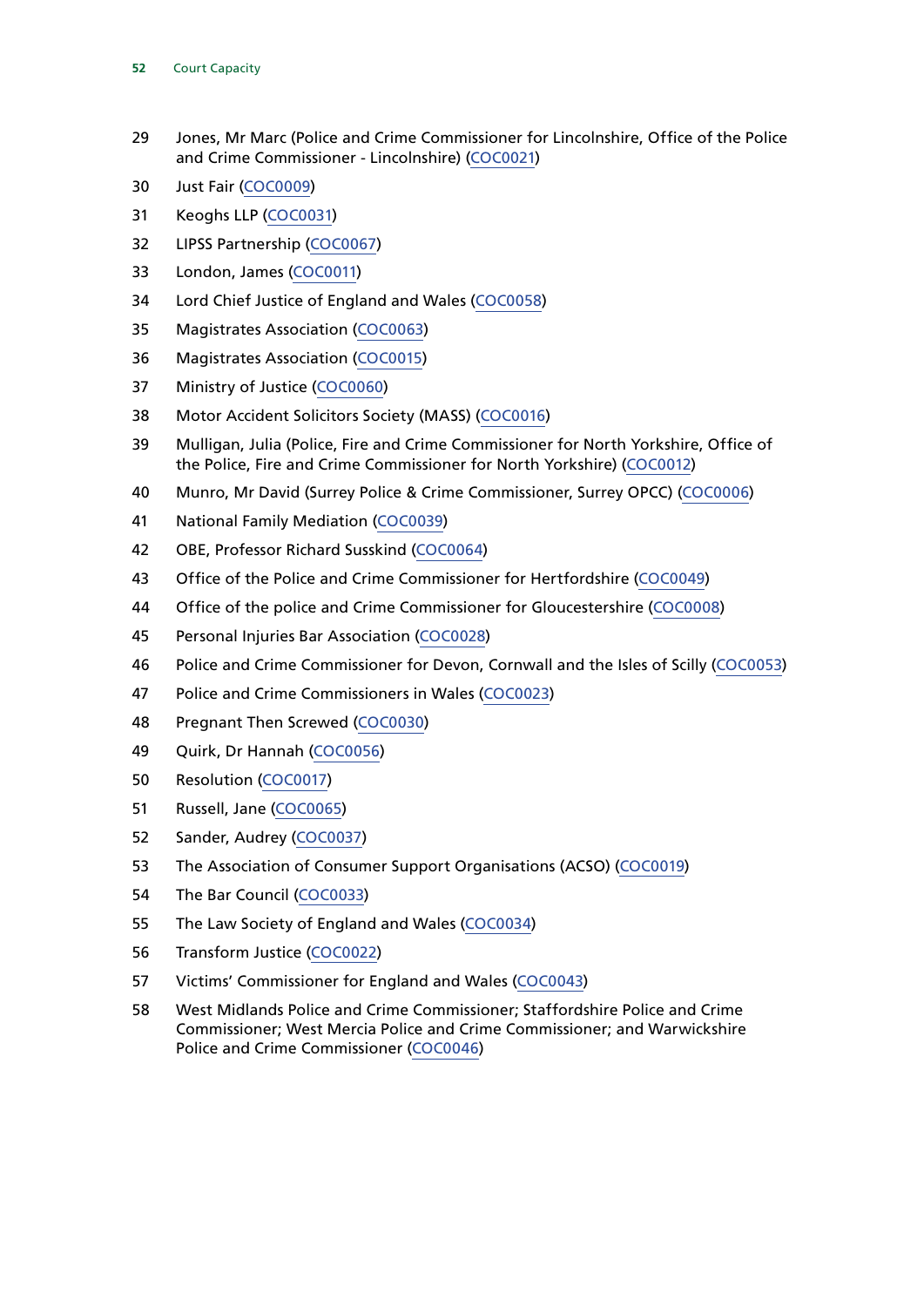- Jones, Mr Marc (Police and Crime Commissioner for Lincolnshire, Office of the Police and Crime Commissioner - Lincolnshire) [\(COC0021\)](https://committees.parliament.uk/writtenevidence/11447/html/)
- Just Fair [\(COC0009](https://committees.parliament.uk/writtenevidence/11058/html/))
- Keoghs LLP [\(COC0031](https://committees.parliament.uk/writtenevidence/12073/html/))
- LIPSS Partnership [\(COC0067\)](https://committees.parliament.uk/writtenevidence/25619/html/)
- London, James [\(COC0011\)](https://committees.parliament.uk/writtenevidence/11122/html/)
- Lord Chief Justice of England and Wales [\(COC0058](https://committees.parliament.uk/writtenevidence/14840/html/))
- Magistrates Association [\(COC0063\)](https://committees.parliament.uk/writtenevidence/22603/html/)
- Magistrates Association [\(COC0015](https://committees.parliament.uk/writtenevidence/11209/html/))
- Ministry of Justice [\(COC0060](https://committees.parliament.uk/writtenevidence/19449/html/))
- Motor Accident Solicitors Society (MASS) ([COC0016\)](https://committees.parliament.uk/writtenevidence/11221/html/)
- Mulligan, Julia (Police, Fire and Crime Commissioner for North Yorkshire, Office of the Police, Fire and Crime Commissioner for North Yorkshire) ([COC0012](https://committees.parliament.uk/writtenevidence/11155/html/))
- Munro, Mr David (Surrey Police & Crime Commissioner, Surrey OPCC) ([COC0006\)](https://committees.parliament.uk/writtenevidence/10720/html/)
- National Family Mediation [\(COC0039\)](https://committees.parliament.uk/writtenevidence/12625/html/)
- OBE, Professor Richard Susskind [\(COC0064](https://committees.parliament.uk/writtenevidence/25139/html/))
- Office of the Police and Crime Commissioner for Hertfordshire ([COC0049](https://committees.parliament.uk/writtenevidence/12796/html/))
- Office of the police and Crime Commissioner for Gloucestershire [\(COC0008\)](https://committees.parliament.uk/writtenevidence/11031/html/)
- Personal Injuries Bar Association [\(COC0028\)](https://committees.parliament.uk/writtenevidence/11950/html/)
- Police and Crime Commissioner for Devon, Cornwall and the Isles of Scilly ([COC0053\)](https://committees.parliament.uk/writtenevidence/12858/html/)
- Police and Crime Commissioners in Wales ([COC0023](https://committees.parliament.uk/writtenevidence/11602/html/))
- Pregnant Then Screwed ([COC0030](https://committees.parliament.uk/writtenevidence/12030/html/))
- Quirk, Dr Hannah [\(COC0056\)](https://committees.parliament.uk/writtenevidence/12899/html/)
- Resolution [\(COC0017\)](https://committees.parliament.uk/writtenevidence/11223/html/)
- Russell, Jane [\(COC0065](https://committees.parliament.uk/writtenevidence/25551/html/))
- Sander, Audrey [\(COC0037](https://committees.parliament.uk/writtenevidence/12449/html/))
- The Association of Consumer Support Organisations (ACSO) [\(COC0019](https://committees.parliament.uk/writtenevidence/11247/html/))
- The Bar Council [\(COC0033\)](https://committees.parliament.uk/writtenevidence/12126/html/)
- The Law Society of England and Wales ([COC0034](https://committees.parliament.uk/writtenevidence/12192/html/))
- Transform Justice [\(COC0022\)](https://committees.parliament.uk/writtenevidence/11544/html/)
- Victims' Commissioner for England and Wales [\(COC0043\)](https://committees.parliament.uk/writtenevidence/12771/html/)
- West Midlands Police and Crime Commissioner; Staffordshire Police and Crime Commissioner; West Mercia Police and Crime Commissioner; and Warwickshire Police and Crime Commissioner [\(COC0046\)](https://committees.parliament.uk/writtenevidence/12783/html/)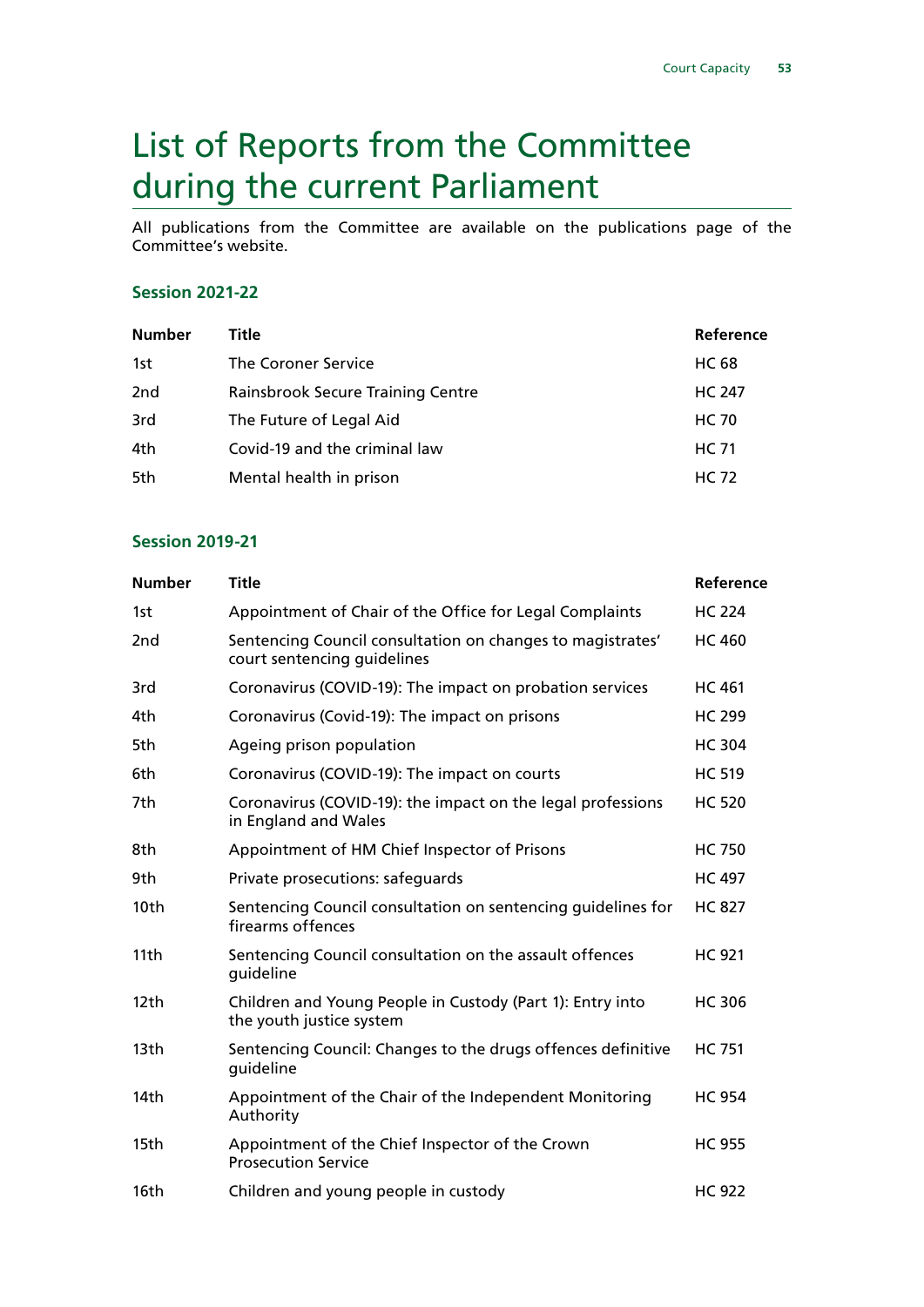# <span id="page-54-0"></span>List of Reports from the Committee during the current Parliament

All publications from the Committee are available on the publications page of the Committee's website.

#### **Session 2021-22**

| <b>Number</b>   | Title                             | Reference     |
|-----------------|-----------------------------------|---------------|
| 1st             | The Coroner Service               | <b>HC 68</b>  |
| 2 <sub>nd</sub> | Rainsbrook Secure Training Centre | <b>HC 247</b> |
| 3rd             | The Future of Legal Aid           | <b>HC 70</b>  |
| 4th             | Covid-19 and the criminal law     | HC 71         |
| 5th             | Mental health in prison           | <b>HC 72</b>  |

#### **Session 2019-21**

| <b>Number</b> | <b>Title</b>                                                                              | Reference     |
|---------------|-------------------------------------------------------------------------------------------|---------------|
| 1st           | Appointment of Chair of the Office for Legal Complaints                                   | <b>HC 224</b> |
| 2nd           | Sentencing Council consultation on changes to magistrates'<br>court sentencing guidelines | <b>HC 460</b> |
| 3rd           | Coronavirus (COVID-19): The impact on probation services                                  | <b>HC 461</b> |
| 4th           | Coronavirus (Covid-19): The impact on prisons                                             | <b>HC 299</b> |
| 5th           | Ageing prison population                                                                  | <b>HC 304</b> |
| 6th           | Coronavirus (COVID-19): The impact on courts                                              | <b>HC 519</b> |
| 7th           | Coronavirus (COVID-19): the impact on the legal professions<br>in England and Wales       | <b>HC 520</b> |
| 8th           | Appointment of HM Chief Inspector of Prisons                                              | <b>HC 750</b> |
| 9th           | Private prosecutions: safeguards                                                          | <b>HC 497</b> |
| 10th          | Sentencing Council consultation on sentencing quidelines for<br>firearms offences         | <b>HC 827</b> |
| 11th          | Sentencing Council consultation on the assault offences<br>guideline                      | <b>HC 921</b> |
| 12th          | Children and Young People in Custody (Part 1): Entry into<br>the youth justice system     | <b>HC 306</b> |
| 13th          | Sentencing Council: Changes to the drugs offences definitive<br>guideline                 | <b>HC 751</b> |
| 14th          | Appointment of the Chair of the Independent Monitoring<br>Authority                       | <b>HC 954</b> |
| 15th          | Appointment of the Chief Inspector of the Crown<br><b>Prosecution Service</b>             | <b>HC 955</b> |
| 16th          | Children and young people in custody                                                      | <b>HC 922</b> |